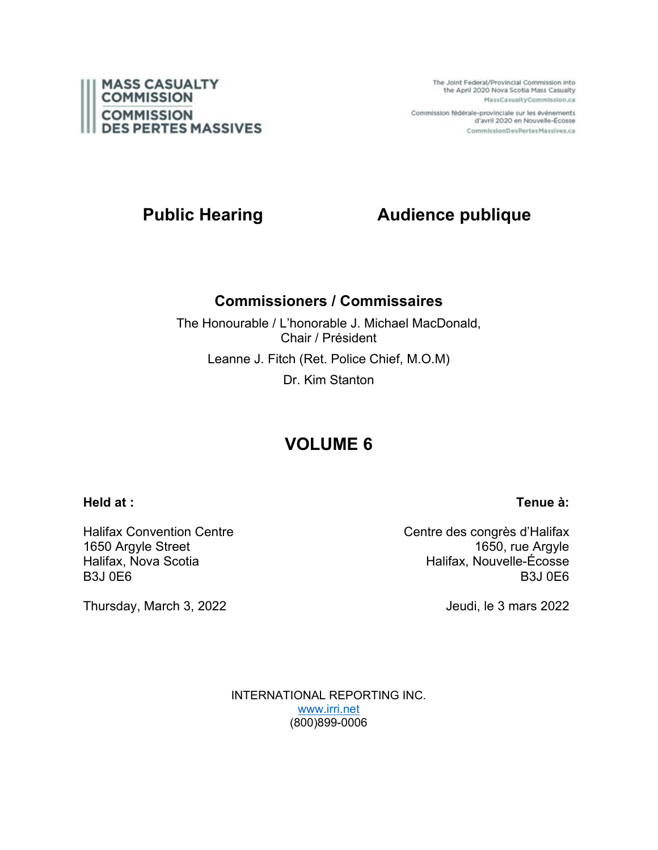

The Joint Federal/Provincial Commission into the April 2020 Nova Scotia Mass Casualty MassCasualtyCommission.ca

Commission fédérale-provinciale sur les événements d'avril 2020 en Nouvelle-Écosse CommissionDesPertesMassives.ca

# **Public Hearing Audience publique**

## **Commissioners / Commissaires**

The Honourable / L'honorable J. Michael MacDonald, Chair / Président Leanne J. Fitch (Ret. Police Chief, M.O.M) Dr. Kim Stanton

# **VOLUME 6**

### **Held at :**

Halifax Convention Centre 1650 Argyle Street Halifax, Nova Scotia B3J 0E6

Thursday, March 3, 2022

Centre des congrès d'Halifax 1650, rue Argyle Halifax, Nouvelle-Écosse B3J 0E6

Jeudi, le 3 mars 2022

INTERNATIONAL REPORTING INC. [www.irri.net](http://www.irri.net/) (800)899-0006

**Tenue à:**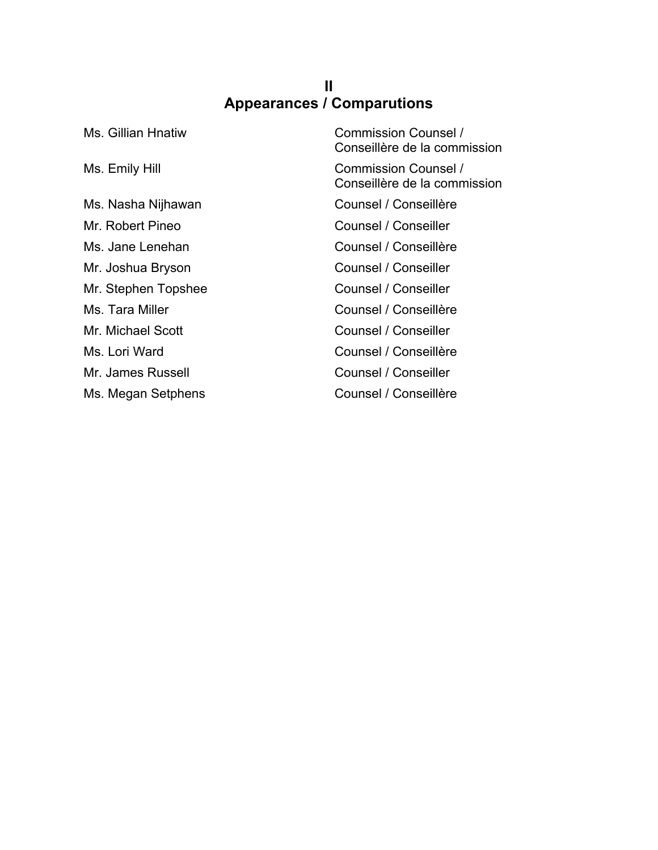### **II Appearances / Comparutions**

| Ms. Gillian Hnatiw  | Commission Counsel /<br>Conseillère de la commission        |
|---------------------|-------------------------------------------------------------|
| Ms. Emily Hill      | <b>Commission Counsel /</b><br>Conseillère de la commission |
| Ms. Nasha Nijhawan  | Counsel / Conseillère                                       |
| Mr. Robert Pineo    | Counsel / Conseiller                                        |
| Ms. Jane Lenehan    | Counsel / Conseillère                                       |
| Mr. Joshua Bryson   | Counsel / Conseiller                                        |
| Mr. Stephen Topshee | Counsel / Conseiller                                        |
| Ms. Tara Miller     | Counsel / Conseillère                                       |
| Mr. Michael Scott   | Counsel / Conseiller                                        |
| Ms. Lori Ward       | Counsel / Conseillère                                       |
| Mr. James Russell   | Counsel / Conseiller                                        |
| Ms. Megan Setphens  | Counsel / Conseillère                                       |
|                     |                                                             |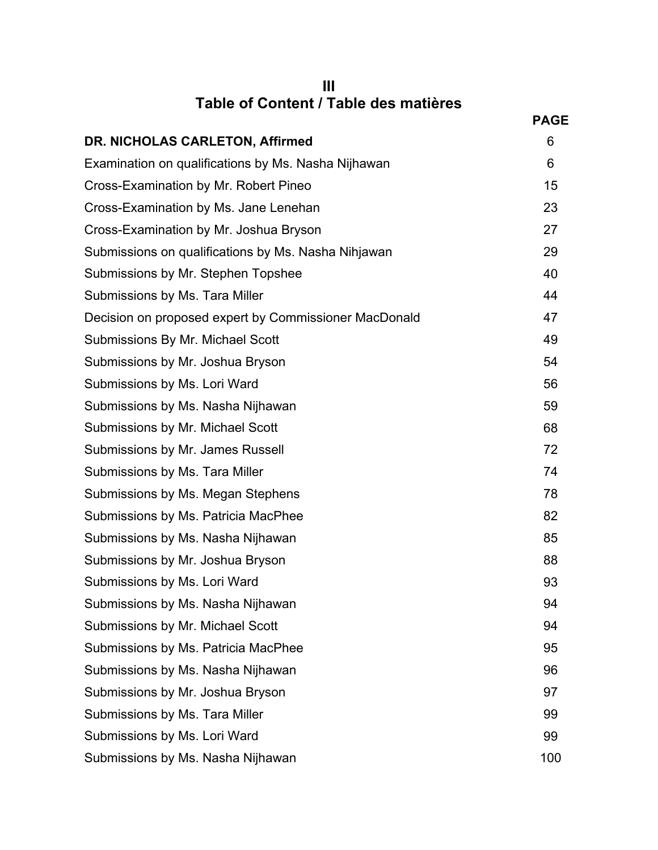| Ш                                     |  |
|---------------------------------------|--|
| Table of Content / Table des matières |  |

| Table of Content / Table des matières                 |             |
|-------------------------------------------------------|-------------|
|                                                       | <b>PAGE</b> |
| DR. NICHOLAS CARLETON, Affirmed                       | 6           |
| Examination on qualifications by Ms. Nasha Nijhawan   | 6           |
| Cross-Examination by Mr. Robert Pineo                 | 15          |
| Cross-Examination by Ms. Jane Lenehan                 | 23          |
| Cross-Examination by Mr. Joshua Bryson                | 27          |
| Submissions on qualifications by Ms. Nasha Nihjawan   | 29          |
| Submissions by Mr. Stephen Topshee                    | 40          |
| Submissions by Ms. Tara Miller                        | 44          |
| Decision on proposed expert by Commissioner MacDonald | 47          |
| Submissions By Mr. Michael Scott                      | 49          |
| Submissions by Mr. Joshua Bryson                      | 54          |
| Submissions by Ms. Lori Ward                          | 56          |
| Submissions by Ms. Nasha Nijhawan                     | 59          |
| Submissions by Mr. Michael Scott                      | 68          |
| Submissions by Mr. James Russell                      | 72          |
| Submissions by Ms. Tara Miller                        | 74          |
| Submissions by Ms. Megan Stephens                     | 78          |
| Submissions by Ms. Patricia MacPhee                   | 82          |
| Submissions by Ms. Nasha Nijhawan                     | 85          |
| Submissions by Mr. Joshua Bryson                      | 88          |
| Submissions by Ms. Lori Ward                          | 93          |
| Submissions by Ms. Nasha Nijhawan                     | 94          |
| Submissions by Mr. Michael Scott                      | 94          |
| Submissions by Ms. Patricia MacPhee                   | 95          |
| Submissions by Ms. Nasha Nijhawan                     | 96          |
| Submissions by Mr. Joshua Bryson                      | 97          |
| Submissions by Ms. Tara Miller                        | 99          |
| Submissions by Ms. Lori Ward                          | 99          |
| Submissions by Ms. Nasha Nijhawan                     | 100         |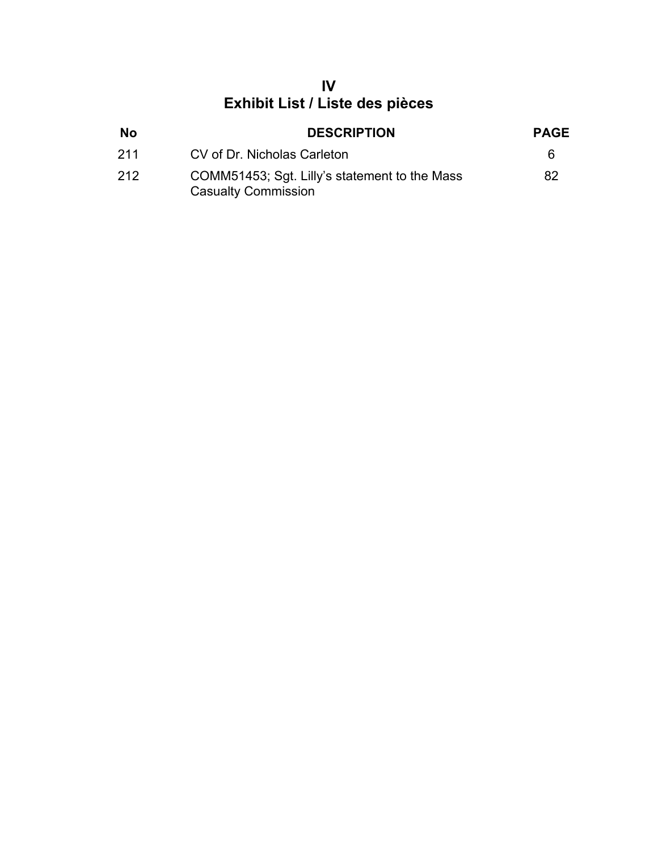# **IV Exhibit List / Liste des pièces**

| <b>No</b> | <b>DESCRIPTION</b>                                                          | <b>PAGE</b> |
|-----------|-----------------------------------------------------------------------------|-------------|
| 211       | CV of Dr. Nicholas Carleton                                                 | 6           |
| 212       | COMM51453; Sgt. Lilly's statement to the Mass<br><b>Casualty Commission</b> | 82          |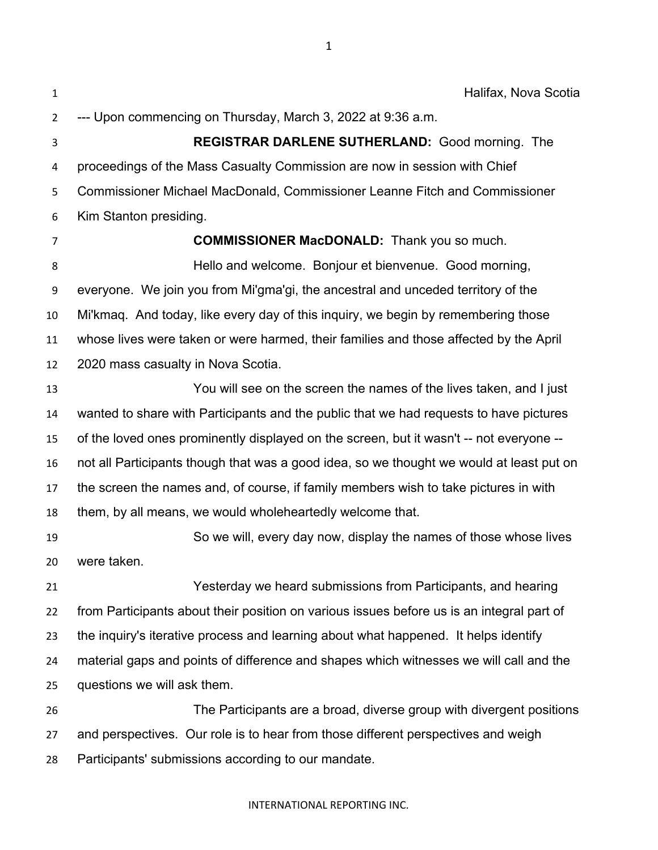Halifax, Nova Scotia --- Upon commencing on Thursday, March 3, 2022 at 9:36 a.m. **REGISTRAR DARLENE SUTHERLAND:** Good morning. The proceedings of the Mass Casualty Commission are now in session with Chief Commissioner Michael MacDonald, Commissioner Leanne Fitch and Commissioner Kim Stanton presiding. **COMMISSIONER MacDONALD:** Thank you so much. Hello and welcome. Bonjour et bienvenue. Good morning, everyone. We join you from Mi'gma'gi, the ancestral and unceded territory of the Mi'kmaq. And today, like every day of this inquiry, we begin by remembering those whose lives were taken or were harmed, their families and those affected by the April 2020 mass casualty in Nova Scotia. You will see on the screen the names of the lives taken, and I just wanted to share with Participants and the public that we had requests to have pictures of the loved ones prominently displayed on the screen, but it wasn't -- not everyone -- not all Participants though that was a good idea, so we thought we would at least put on the screen the names and, of course, if family members wish to take pictures in with them, by all means, we would wholeheartedly welcome that. So we will, every day now, display the names of those whose lives were taken. Yesterday we heard submissions from Participants, and hearing from Participants about their position on various issues before us is an integral part of the inquiry's iterative process and learning about what happened. It helps identify material gaps and points of difference and shapes which witnesses we will call and the questions we will ask them. The Participants are a broad, diverse group with divergent positions and perspectives. Our role is to hear from those different perspectives and weigh Participants' submissions according to our mandate.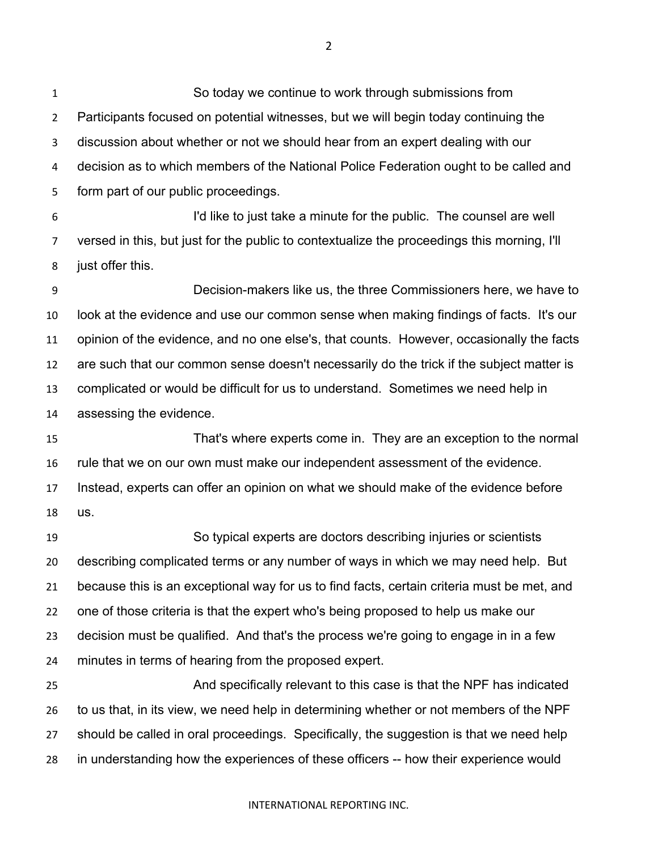So today we continue to work through submissions from Participants focused on potential witnesses, but we will begin today continuing the discussion about whether or not we should hear from an expert dealing with our decision as to which members of the National Police Federation ought to be called and form part of our public proceedings.

 I'd like to just take a minute for the public. The counsel are well versed in this, but just for the public to contextualize the proceedings this morning, I'll just offer this.

 Decision-makers like us, the three Commissioners here, we have to look at the evidence and use our common sense when making findings of facts. It's our opinion of the evidence, and no one else's, that counts. However, occasionally the facts are such that our common sense doesn't necessarily do the trick if the subject matter is complicated or would be difficult for us to understand. Sometimes we need help in assessing the evidence.

 That's where experts come in. They are an exception to the normal rule that we on our own must make our independent assessment of the evidence. Instead, experts can offer an opinion on what we should make of the evidence before us.

 So typical experts are doctors describing injuries or scientists describing complicated terms or any number of ways in which we may need help. But because this is an exceptional way for us to find facts, certain criteria must be met, and one of those criteria is that the expert who's being proposed to help us make our decision must be qualified. And that's the process we're going to engage in in a few minutes in terms of hearing from the proposed expert.

 And specifically relevant to this case is that the NPF has indicated to us that, in its view, we need help in determining whether or not members of the NPF should be called in oral proceedings. Specifically, the suggestion is that we need help in understanding how the experiences of these officers -- how their experience would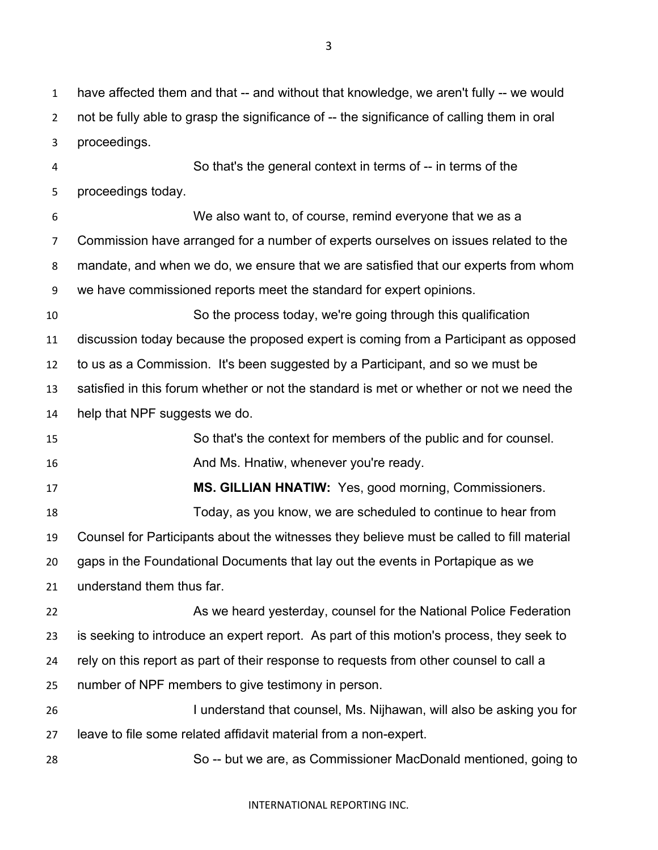have affected them and that -- and without that knowledge, we aren't fully -- we would 2 not be fully able to grasp the significance of -- the significance of calling them in oral proceedings.

 So that's the general context in terms of -- in terms of the proceedings today. We also want to, of course, remind everyone that we as a Commission have arranged for a number of experts ourselves on issues related to the mandate, and when we do, we ensure that we are satisfied that our experts from whom we have commissioned reports meet the standard for expert opinions. So the process today, we're going through this qualification discussion today because the proposed expert is coming from a Participant as opposed to us as a Commission. It's been suggested by a Participant, and so we must be satisfied in this forum whether or not the standard is met or whether or not we need the help that NPF suggests we do. So that's the context for members of the public and for counsel. **And Ms. Hnatiw, whenever you're ready.** And Ms. Hnatiw, whenever you're ready. **MS. GILLIAN HNATIW:** Yes, good morning, Commissioners. Today, as you know, we are scheduled to continue to hear from Counsel for Participants about the witnesses they believe must be called to fill material gaps in the Foundational Documents that lay out the events in Portapique as we understand them thus far. As we heard yesterday, counsel for the National Police Federation is seeking to introduce an expert report. As part of this motion's process, they seek to rely on this report as part of their response to requests from other counsel to call a number of NPF members to give testimony in person. I understand that counsel, Ms. Nijhawan, will also be asking you for leave to file some related affidavit material from a non-expert.

So -- but we are, as Commissioner MacDonald mentioned, going to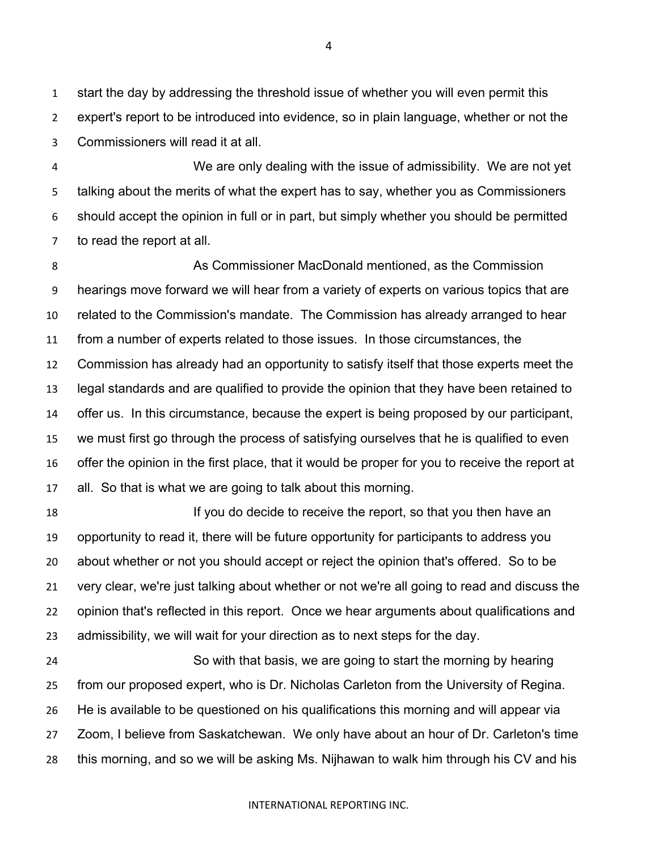start the day by addressing the threshold issue of whether you will even permit this expert's report to be introduced into evidence, so in plain language, whether or not the Commissioners will read it at all.

 We are only dealing with the issue of admissibility. We are not yet talking about the merits of what the expert has to say, whether you as Commissioners should accept the opinion in full or in part, but simply whether you should be permitted to read the report at all.

 As Commissioner MacDonald mentioned, as the Commission hearings move forward we will hear from a variety of experts on various topics that are related to the Commission's mandate. The Commission has already arranged to hear from a number of experts related to those issues. In those circumstances, the Commission has already had an opportunity to satisfy itself that those experts meet the legal standards and are qualified to provide the opinion that they have been retained to offer us. In this circumstance, because the expert is being proposed by our participant, we must first go through the process of satisfying ourselves that he is qualified to even offer the opinion in the first place, that it would be proper for you to receive the report at all. So that is what we are going to talk about this morning.

 If you do decide to receive the report, so that you then have an opportunity to read it, there will be future opportunity for participants to address you about whether or not you should accept or reject the opinion that's offered. So to be very clear, we're just talking about whether or not we're all going to read and discuss the opinion that's reflected in this report. Once we hear arguments about qualifications and admissibility, we will wait for your direction as to next steps for the day.

 So with that basis, we are going to start the morning by hearing from our proposed expert, who is Dr. Nicholas Carleton from the University of Regina. He is available to be questioned on his qualifications this morning and will appear via Zoom, I believe from Saskatchewan. We only have about an hour of Dr. Carleton's time this morning, and so we will be asking Ms. Nijhawan to walk him through his CV and his

####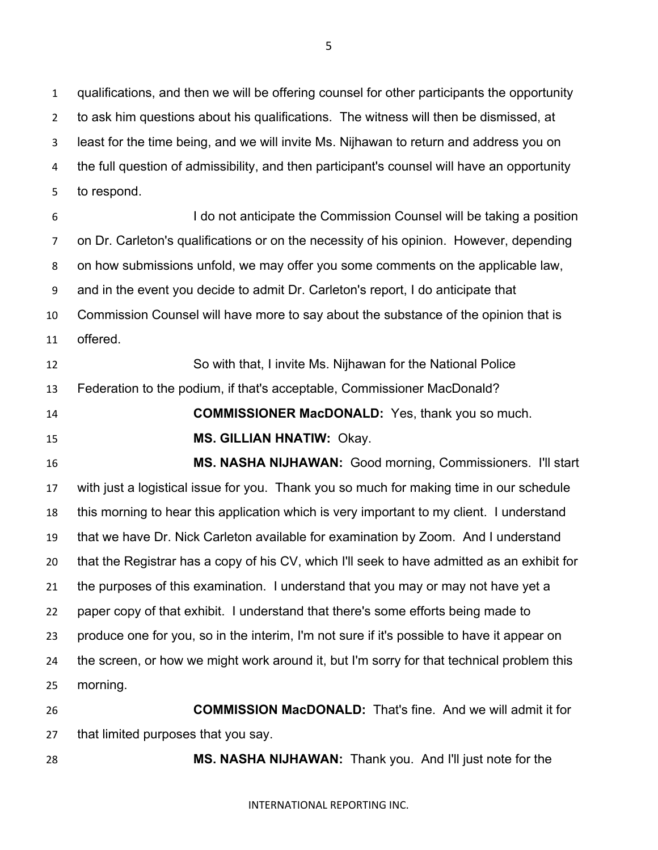qualifications, and then we will be offering counsel for other participants the opportunity to ask him questions about his qualifications. The witness will then be dismissed, at least for the time being, and we will invite Ms. Nijhawan to return and address you on the full question of admissibility, and then participant's counsel will have an opportunity to respond.

 I do not anticipate the Commission Counsel will be taking a position on Dr. Carleton's qualifications or on the necessity of his opinion. However, depending on how submissions unfold, we may offer you some comments on the applicable law, and in the event you decide to admit Dr. Carleton's report, I do anticipate that Commission Counsel will have more to say about the substance of the opinion that is offered.

 So with that, I invite Ms. Nijhawan for the National Police Federation to the podium, if that's acceptable, Commissioner MacDonald? **COMMISSIONER MacDONALD:** Yes, thank you so much.

**MS. GILLIAN HNATIW:** Okay.

 **MS. NASHA NIJHAWAN:** Good morning, Commissioners. I'll start with just a logistical issue for you. Thank you so much for making time in our schedule this morning to hear this application which is very important to my client. I understand that we have Dr. Nick Carleton available for examination by Zoom. And I understand that the Registrar has a copy of his CV, which I'll seek to have admitted as an exhibit for the purposes of this examination. I understand that you may or may not have yet a paper copy of that exhibit. I understand that there's some efforts being made to produce one for you, so in the interim, I'm not sure if it's possible to have it appear on the screen, or how we might work around it, but I'm sorry for that technical problem this morning.

 **COMMISSION MacDONALD:** That's fine. And we will admit it for that limited purposes that you say.

**MS. NASHA NIJHAWAN:** Thank you. And I'll just note for the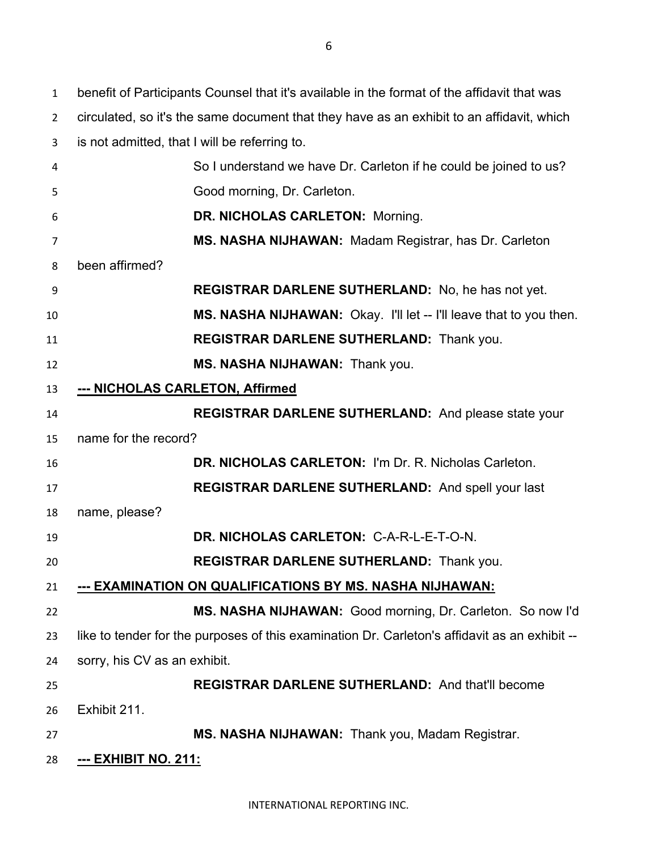benefit of Participants Counsel that it's available in the format of the affidavit that was circulated, so it's the same document that they have as an exhibit to an affidavit, which is not admitted, that I will be referring to. So I understand we have Dr. Carleton if he could be joined to us? Good morning, Dr. Carleton. **DR. NICHOLAS CARLETON:** Morning. **MS. NASHA NIJHAWAN:** Madam Registrar, has Dr. Carleton been affirmed? **REGISTRAR DARLENE SUTHERLAND:** No, he has not yet. **MS. NASHA NIJHAWAN:** Okay. I'll let -- I'll leave that to you then. **REGISTRAR DARLENE SUTHERLAND:** Thank you. **MS. NASHA NIJHAWAN:** Thank you. **--- NICHOLAS CARLETON, Affirmed REGISTRAR DARLENE SUTHERLAND:** And please state your name for the record? **DR. NICHOLAS CARLETON:** I'm Dr. R. Nicholas Carleton. **REGISTRAR DARLENE SUTHERLAND:** And spell your last name, please? **DR. NICHOLAS CARLETON:** C-A-R-L-E-T-O-N. **REGISTRAR DARLENE SUTHERLAND:** Thank you. **--- EXAMINATION ON QUALIFICATIONS BY MS. NASHA NIJHAWAN: MS. NASHA NIJHAWAN:** Good morning, Dr. Carleton. So now I'd like to tender for the purposes of this examination Dr. Carleton's affidavit as an exhibit -- sorry, his CV as an exhibit. **REGISTRAR DARLENE SUTHERLAND:** And that'll become Exhibit 211. **MS. NASHA NIJHAWAN:** Thank you, Madam Registrar. **--- EXHIBIT NO. 211:**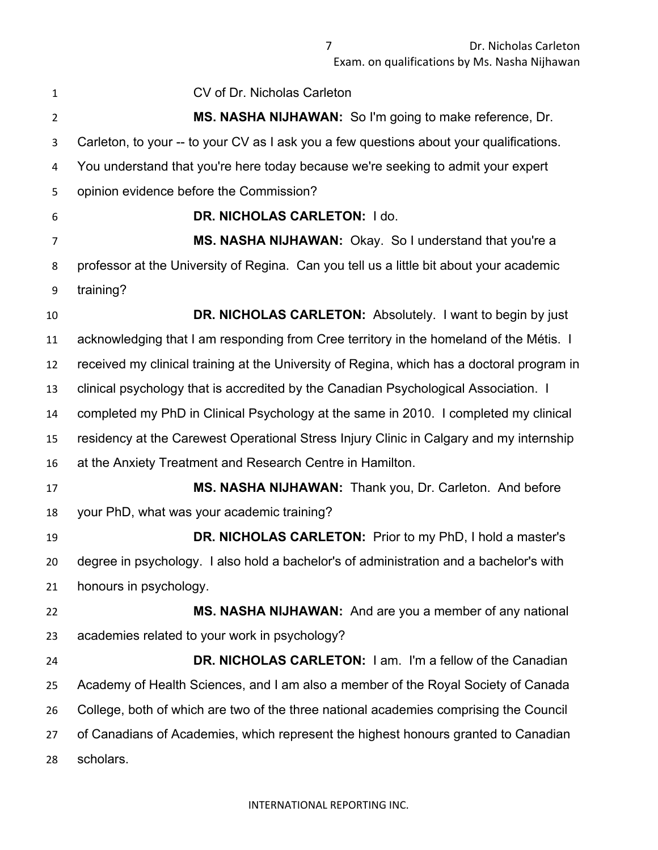CV of Dr. Nicholas Carleton **MS. NASHA NIJHAWAN:** So I'm going to make reference, Dr. Carleton, to your -- to your CV as I ask you a few questions about your qualifications. You understand that you're here today because we're seeking to admit your expert opinion evidence before the Commission? **DR. NICHOLAS CARLETON:** I do. **MS. NASHA NIJHAWAN:** Okay. So I understand that you're a professor at the University of Regina. Can you tell us a little bit about your academic training? **DR. NICHOLAS CARLETON:** Absolutely. I want to begin by just acknowledging that I am responding from Cree territory in the homeland of the Métis. I received my clinical training at the University of Regina, which has a doctoral program in clinical psychology that is accredited by the Canadian Psychological Association. I completed my PhD in Clinical Psychology at the same in 2010. I completed my clinical residency at the Carewest Operational Stress Injury Clinic in Calgary and my internship at the Anxiety Treatment and Research Centre in Hamilton. **MS. NASHA NIJHAWAN:** Thank you, Dr. Carleton. And before your PhD, what was your academic training? **DR. NICHOLAS CARLETON:** Prior to my PhD, I hold a master's degree in psychology. I also hold a bachelor's of administration and a bachelor's with honours in psychology. **MS. NASHA NIJHAWAN:** And are you a member of any national academies related to your work in psychology? **DR. NICHOLAS CARLETON:** I am. I'm a fellow of the Canadian Academy of Health Sciences, and I am also a member of the Royal Society of Canada College, both of which are two of the three national academies comprising the Council of Canadians of Academies, which represent the highest honours granted to Canadian scholars.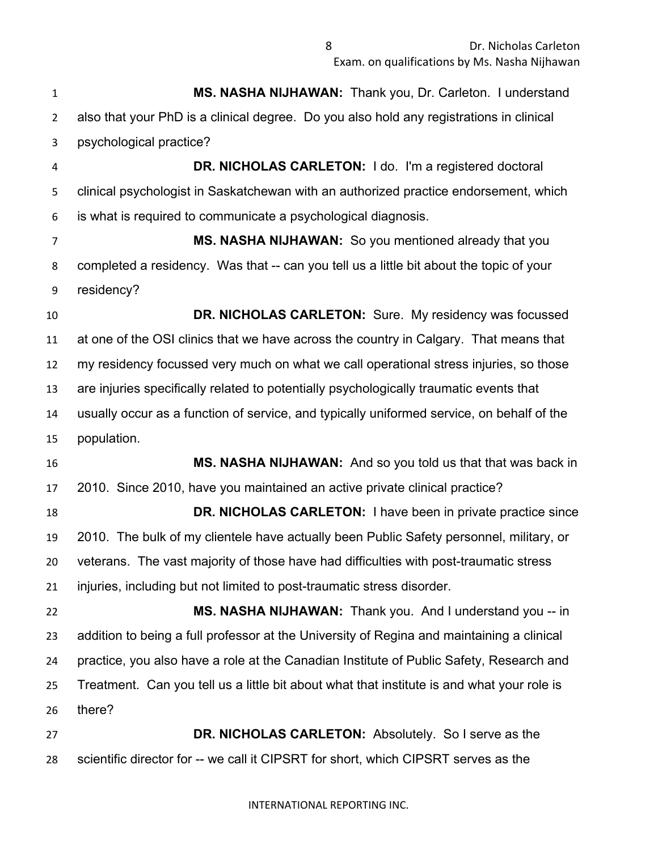**MS. NASHA NIJHAWAN:** Thank you, Dr. Carleton. I understand also that your PhD is a clinical degree. Do you also hold any registrations in clinical psychological practice?

 **DR. NICHOLAS CARLETON:** I do. I'm a registered doctoral clinical psychologist in Saskatchewan with an authorized practice endorsement, which is what is required to communicate a psychological diagnosis.

 **MS. NASHA NIJHAWAN:** So you mentioned already that you completed a residency. Was that -- can you tell us a little bit about the topic of your residency?

 **DR. NICHOLAS CARLETON:** Sure. My residency was focussed at one of the OSI clinics that we have across the country in Calgary. That means that my residency focussed very much on what we call operational stress injuries, so those are injuries specifically related to potentially psychologically traumatic events that usually occur as a function of service, and typically uniformed service, on behalf of the population.

 **MS. NASHA NIJHAWAN:** And so you told us that that was back in 2010. Since 2010, have you maintained an active private clinical practice? **DR. NICHOLAS CARLETON:** I have been in private practice since 2010. The bulk of my clientele have actually been Public Safety personnel, military, or

 veterans. The vast majority of those have had difficulties with post-traumatic stress injuries, including but not limited to post-traumatic stress disorder.

 **MS. NASHA NIJHAWAN:** Thank you. And I understand you -- in addition to being a full professor at the University of Regina and maintaining a clinical practice, you also have a role at the Canadian Institute of Public Safety, Research and Treatment. Can you tell us a little bit about what that institute is and what your role is there?

 **DR. NICHOLAS CARLETON:** Absolutely. So I serve as the scientific director for -- we call it CIPSRT for short, which CIPSRT serves as the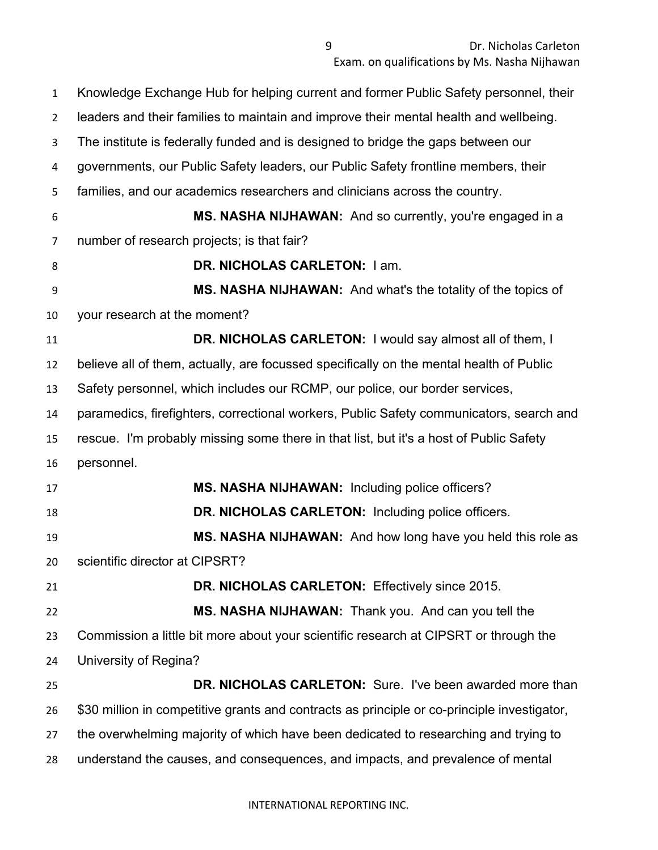Knowledge Exchange Hub for helping current and former Public Safety personnel, their leaders and their families to maintain and improve their mental health and wellbeing. The institute is federally funded and is designed to bridge the gaps between our governments, our Public Safety leaders, our Public Safety frontline members, their families, and our academics researchers and clinicians across the country. **MS. NASHA NIJHAWAN:** And so currently, you're engaged in a number of research projects; is that fair? **DR. NICHOLAS CARLETON:** 1 am. **MS. NASHA NIJHAWAN:** And what's the totality of the topics of your research at the moment? **DR. NICHOLAS CARLETON:** I would say almost all of them, I believe all of them, actually, are focussed specifically on the mental health of Public Safety personnel, which includes our RCMP, our police, our border services, paramedics, firefighters, correctional workers, Public Safety communicators, search and rescue. I'm probably missing some there in that list, but it's a host of Public Safety personnel. **MS. NASHA NIJHAWAN:** Including police officers? **DR. NICHOLAS CARLETON:** Including police officers. **MS. NASHA NIJHAWAN:** And how long have you held this role as scientific director at CIPSRT? **DR. NICHOLAS CARLETON:** Effectively since 2015. **MS. NASHA NIJHAWAN:** Thank you. And can you tell the Commission a little bit more about your scientific research at CIPSRT or through the University of Regina? **DR. NICHOLAS CARLETON:** Sure. I've been awarded more than \$30 million in competitive grants and contracts as principle or co-principle investigator, the overwhelming majority of which have been dedicated to researching and trying to understand the causes, and consequences, and impacts, and prevalence of mental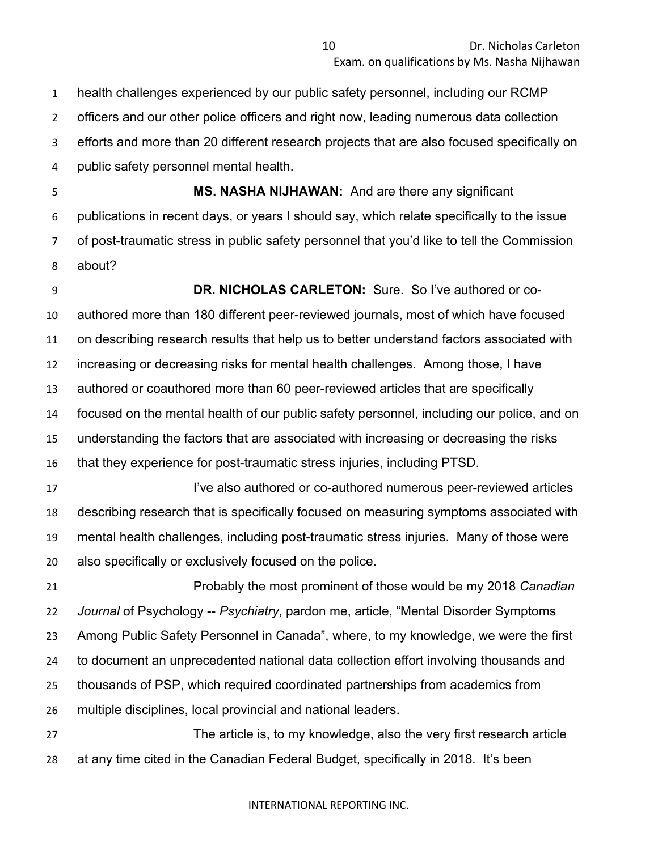health challenges experienced by our public safety personnel, including our RCMP officers and our other police officers and right now, leading numerous data collection efforts and more than 20 different research projects that are also focused specifically on public safety personnel mental health.

 **MS. NASHA NIJHAWAN:** And are there any significant publications in recent days, or years I should say, which relate specifically to the issue of post-traumatic stress in public safety personnel that you'd like to tell the Commission about?

 **DR. NICHOLAS CARLETON:** Sure. So I've authored or co- authored more than 180 different peer-reviewed journals, most of which have focused on describing research results that help us to better understand factors associated with increasing or decreasing risks for mental health challenges. Among those, I have authored or coauthored more than 60 peer-reviewed articles that are specifically focused on the mental health of our public safety personnel, including our police, and on understanding the factors that are associated with increasing or decreasing the risks that they experience for post-traumatic stress injuries, including PTSD.

 I've also authored or co-authored numerous peer-reviewed articles describing research that is specifically focused on measuring symptoms associated with mental health challenges, including post-traumatic stress injuries. Many of those were also specifically or exclusively focused on the police.

 Probably the most prominent of those would be my 2018 *Canadian Journal* of Psychology -- *Psychiatry*, pardon me, article, "Mental Disorder Symptoms Among Public Safety Personnel in Canada", where, to my knowledge, we were the first to document an unprecedented national data collection effort involving thousands and thousands of PSP, which required coordinated partnerships from academics from multiple disciplines, local provincial and national leaders.

 The article is, to my knowledge, also the very first research article at any time cited in the Canadian Federal Budget, specifically in 2018. It's been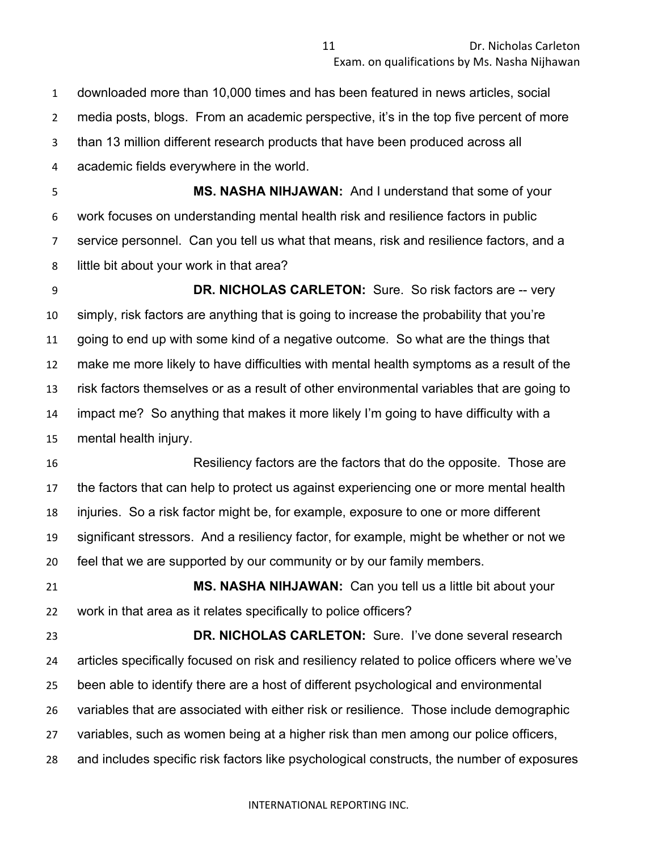downloaded more than 10,000 times and has been featured in news articles, social media posts, blogs. From an academic perspective, it's in the top five percent of more than 13 million different research products that have been produced across all academic fields everywhere in the world.

 **MS. NASHA NIHJAWAN:** And I understand that some of your work focuses on understanding mental health risk and resilience factors in public service personnel. Can you tell us what that means, risk and resilience factors, and a little bit about your work in that area?

 **DR. NICHOLAS CARLETON:** Sure. So risk factors are -- very simply, risk factors are anything that is going to increase the probability that you're going to end up with some kind of a negative outcome. So what are the things that make me more likely to have difficulties with mental health symptoms as a result of the risk factors themselves or as a result of other environmental variables that are going to impact me? So anything that makes it more likely I'm going to have difficulty with a mental health injury.

 Resiliency factors are the factors that do the opposite. Those are the factors that can help to protect us against experiencing one or more mental health injuries. So a risk factor might be, for example, exposure to one or more different significant stressors. And a resiliency factor, for example, might be whether or not we feel that we are supported by our community or by our family members.

 **MS. NASHA NIHJAWAN:** Can you tell us a little bit about your work in that area as it relates specifically to police officers?

 **DR. NICHOLAS CARLETON:** Sure. I've done several research articles specifically focused on risk and resiliency related to police officers where we've been able to identify there are a host of different psychological and environmental variables that are associated with either risk or resilience. Those include demographic variables, such as women being at a higher risk than men among our police officers, and includes specific risk factors like psychological constructs, the number of exposures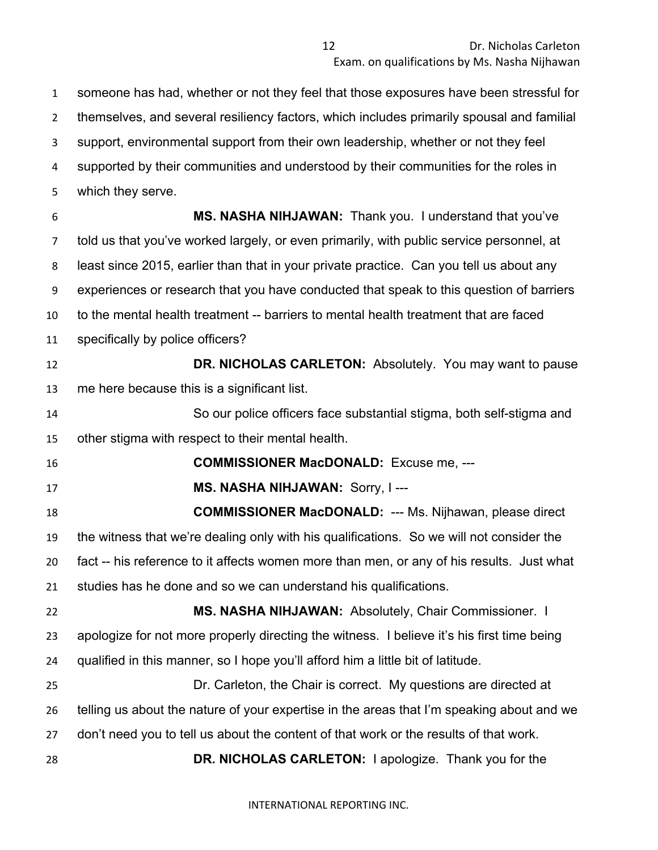someone has had, whether or not they feel that those exposures have been stressful for themselves, and several resiliency factors, which includes primarily spousal and familial support, environmental support from their own leadership, whether or not they feel supported by their communities and understood by their communities for the roles in

which they serve.

 **MS. NASHA NIHJAWAN:** Thank you. I understand that you've told us that you've worked largely, or even primarily, with public service personnel, at least since 2015, earlier than that in your private practice. Can you tell us about any experiences or research that you have conducted that speak to this question of barriers to the mental health treatment -- barriers to mental health treatment that are faced specifically by police officers?

**DR. NICHOLAS CARLETON:** Absolutely. You may want to pause me here because this is a significant list.

 So our police officers face substantial stigma, both self-stigma and other stigma with respect to their mental health.

**COMMISSIONER MacDONALD:** Excuse me, ---

**MS. NASHA NIHJAWAN:** Sorry, I ---

 **COMMISSIONER MacDONALD:** --- Ms. Nijhawan, please direct the witness that we're dealing only with his qualifications. So we will not consider the fact -- his reference to it affects women more than men, or any of his results. Just what studies has he done and so we can understand his qualifications.

 **MS. NASHA NIHJAWAN:** Absolutely, Chair Commissioner. I apologize for not more properly directing the witness. I believe it's his first time being qualified in this manner, so I hope you'll afford him a little bit of latitude.

 Dr. Carleton, the Chair is correct. My questions are directed at telling us about the nature of your expertise in the areas that I'm speaking about and we don't need you to tell us about the content of that work or the results of that work.

**DR. NICHOLAS CARLETON:** I apologize. Thank you for the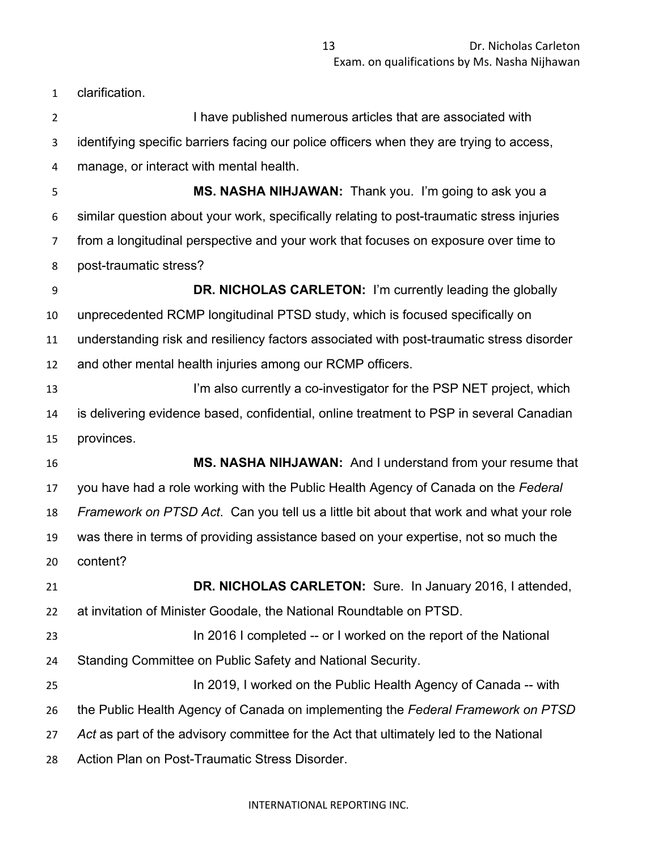clarification.

2 I have published numerous articles that are associated with identifying specific barriers facing our police officers when they are trying to access, manage, or interact with mental health. **MS. NASHA NIHJAWAN:** Thank you. I'm going to ask you a similar question about your work, specifically relating to post-traumatic stress injuries from a longitudinal perspective and your work that focuses on exposure over time to post-traumatic stress? **DR. NICHOLAS CARLETON:** I'm currently leading the globally unprecedented RCMP longitudinal PTSD study, which is focused specifically on understanding risk and resiliency factors associated with post-traumatic stress disorder and other mental health injuries among our RCMP officers. **I'm also currently a co-investigator for the PSP NET project, which**  is delivering evidence based, confidential, online treatment to PSP in several Canadian provinces. **MS. NASHA NIHJAWAN:** And I understand from your resume that you have had a role working with the Public Health Agency of Canada on the *Federal Framework on PTSD Act*. Can you tell us a little bit about that work and what your role was there in terms of providing assistance based on your expertise, not so much the content? **DR. NICHOLAS CARLETON:** Sure. In January 2016, I attended, at invitation of Minister Goodale, the National Roundtable on PTSD.

- In 2016 I completed -- or I worked on the report of the National Standing Committee on Public Safety and National Security.
- In 2019, I worked on the Public Health Agency of Canada -- with the Public Health Agency of Canada on implementing the *Federal Framework on PTSD*
- *Act* as part of the advisory committee for the Act that ultimately led to the National
- Action Plan on Post-Traumatic Stress Disorder.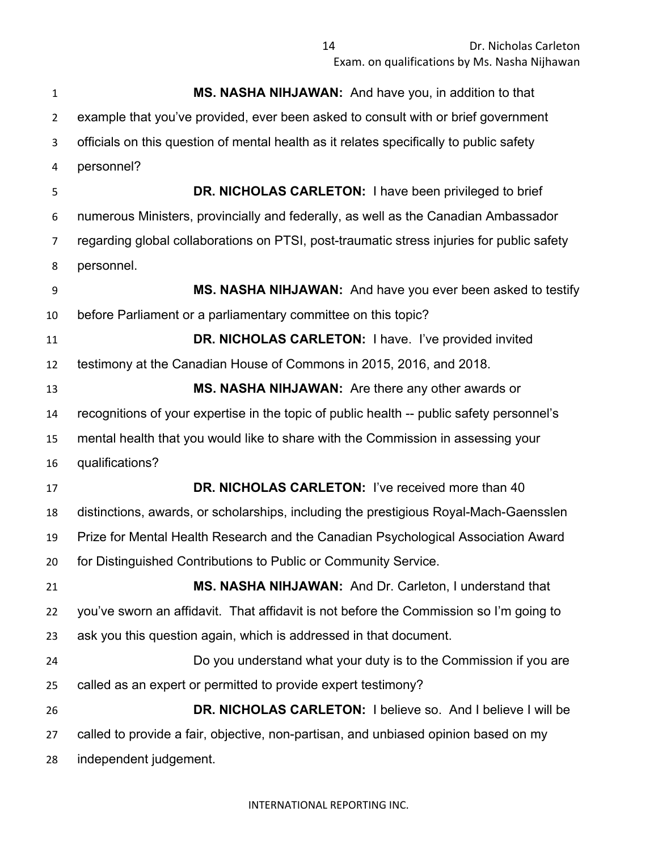**MS. NASHA NIHJAWAN:** And have you, in addition to that example that you've provided, ever been asked to consult with or brief government officials on this question of mental health as it relates specifically to public safety personnel? **DR. NICHOLAS CARLETON:** I have been privileged to brief numerous Ministers, provincially and federally, as well as the Canadian Ambassador regarding global collaborations on PTSI, post-traumatic stress injuries for public safety personnel. **MS. NASHA NIHJAWAN:** And have you ever been asked to testify before Parliament or a parliamentary committee on this topic? **DR. NICHOLAS CARLETON:** I have. I've provided invited testimony at the Canadian House of Commons in 2015, 2016, and 2018. **MS. NASHA NIHJAWAN:** Are there any other awards or recognitions of your expertise in the topic of public health -- public safety personnel's mental health that you would like to share with the Commission in assessing your qualifications? **DR. NICHOLAS CARLETON:** I've received more than 40 distinctions, awards, or scholarships, including the prestigious Royal-Mach-Gaensslen Prize for Mental Health Research and the Canadian Psychological Association Award for Distinguished Contributions to Public or Community Service. **MS. NASHA NIHJAWAN:** And Dr. Carleton, I understand that you've sworn an affidavit. That affidavit is not before the Commission so I'm going to ask you this question again, which is addressed in that document. Do you understand what your duty is to the Commission if you are called as an expert or permitted to provide expert testimony? **DR. NICHOLAS CARLETON:** I believe so. And I believe I will be called to provide a fair, objective, non-partisan, and unbiased opinion based on my independent judgement.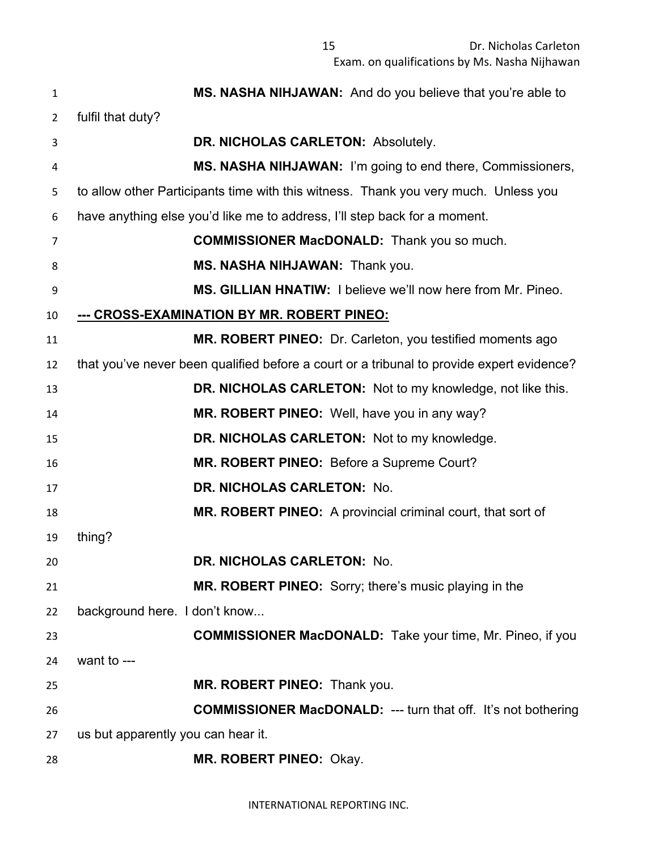| $\mathbf{1}$   | MS. NASHA NIHJAWAN: And do you believe that you're able to                                |
|----------------|-------------------------------------------------------------------------------------------|
| $\overline{2}$ | fulfil that duty?                                                                         |
| 3              | DR. NICHOLAS CARLETON: Absolutely.                                                        |
| 4              | MS. NASHA NIHJAWAN: I'm going to end there, Commissioners,                                |
| 5              | to allow other Participants time with this witness. Thank you very much. Unless you       |
| 6              | have anything else you'd like me to address, I'll step back for a moment.                 |
| 7              | <b>COMMISSIONER MacDONALD:</b> Thank you so much.                                         |
| 8              | MS. NASHA NIHJAWAN: Thank you.                                                            |
| 9              | MS. GILLIAN HNATIW: I believe we'll now here from Mr. Pineo.                              |
| 10             | --- CROSS-EXAMINATION BY MR. ROBERT PINEO:                                                |
| 11             | MR. ROBERT PINEO: Dr. Carleton, you testified moments ago                                 |
| 12             | that you've never been qualified before a court or a tribunal to provide expert evidence? |
| 13             | DR. NICHOLAS CARLETON: Not to my knowledge, not like this.                                |
| 14             | MR. ROBERT PINEO: Well, have you in any way?                                              |
| 15             | DR. NICHOLAS CARLETON: Not to my knowledge.                                               |
| 16             | MR. ROBERT PINEO: Before a Supreme Court?                                                 |
| 17             | DR. NICHOLAS CARLETON: No.                                                                |
| 18             | MR. ROBERT PINEO: A provincial criminal court, that sort of                               |
| 19             | thing?                                                                                    |
| 20             | DR. NICHOLAS CARLETON: No.                                                                |
| 21             | MR. ROBERT PINEO: Sorry; there's music playing in the                                     |
| 22             | background here. I don't know                                                             |
| 23             | <b>COMMISSIONER MacDONALD:</b> Take your time, Mr. Pineo, if you                          |
| 24             | want to ---                                                                               |
| 25             | MR. ROBERT PINEO: Thank you.                                                              |
| 26             | <b>COMMISSIONER MacDONALD: --- turn that off. It's not bothering</b>                      |
| 27             | us but apparently you can hear it.                                                        |
| 28             | MR. ROBERT PINEO: Okay.                                                                   |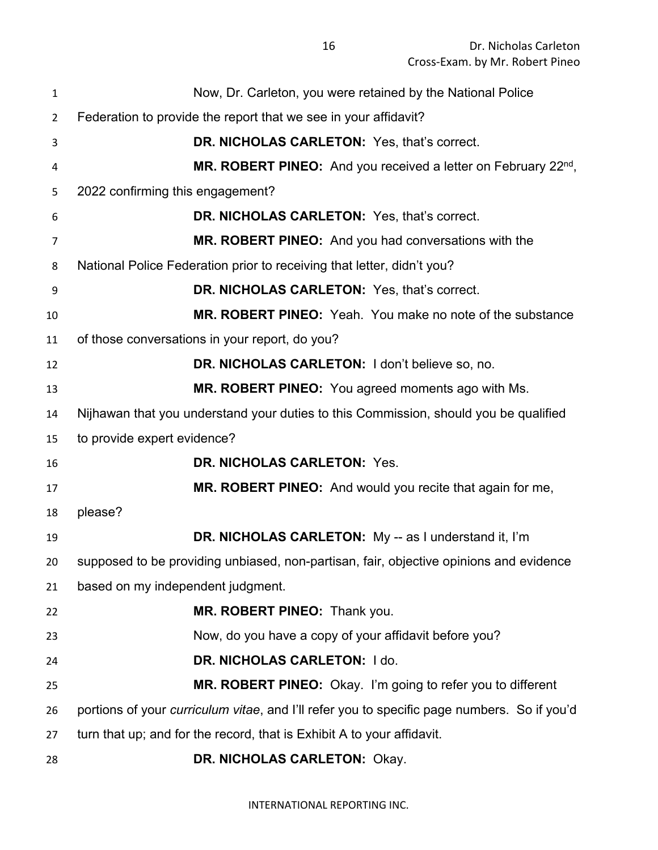| 1              | Now, Dr. Carleton, you were retained by the National Police                                 |
|----------------|---------------------------------------------------------------------------------------------|
| $\overline{2}$ | Federation to provide the report that we see in your affidavit?                             |
| 3              | DR. NICHOLAS CARLETON: Yes, that's correct.                                                 |
| 4              | <b>MR. ROBERT PINEO:</b> And you received a letter on February $22^{nd}$ ,                  |
| 5              | 2022 confirming this engagement?                                                            |
| 6              | DR. NICHOLAS CARLETON: Yes, that's correct.                                                 |
| 7              | MR. ROBERT PINEO: And you had conversations with the                                        |
| 8              | National Police Federation prior to receiving that letter, didn't you?                      |
| 9              | DR. NICHOLAS CARLETON: Yes, that's correct.                                                 |
| 10             | MR. ROBERT PINEO: Yeah. You make no note of the substance                                   |
| 11             | of those conversations in your report, do you?                                              |
| 12             | DR. NICHOLAS CARLETON: I don't believe so, no.                                              |
| 13             | MR. ROBERT PINEO: You agreed moments ago with Ms.                                           |
| 14             | Nijhawan that you understand your duties to this Commission, should you be qualified        |
| 15             | to provide expert evidence?                                                                 |
| 16             | DR. NICHOLAS CARLETON: Yes.                                                                 |
| 17             | MR. ROBERT PINEO: And would you recite that again for me,                                   |
| 18             | please?                                                                                     |
| 19             | <b>DR. NICHOLAS CARLETON:</b> My -- as I understand it, I'm                                 |
| 20             | supposed to be providing unbiased, non-partisan, fair, objective opinions and evidence      |
| 21             | based on my independent judgment.                                                           |
| 22             | MR. ROBERT PINEO: Thank you.                                                                |
| 23             | Now, do you have a copy of your affidavit before you?                                       |
| 24             | DR. NICHOLAS CARLETON: I do.                                                                |
| 25             | MR. ROBERT PINEO: Okay. I'm going to refer you to different                                 |
| 26             | portions of your curriculum vitae, and I'll refer you to specific page numbers. So if you'd |
| 27             | turn that up; and for the record, that is Exhibit A to your affidavit.                      |
| 28             | DR. NICHOLAS CARLETON: Okay.                                                                |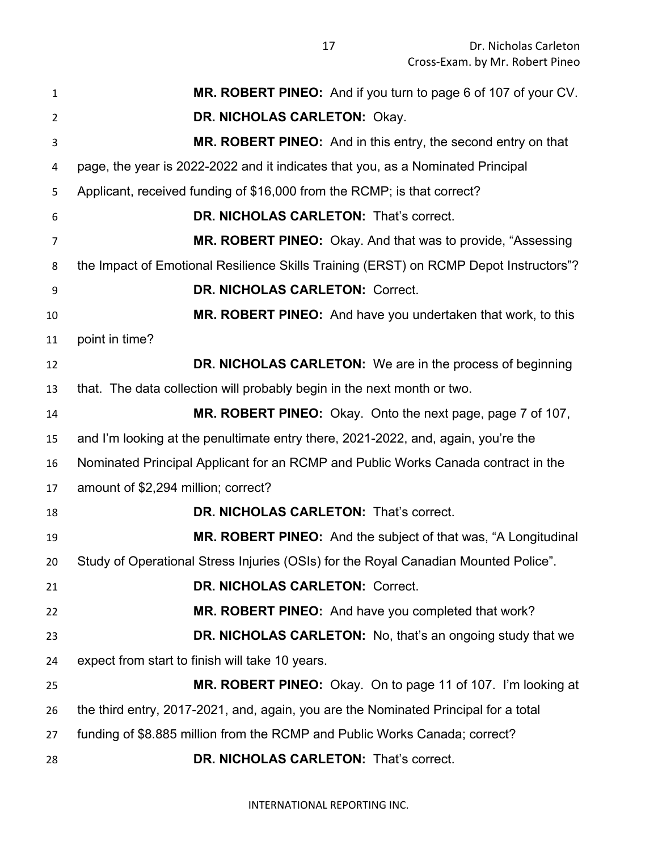| 1              | MR. ROBERT PINEO: And if you turn to page 6 of 107 of your CV.                        |
|----------------|---------------------------------------------------------------------------------------|
| $\overline{2}$ | DR. NICHOLAS CARLETON: Okay.                                                          |
| 3              | MR. ROBERT PINEO: And in this entry, the second entry on that                         |
| 4              | page, the year is 2022-2022 and it indicates that you, as a Nominated Principal       |
| 5              | Applicant, received funding of \$16,000 from the RCMP; is that correct?               |
| 6              | DR. NICHOLAS CARLETON: That's correct.                                                |
| 7              | MR. ROBERT PINEO: Okay. And that was to provide, "Assessing                           |
| 8              | the Impact of Emotional Resilience Skills Training (ERST) on RCMP Depot Instructors"? |
| 9              | DR. NICHOLAS CARLETON: Correct.                                                       |
| 10             | MR. ROBERT PINEO: And have you undertaken that work, to this                          |
| 11             | point in time?                                                                        |
| 12             | DR. NICHOLAS CARLETON: We are in the process of beginning                             |
| 13             | that. The data collection will probably begin in the next month or two.               |
| 14             | MR. ROBERT PINEO: Okay. Onto the next page, page 7 of 107,                            |
| 15             | and I'm looking at the penultimate entry there, 2021-2022, and, again, you're the     |
| 16             | Nominated Principal Applicant for an RCMP and Public Works Canada contract in the     |
| 17             | amount of \$2,294 million; correct?                                                   |
| 18             | DR. NICHOLAS CARLETON: That's correct.                                                |
| 19             | MR. ROBERT PINEO: And the subject of that was, "A Longitudinal                        |
| 20             | Study of Operational Stress Injuries (OSIs) for the Royal Canadian Mounted Police"    |
| 21             | DR. NICHOLAS CARLETON: Correct.                                                       |
| 22             | MR. ROBERT PINEO: And have you completed that work?                                   |
| 23             | <b>DR. NICHOLAS CARLETON:</b> No, that's an ongoing study that we                     |
| 24             | expect from start to finish will take 10 years.                                       |
| 25             | MR. ROBERT PINEO: Okay. On to page 11 of 107. I'm looking at                          |
| 26             | the third entry, 2017-2021, and, again, you are the Nominated Principal for a total   |
| 27             | funding of \$8.885 million from the RCMP and Public Works Canada; correct?            |
| 28             | DR. NICHOLAS CARLETON: That's correct.                                                |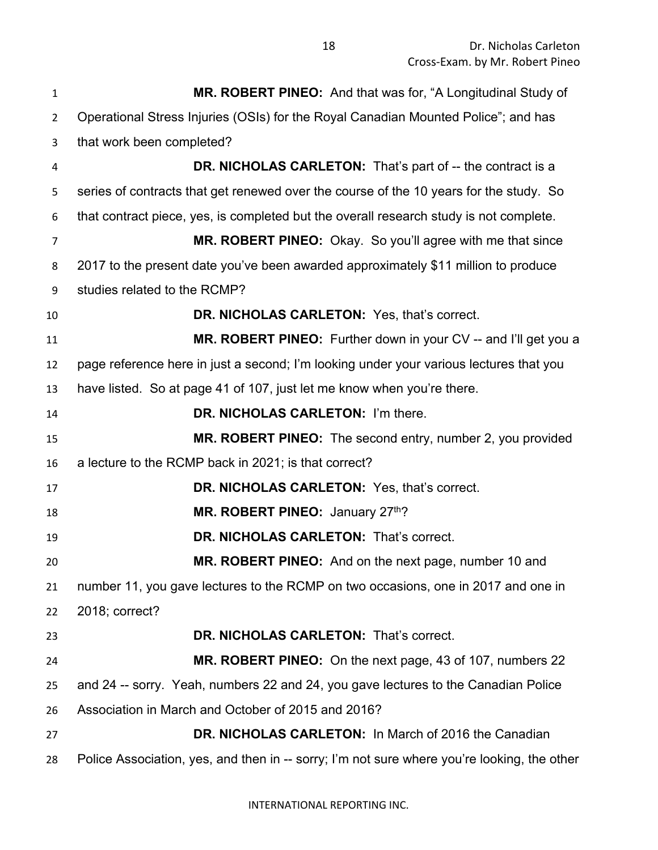| $\mathbf{1}$   | MR. ROBERT PINEO: And that was for, "A Longitudinal Study of                                |
|----------------|---------------------------------------------------------------------------------------------|
| $\overline{2}$ | Operational Stress Injuries (OSIs) for the Royal Canadian Mounted Police"; and has          |
| 3              | that work been completed?                                                                   |
| 4              | DR. NICHOLAS CARLETON: That's part of -- the contract is a                                  |
| 5              | series of contracts that get renewed over the course of the 10 years for the study. So      |
| 6              | that contract piece, yes, is completed but the overall research study is not complete.      |
| $\overline{7}$ | MR. ROBERT PINEO: Okay. So you'll agree with me that since                                  |
| 8              | 2017 to the present date you've been awarded approximately \$11 million to produce          |
| 9              | studies related to the RCMP?                                                                |
| 10             | DR. NICHOLAS CARLETON: Yes, that's correct.                                                 |
| 11             | MR. ROBERT PINEO: Further down in your CV -- and I'll get you a                             |
| 12             | page reference here in just a second; I'm looking under your various lectures that you      |
| 13             | have listed. So at page 41 of 107, just let me know when you're there.                      |
| 14             | DR. NICHOLAS CARLETON: I'm there.                                                           |
| 15             | MR. ROBERT PINEO: The second entry, number 2, you provided                                  |
| 16             | a lecture to the RCMP back in 2021; is that correct?                                        |
| 17             | DR. NICHOLAS CARLETON: Yes, that's correct.                                                 |
| 18             | MR. ROBERT PINEO: January 27th?                                                             |
| 19             | DR. NICHOLAS CARLETON: That's correct.                                                      |
| 20             | MR. ROBERT PINEO: And on the next page, number 10 and                                       |
| 21             | number 11, you gave lectures to the RCMP on two occasions, one in 2017 and one in           |
| 22             | 2018; correct?                                                                              |
| 23             | DR. NICHOLAS CARLETON: That's correct.                                                      |
| 24             | MR. ROBERT PINEO: On the next page, 43 of 107, numbers 22                                   |
| 25             | and 24 -- sorry. Yeah, numbers 22 and 24, you gave lectures to the Canadian Police          |
| 26             | Association in March and October of 2015 and 2016?                                          |
| 27             | <b>DR. NICHOLAS CARLETON: In March of 2016 the Canadian</b>                                 |
| 28             | Police Association, yes, and then in -- sorry; I'm not sure where you're looking, the other |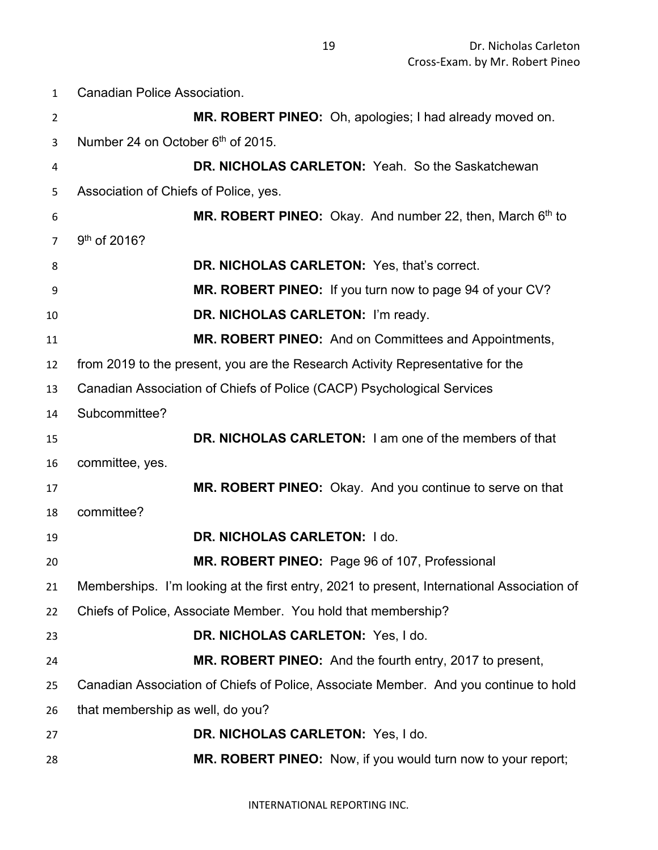Canadian Police Association.

| $\overline{2}$ | MR. ROBERT PINEO: Oh, apologies; I had already moved on.                                   |
|----------------|--------------------------------------------------------------------------------------------|
| 3              | Number 24 on October 6th of 2015.                                                          |
| 4              | DR. NICHOLAS CARLETON: Yeah. So the Saskatchewan                                           |
| 5              | Association of Chiefs of Police, yes.                                                      |
| 6              | MR. ROBERT PINEO: Okay. And number 22, then, March 6th to                                  |
| $\overline{7}$ | 9 <sup>th</sup> of 2016?                                                                   |
| 8              | DR. NICHOLAS CARLETON: Yes, that's correct.                                                |
| 9              | MR. ROBERT PINEO: If you turn now to page 94 of your CV?                                   |
| 10             | DR. NICHOLAS CARLETON: I'm ready.                                                          |
| 11             | MR. ROBERT PINEO: And on Committees and Appointments,                                      |
| 12             | from 2019 to the present, you are the Research Activity Representative for the             |
| 13             | Canadian Association of Chiefs of Police (CACP) Psychological Services                     |
| 14             | Subcommittee?                                                                              |
| 15             | DR. NICHOLAS CARLETON: I am one of the members of that                                     |
| 16             | committee, yes.                                                                            |
| 17             | MR. ROBERT PINEO: Okay. And you continue to serve on that                                  |
| 18             | committee?                                                                                 |
| 19             | DR. NICHOLAS CARLETON: I do.                                                               |
| 20             | MR. ROBERT PINEO: Page 96 of 107, Professional                                             |
| 21             | Memberships. I'm looking at the first entry, 2021 to present, International Association of |
| 22             | Chiefs of Police, Associate Member. You hold that membership?                              |
| 23             | DR. NICHOLAS CARLETON: Yes, I do.                                                          |
| 24             | MR. ROBERT PINEO: And the fourth entry, 2017 to present,                                   |
| 25             | Canadian Association of Chiefs of Police, Associate Member. And you continue to hold       |
| 26             | that membership as well, do you?                                                           |
| 27             | DR. NICHOLAS CARLETON: Yes, I do.                                                          |
| 28             | MR. ROBERT PINEO: Now, if you would turn now to your report;                               |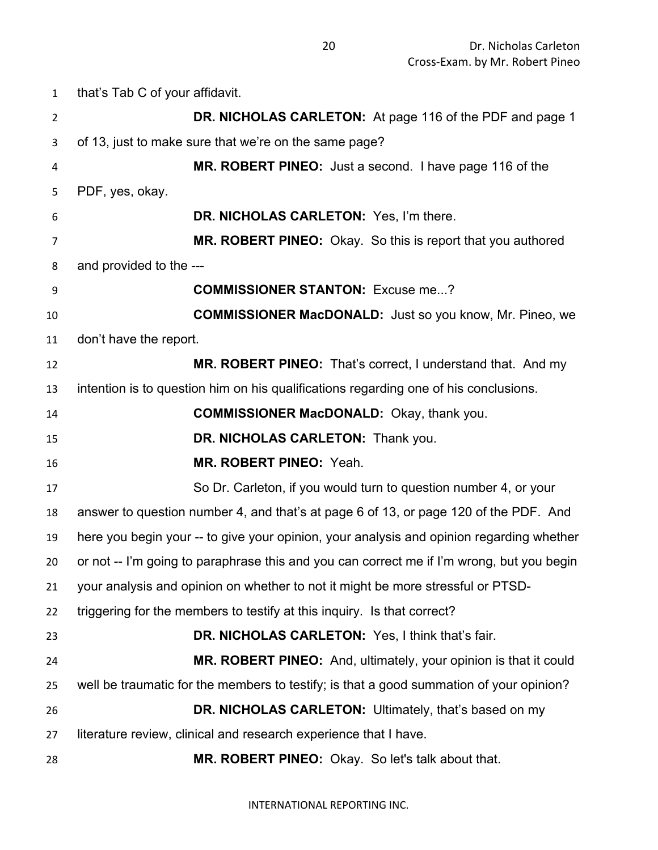that's Tab C of your affidavit. **DR. NICHOLAS CARLETON:** At page 116 of the PDF and page 1 of 13, just to make sure that we're on the same page? **MR. ROBERT PINEO:** Just a second. I have page 116 of the PDF, yes, okay. **DR. NICHOLAS CARLETON:** Yes, I'm there. **MR. ROBERT PINEO:** Okay. So this is report that you authored and provided to the --- **COMMISSIONER STANTON:** Excuse me...? **COMMISSIONER MacDONALD:** Just so you know, Mr. Pineo, we don't have the report. **MR. ROBERT PINEO:** That's correct, I understand that. And my intention is to question him on his qualifications regarding one of his conclusions. **COMMISSIONER MacDONALD:** Okay, thank you. **DR. NICHOLAS CARLETON:** Thank you. **MR. ROBERT PINEO:** Yeah. So Dr. Carleton, if you would turn to question number 4, or your answer to question number 4, and that's at page 6 of 13, or page 120 of the PDF. And here you begin your -- to give your opinion, your analysis and opinion regarding whether or not -- I'm going to paraphrase this and you can correct me if I'm wrong, but you begin your analysis and opinion on whether to not it might be more stressful or PTSD- triggering for the members to testify at this inquiry. Is that correct? **DR. NICHOLAS CARLETON:** Yes, I think that's fair. **MR. ROBERT PINEO:** And, ultimately, your opinion is that it could well be traumatic for the members to testify; is that a good summation of your opinion? **DR. NICHOLAS CARLETON:** Ultimately, that's based on my literature review, clinical and research experience that I have. **MR. ROBERT PINEO:** Okay. So let's talk about that.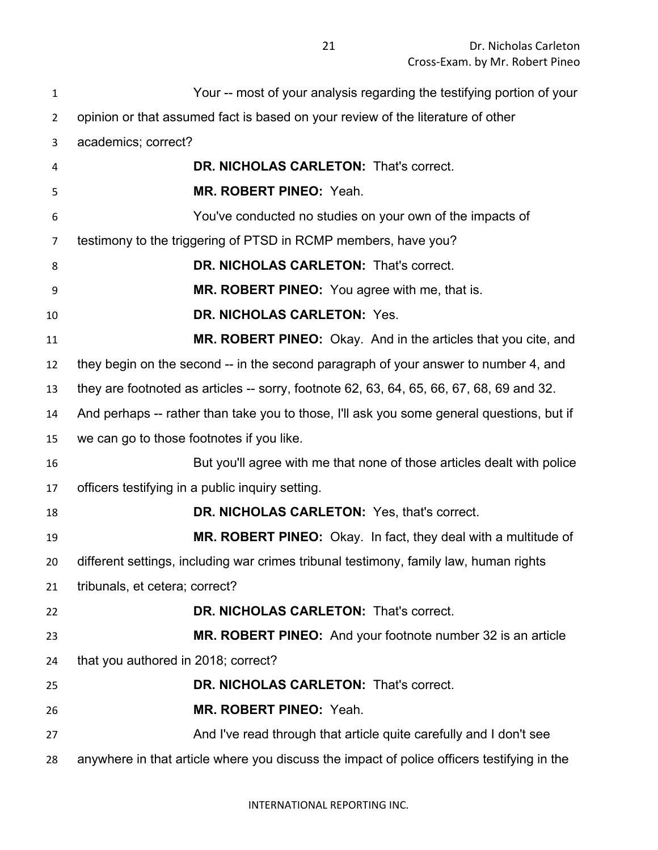Dr. Nicholas Carleton Cross-Exam. by Mr. Robert Pineo

| $\mathbf{1}$   | Your -- most of your analysis regarding the testifying portion of your                     |
|----------------|--------------------------------------------------------------------------------------------|
| $\overline{2}$ | opinion or that assumed fact is based on your review of the literature of other            |
| 3              | academics; correct?                                                                        |
| 4              | DR. NICHOLAS CARLETON: That's correct.                                                     |
| 5              | MR. ROBERT PINEO: Yeah.                                                                    |
| 6              | You've conducted no studies on your own of the impacts of                                  |
| 7              | testimony to the triggering of PTSD in RCMP members, have you?                             |
| 8              | DR. NICHOLAS CARLETON: That's correct.                                                     |
| 9              | MR. ROBERT PINEO: You agree with me, that is.                                              |
| 10             | DR. NICHOLAS CARLETON: Yes.                                                                |
| 11             | MR. ROBERT PINEO: Okay. And in the articles that you cite, and                             |
| 12             | they begin on the second -- in the second paragraph of your answer to number 4, and        |
| 13             | they are footnoted as articles -- sorry, footnote 62, 63, 64, 65, 66, 67, 68, 69 and 32.   |
| 14             | And perhaps -- rather than take you to those, I'll ask you some general questions, but if  |
| 15             | we can go to those footnotes if you like.                                                  |
| 16             | But you'll agree with me that none of those articles dealt with police                     |
| 17             | officers testifying in a public inquiry setting.                                           |
| 18             | DR. NICHOLAS CARLETON: Yes, that's correct.                                                |
| 19             | MR. ROBERT PINEO: Okay. In fact, they deal with a multitude of                             |
| 20             | different settings, including war crimes tribunal testimony, family law, human rights      |
| 21             | tribunals, et cetera; correct?                                                             |
| 22             | DR. NICHOLAS CARLETON: That's correct.                                                     |
| 23             | <b>MR. ROBERT PINEO:</b> And your footnote number 32 is an article                         |
| 24             | that you authored in 2018; correct?                                                        |
| 25             | DR. NICHOLAS CARLETON: That's correct.                                                     |
| 26             | MR. ROBERT PINEO: Yeah.                                                                    |
| 27             | And I've read through that article quite carefully and I don't see                         |
| 28             | anywhere in that article where you discuss the impact of police officers testifying in the |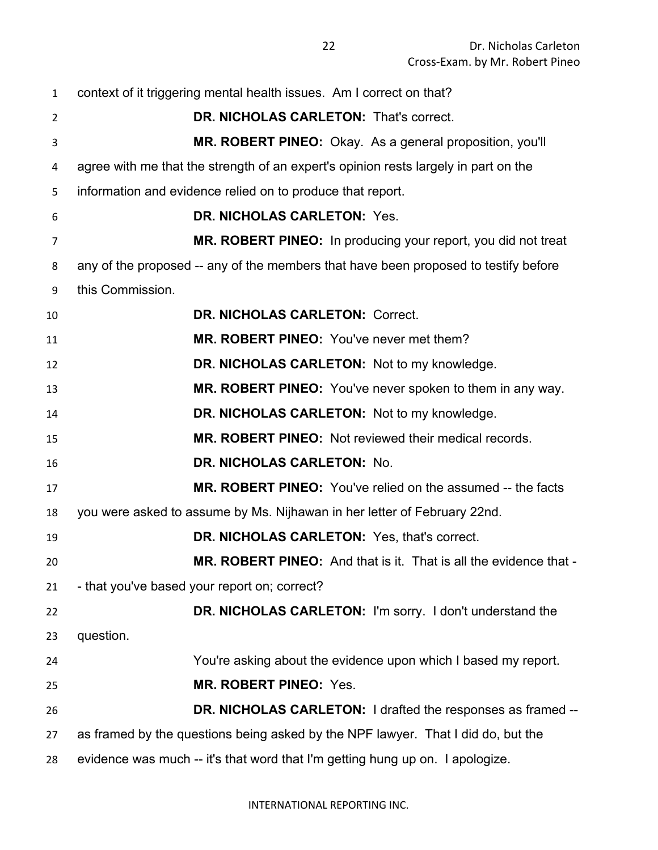context of it triggering mental health issues. Am I correct on that? **DR. NICHOLAS CARLETON:** That's correct. **MR. ROBERT PINEO:** Okay. As a general proposition, you'll agree with me that the strength of an expert's opinion rests largely in part on the information and evidence relied on to produce that report. **DR. NICHOLAS CARLETON:** Yes. **MR. ROBERT PINEO:** In producing your report, you did not treat any of the proposed -- any of the members that have been proposed to testify before this Commission. **DR. NICHOLAS CARLETON:** Correct. **MR. ROBERT PINEO:** You've never met them? **DR. NICHOLAS CARLETON:** Not to my knowledge. **MR. ROBERT PINEO:** You've never spoken to them in any way. **DR. NICHOLAS CARLETON:** Not to my knowledge. **MR. ROBERT PINEO:** Not reviewed their medical records. **DR. NICHOLAS CARLETON:** No. **MR. ROBERT PINEO:** You've relied on the assumed -- the facts you were asked to assume by Ms. Nijhawan in her letter of February 22nd. **DR. NICHOLAS CARLETON:** Yes, that's correct. **MR. ROBERT PINEO:** And that is it. That is all the evidence that - - that you've based your report on; correct? **DR. NICHOLAS CARLETON:** I'm sorry. I don't understand the question. You're asking about the evidence upon which I based my report. **MR. ROBERT PINEO:** Yes. **DR. NICHOLAS CARLETON:** I drafted the responses as framed -- as framed by the questions being asked by the NPF lawyer. That I did do, but the evidence was much -- it's that word that I'm getting hung up on. I apologize.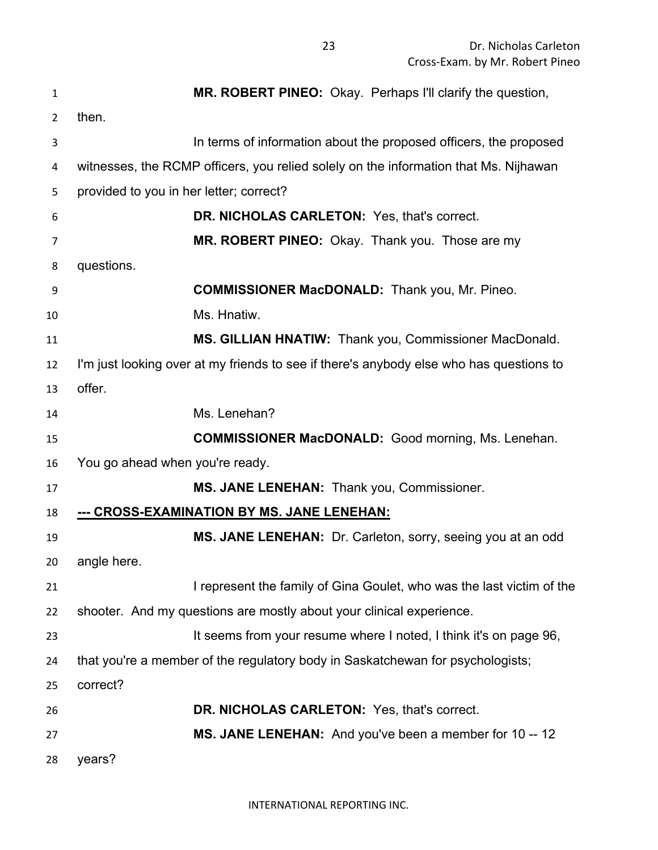| $\mathbf{1}$ | MR. ROBERT PINEO: Okay. Perhaps I'll clarify the question,                              |
|--------------|-----------------------------------------------------------------------------------------|
| 2            | then.                                                                                   |
| 3            | In terms of information about the proposed officers, the proposed                       |
| 4            | witnesses, the RCMP officers, you relied solely on the information that Ms. Nijhawan    |
| 5            | provided to you in her letter; correct?                                                 |
| 6            | DR. NICHOLAS CARLETON: Yes, that's correct.                                             |
| 7            | MR. ROBERT PINEO: Okay. Thank you. Those are my                                         |
| 8            | questions.                                                                              |
| 9            | <b>COMMISSIONER MacDONALD:</b> Thank you, Mr. Pineo.                                    |
| 10           | Ms. Hnatiw.                                                                             |
| 11           | MS. GILLIAN HNATIW: Thank you, Commissioner MacDonald.                                  |
| 12           | I'm just looking over at my friends to see if there's anybody else who has questions to |
| 13           | offer.                                                                                  |
| 14           | Ms. Lenehan?                                                                            |
| 15           | <b>COMMISSIONER MacDONALD:</b> Good morning, Ms. Lenehan.                               |
| 16           | You go ahead when you're ready.                                                         |
| 17           | MS. JANE LENEHAN: Thank you, Commissioner.                                              |
| 18           | <u>--- CROSS-EXAMINATION BY MS. JANE LENEHAN:</u>                                       |
| 19           | MS. JANE LENEHAN: Dr. Carleton, sorry, seeing you at an odd                             |
| 20           | angle here.                                                                             |
| 21           | I represent the family of Gina Goulet, who was the last victim of the                   |
| 22           | shooter. And my questions are mostly about your clinical experience.                    |
| 23           | It seems from your resume where I noted, I think it's on page 96,                       |
| 24           | that you're a member of the regulatory body in Saskatchewan for psychologists;          |
| 25           | correct?                                                                                |
| 26           | DR. NICHOLAS CARLETON: Yes, that's correct.                                             |
| 27           | MS. JANE LENEHAN: And you've been a member for 10 -- 12                                 |
| 28           | years?                                                                                  |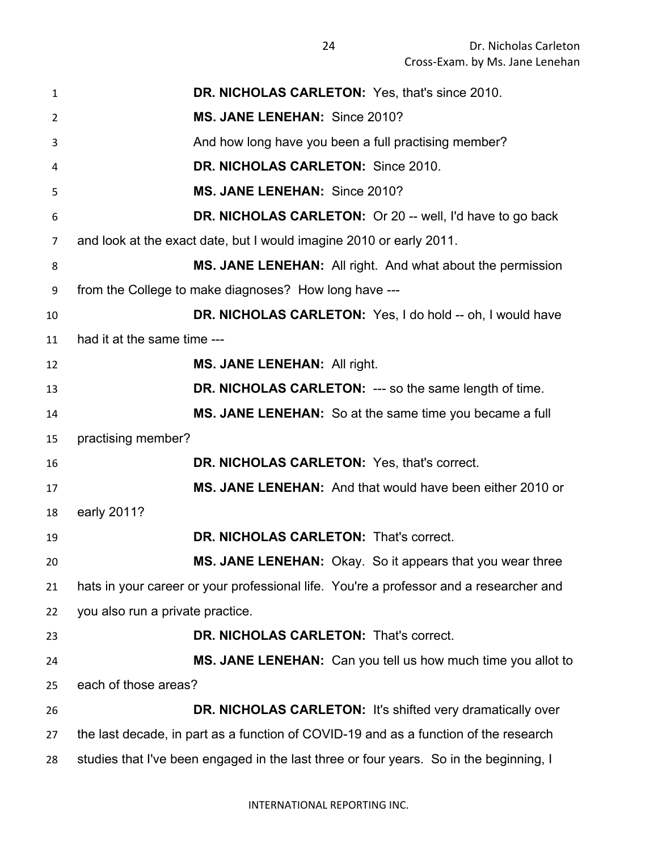| $\mathbf{1}$   | DR. NICHOLAS CARLETON: Yes, that's since 2010.                                         |
|----------------|----------------------------------------------------------------------------------------|
| $\overline{2}$ | MS. JANE LENEHAN: Since 2010?                                                          |
| 3              | And how long have you been a full practising member?                                   |
| 4              | DR. NICHOLAS CARLETON: Since 2010.                                                     |
| 5              | MS. JANE LENEHAN: Since 2010?                                                          |
| 6              | <b>DR. NICHOLAS CARLETON:</b> Or 20 -- well, I'd have to go back                       |
| 7              | and look at the exact date, but I would imagine 2010 or early 2011.                    |
| 8              | <b>MS. JANE LENEHAN:</b> All right. And what about the permission                      |
| 9              | from the College to make diagnoses? How long have ---                                  |
| 10             | DR. NICHOLAS CARLETON: Yes, I do hold -- oh, I would have                              |
| 11             | had it at the same time ---                                                            |
| 12             | MS. JANE LENEHAN: All right.                                                           |
| 13             | <b>DR. NICHOLAS CARLETON: --- so the same length of time.</b>                          |
| 14             | MS. JANE LENEHAN: So at the same time you became a full                                |
| 15             | practising member?                                                                     |
| 16             | DR. NICHOLAS CARLETON: Yes, that's correct.                                            |
| 17             | MS. JANE LENEHAN: And that would have been either 2010 or                              |
| 18             | early 2011?                                                                            |
| 19             | DR. NICHOLAS CARLETON: That's correct.                                                 |
| 20             | MS. JANE LENEHAN: Okay. So it appears that you wear three                              |
| 21             | hats in your career or your professional life. You're a professor and a researcher and |
| 22             | you also run a private practice.                                                       |
| 23             | DR. NICHOLAS CARLETON: That's correct.                                                 |
| 24             | MS. JANE LENEHAN: Can you tell us how much time you allot to                           |
| 25             | each of those areas?                                                                   |
| 26             | DR. NICHOLAS CARLETON: It's shifted very dramatically over                             |
| 27             | the last decade, in part as a function of COVID-19 and as a function of the research   |
| 28             | studies that I've been engaged in the last three or four years. So in the beginning, I |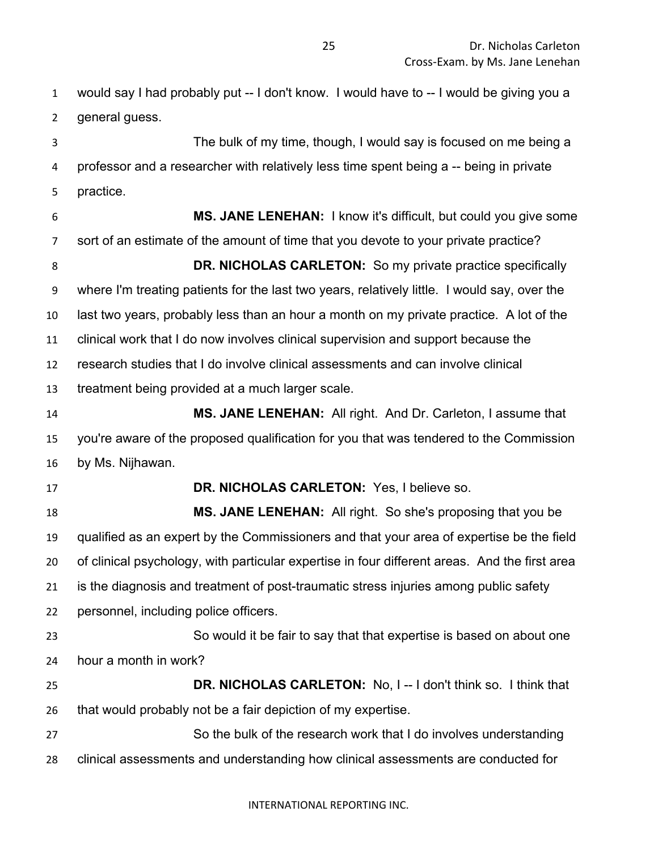would say I had probably put -- I don't know. I would have to -- I would be giving you a general guess.

 The bulk of my time, though, I would say is focused on me being a professor and a researcher with relatively less time spent being a -- being in private practice.

 **MS. JANE LENEHAN:** I know it's difficult, but could you give some sort of an estimate of the amount of time that you devote to your private practice? **DR. NICHOLAS CARLETON:** So my private practice specifically where I'm treating patients for the last two years, relatively little. I would say, over the last two years, probably less than an hour a month on my private practice. A lot of the clinical work that I do now involves clinical supervision and support because the research studies that I do involve clinical assessments and can involve clinical treatment being provided at a much larger scale. **MS. JANE LENEHAN:** All right. And Dr. Carleton, I assume that

 you're aware of the proposed qualification for you that was tendered to the Commission by Ms. Nijhawan.

 **DR. NICHOLAS CARLETON:** Yes, I believe so. **MS. JANE LENEHAN:** All right. So she's proposing that you be qualified as an expert by the Commissioners and that your area of expertise be the field of clinical psychology, with particular expertise in four different areas. And the first area is the diagnosis and treatment of post-traumatic stress injuries among public safety personnel, including police officers.

 So would it be fair to say that that expertise is based on about one hour a month in work?

 **DR. NICHOLAS CARLETON:** No, I -- I don't think so. I think that that would probably not be a fair depiction of my expertise.

 So the bulk of the research work that I do involves understanding clinical assessments and understanding how clinical assessments are conducted for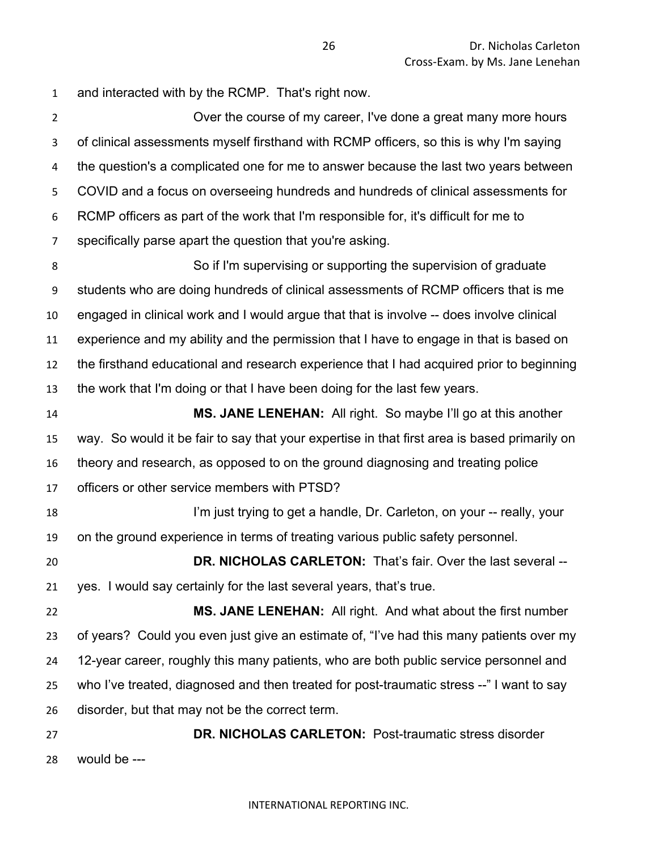and interacted with by the RCMP. That's right now.

 Over the course of my career, I've done a great many more hours of clinical assessments myself firsthand with RCMP officers, so this is why I'm saying the question's a complicated one for me to answer because the last two years between COVID and a focus on overseeing hundreds and hundreds of clinical assessments for RCMP officers as part of the work that I'm responsible for, it's difficult for me to specifically parse apart the question that you're asking. So if I'm supervising or supporting the supervision of graduate

 students who are doing hundreds of clinical assessments of RCMP officers that is me engaged in clinical work and I would argue that that is involve -- does involve clinical experience and my ability and the permission that I have to engage in that is based on the firsthand educational and research experience that I had acquired prior to beginning the work that I'm doing or that I have been doing for the last few years.

 **MS. JANE LENEHAN:** All right. So maybe I'll go at this another way. So would it be fair to say that your expertise in that first area is based primarily on theory and research, as opposed to on the ground diagnosing and treating police officers or other service members with PTSD?

18 I'm just trying to get a handle, Dr. Carleton, on your -- really, your on the ground experience in terms of treating various public safety personnel.

 **DR. NICHOLAS CARLETON:** That's fair. Over the last several -- yes. I would say certainly for the last several years, that's true.

 **MS. JANE LENEHAN:** All right. And what about the first number of years? Could you even just give an estimate of, "I've had this many patients over my 12-year career, roughly this many patients, who are both public service personnel and who I've treated, diagnosed and then treated for post-traumatic stress --" I want to say disorder, but that may not be the correct term.

 **DR. NICHOLAS CARLETON:** Post-traumatic stress disorder would be ---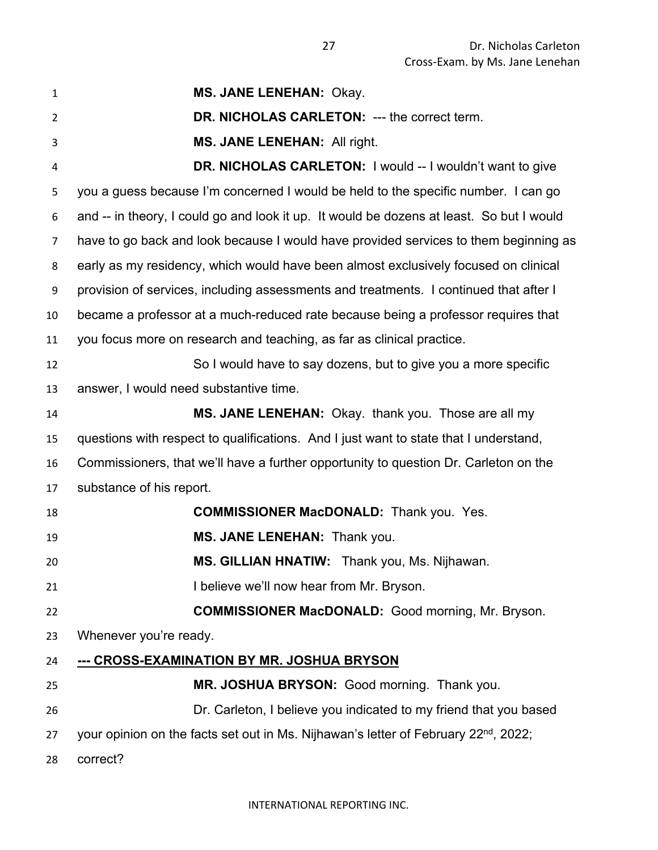| $\mathbf{1}$   | MS. JANE LENEHAN: Okay.                                                                         |
|----------------|-------------------------------------------------------------------------------------------------|
| $\overline{2}$ | DR. NICHOLAS CARLETON: --- the correct term.                                                    |
| 3              | MS. JANE LENEHAN: All right.                                                                    |
| 4              | <b>DR. NICHOLAS CARLETON: I would -- I wouldn't want to give</b>                                |
| 5              | you a guess because I'm concerned I would be held to the specific number. I can go              |
| 6              | and -- in theory, I could go and look it up. It would be dozens at least. So but I would        |
| 7              | have to go back and look because I would have provided services to them beginning as            |
| 8              | early as my residency, which would have been almost exclusively focused on clinical             |
| 9              | provision of services, including assessments and treatments. I continued that after I           |
| 10             | became a professor at a much-reduced rate because being a professor requires that               |
| 11             | you focus more on research and teaching, as far as clinical practice.                           |
| 12             | So I would have to say dozens, but to give you a more specific                                  |
| 13             | answer, I would need substantive time.                                                          |
| 14             | MS. JANE LENEHAN: Okay. thank you. Those are all my                                             |
| 15             | questions with respect to qualifications. And I just want to state that I understand,           |
| 16             | Commissioners, that we'll have a further opportunity to question Dr. Carleton on the            |
| 17             | substance of his report.                                                                        |
| 18             | <b>COMMISSIONER MacDONALD:</b> Thank you. Yes.                                                  |
| 19             | MS. JANE LENEHAN: Thank you.                                                                    |
| 20             | MS. GILLIAN HNATIW: Thank you, Ms. Nijhawan.                                                    |
| 21             | I believe we'll now hear from Mr. Bryson.                                                       |
| 22             | <b>COMMISSIONER MacDONALD:</b> Good morning, Mr. Bryson.                                        |
| 23             | Whenever you're ready.                                                                          |
| 24             | --- CROSS-EXAMINATION BY MR. JOSHUA BRYSON                                                      |
| 25             | MR. JOSHUA BRYSON: Good morning. Thank you.                                                     |
| 26             | Dr. Carleton, I believe you indicated to my friend that you based                               |
| 27             | your opinion on the facts set out in Ms. Nijhawan's letter of February 22 <sup>nd</sup> , 2022; |
| 28             | correct?                                                                                        |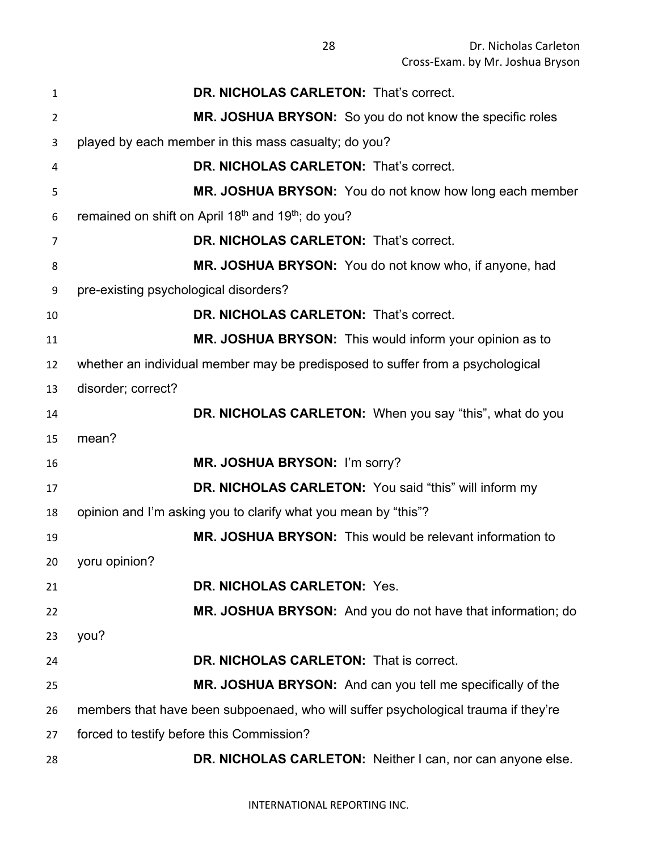| 1              | <b>DR. NICHOLAS CARLETON: That's correct.</b>                                      |
|----------------|------------------------------------------------------------------------------------|
| $\overline{2}$ | MR. JOSHUA BRYSON: So you do not know the specific roles                           |
| 3              | played by each member in this mass casualty; do you?                               |
| 4              | DR. NICHOLAS CARLETON: That's correct.                                             |
| 5              | MR. JOSHUA BRYSON: You do not know how long each member                            |
| 6              | remained on shift on April 18 <sup>th</sup> and 19 <sup>th</sup> ; do you?         |
| 7              | DR. NICHOLAS CARLETON: That's correct.                                             |
| 8              | MR. JOSHUA BRYSON: You do not know who, if anyone, had                             |
| 9              | pre-existing psychological disorders?                                              |
| 10             | DR. NICHOLAS CARLETON: That's correct.                                             |
| 11             | MR. JOSHUA BRYSON: This would inform your opinion as to                            |
| 12             | whether an individual member may be predisposed to suffer from a psychological     |
| 13             | disorder; correct?                                                                 |
| 14             | DR. NICHOLAS CARLETON: When you say "this", what do you                            |
| 15             | mean?                                                                              |
| 16             | MR. JOSHUA BRYSON: I'm sorry?                                                      |
| 17             | DR. NICHOLAS CARLETON: You said "this" will inform my                              |
| 18             | opinion and I'm asking you to clarify what you mean by "this"?                     |
| 19             | MR. JOSHUA BRYSON: This would be relevant information to                           |
| 20             | yoru opinion?                                                                      |
| 21             | DR. NICHOLAS CARLETON: Yes.                                                        |
| 22             | MR. JOSHUA BRYSON: And you do not have that information; do                        |
| 23             | you?                                                                               |
| 24             | DR. NICHOLAS CARLETON: That is correct.                                            |
| 25             | MR. JOSHUA BRYSON: And can you tell me specifically of the                         |
| 26             | members that have been subpoenaed, who will suffer psychological trauma if they're |
| 27             | forced to testify before this Commission?                                          |
| 28             | DR. NICHOLAS CARLETON: Neither I can, nor can anyone else.                         |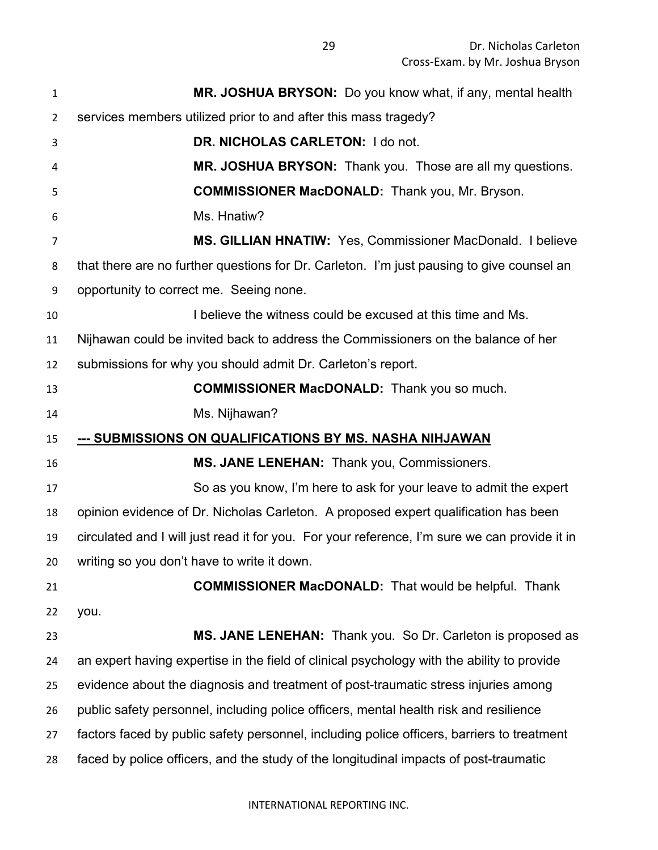| 1                                                  | MR. JOSHUA BRYSON: Do you know what, if any, mental health                                    |
|----------------------------------------------------|-----------------------------------------------------------------------------------------------|
| $\overline{2}$                                     | services members utilized prior to and after this mass tragedy?                               |
| 3                                                  | DR. NICHOLAS CARLETON: I do not.                                                              |
| 4                                                  | MR. JOSHUA BRYSON: Thank you. Those are all my questions.                                     |
| 5                                                  | <b>COMMISSIONER MacDONALD:</b> Thank you, Mr. Bryson.                                         |
| 6                                                  | Ms. Hnatiw?                                                                                   |
| $\overline{7}$                                     | MS. GILLIAN HNATIW: Yes, Commissioner MacDonald. I believe                                    |
| 8                                                  | that there are no further questions for Dr. Carleton. I'm just pausing to give counsel an     |
| 9                                                  | opportunity to correct me. Seeing none.                                                       |
| 10                                                 | I believe the witness could be excused at this time and Ms.                                   |
| 11                                                 | Nijhawan could be invited back to address the Commissioners on the balance of her             |
| 12                                                 | submissions for why you should admit Dr. Carleton's report.                                   |
| 13                                                 | <b>COMMISSIONER MacDONALD:</b> Thank you so much.                                             |
| 14                                                 | Ms. Nijhawan?                                                                                 |
|                                                    |                                                                                               |
| 15                                                 | --- SUBMISSIONS ON QUALIFICATIONS BY MS. NASHA NIHJAWAN                                       |
|                                                    | MS. JANE LENEHAN: Thank you, Commissioners.                                                   |
|                                                    | So as you know, I'm here to ask for your leave to admit the expert                            |
| 18                                                 | opinion evidence of Dr. Nicholas Carleton. A proposed expert qualification has been           |
| 19                                                 | circulated and I will just read it for you. For your reference, I'm sure we can provide it in |
|                                                    | writing so you don't have to write it down.                                                   |
|                                                    | <b>COMMISSIONER MacDONALD:</b> That would be helpful. Thank                                   |
|                                                    | you.                                                                                          |
|                                                    | MS. JANE LENEHAN: Thank you. So Dr. Carleton is proposed as                                   |
|                                                    | an expert having expertise in the field of clinical psychology with the ability to provide    |
|                                                    | evidence about the diagnosis and treatment of post-traumatic stress injuries among            |
| 16<br>17<br>20<br>21<br>22<br>23<br>24<br>25<br>26 | public safety personnel, including police officers, mental health risk and resilience         |
| 27                                                 | factors faced by public safety personnel, including police officers, barriers to treatment    |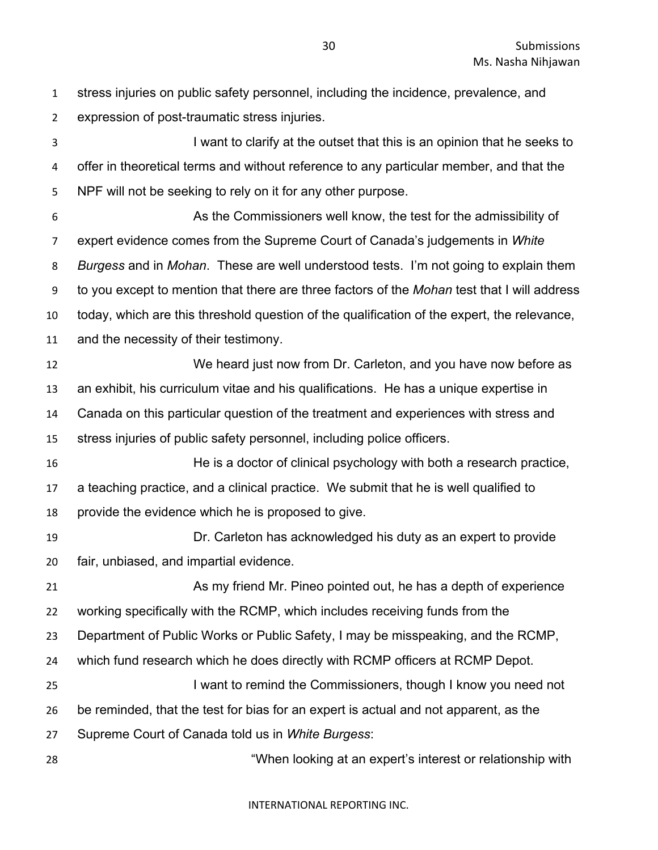stress injuries on public safety personnel, including the incidence, prevalence, and expression of post-traumatic stress injuries.

 I want to clarify at the outset that this is an opinion that he seeks to offer in theoretical terms and without reference to any particular member, and that the NPF will not be seeking to rely on it for any other purpose. As the Commissioners well know, the test for the admissibility of expert evidence comes from the Supreme Court of Canada's judgements in *White Burgess* and in *Mohan*. These are well understood tests. I'm not going to explain them to you except to mention that there are three factors of the *Mohan* test that I will address today, which are this threshold question of the qualification of the expert, the relevance, and the necessity of their testimony. We heard just now from Dr. Carleton, and you have now before as an exhibit, his curriculum vitae and his qualifications. He has a unique expertise in Canada on this particular question of the treatment and experiences with stress and stress injuries of public safety personnel, including police officers. He is a doctor of clinical psychology with both a research practice, a teaching practice, and a clinical practice. We submit that he is well qualified to provide the evidence which he is proposed to give. Dr. Carleton has acknowledged his duty as an expert to provide fair, unbiased, and impartial evidence. As my friend Mr. Pineo pointed out, he has a depth of experience working specifically with the RCMP, which includes receiving funds from the Department of Public Works or Public Safety, I may be misspeaking, and the RCMP, which fund research which he does directly with RCMP officers at RCMP Depot. I want to remind the Commissioners, though I know you need not be reminded, that the test for bias for an expert is actual and not apparent, as the Supreme Court of Canada told us in *White Burgess*: "When looking at an expert's interest or relationship with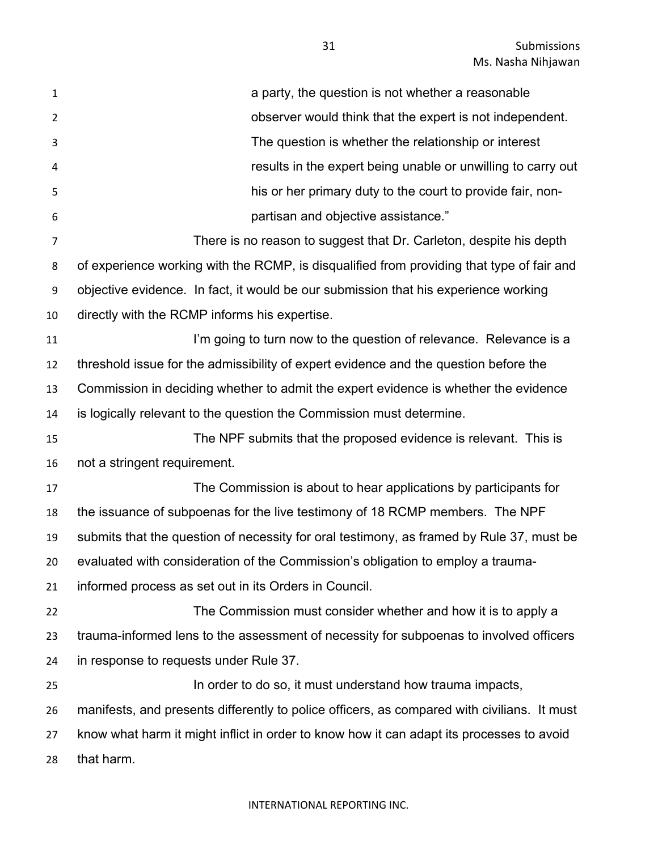| $\mathbf 1$    | a party, the question is not whether a reasonable                                           |
|----------------|---------------------------------------------------------------------------------------------|
| $\overline{2}$ | observer would think that the expert is not independent.                                    |
| 3              | The question is whether the relationship or interest                                        |
| 4              | results in the expert being unable or unwilling to carry out                                |
| 5              | his or her primary duty to the court to provide fair, non-                                  |
| 6              | partisan and objective assistance."                                                         |
| $\overline{7}$ | There is no reason to suggest that Dr. Carleton, despite his depth                          |
| 8              | of experience working with the RCMP, is disqualified from providing that type of fair and   |
| 9              | objective evidence. In fact, it would be our submission that his experience working         |
| 10             | directly with the RCMP informs his expertise.                                               |
| 11             | I'm going to turn now to the question of relevance. Relevance is a                          |
| 12             | threshold issue for the admissibility of expert evidence and the question before the        |
| 13             | Commission in deciding whether to admit the expert evidence is whether the evidence         |
| 14             | is logically relevant to the question the Commission must determine.                        |
| 15             | The NPF submits that the proposed evidence is relevant. This is                             |
| 16             | not a stringent requirement.                                                                |
| 17             | The Commission is about to hear applications by participants for                            |
| 18             | the issuance of subpoenas for the live testimony of 18 RCMP members. The NPF                |
| 19             | submits that the question of necessity for oral testimony, as framed by Rule 37, must be    |
| 20             | evaluated with consideration of the Commission's obligation to employ a trauma-             |
| 21             | informed process as set out in its Orders in Council.                                       |
| 22             | The Commission must consider whether and how it is to apply a                               |
| 23             | trauma-informed lens to the assessment of necessity for subpoenas to involved officers      |
| 24             | in response to requests under Rule 37.                                                      |
| 25             | In order to do so, it must understand how trauma impacts,                                   |
| 26             | manifests, and presents differently to police officers, as compared with civilians. It must |
| 27             | know what harm it might inflict in order to know how it can adapt its processes to avoid    |
| 28             | that harm.                                                                                  |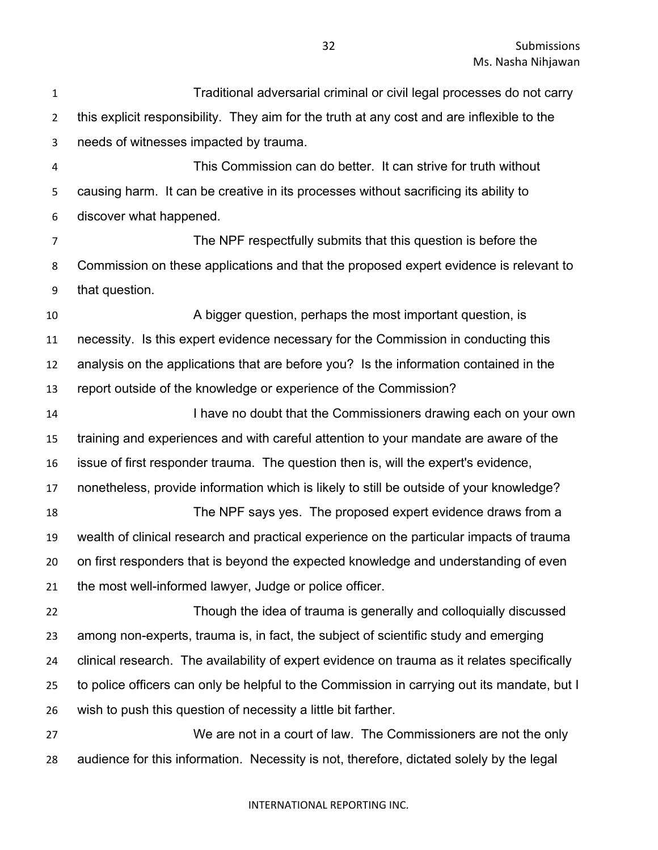Traditional adversarial criminal or civil legal processes do not carry this explicit responsibility. They aim for the truth at any cost and are inflexible to the needs of witnesses impacted by trauma.

 This Commission can do better. It can strive for truth without causing harm. It can be creative in its processes without sacrificing its ability to discover what happened.

 The NPF respectfully submits that this question is before the Commission on these applications and that the proposed expert evidence is relevant to that question.

 A bigger question, perhaps the most important question, is necessity. Is this expert evidence necessary for the Commission in conducting this analysis on the applications that are before you? Is the information contained in the report outside of the knowledge or experience of the Commission?

**I have no doubt that the Commissioners drawing each on your own**  training and experiences and with careful attention to your mandate are aware of the issue of first responder trauma. The question then is, will the expert's evidence, nonetheless, provide information which is likely to still be outside of your knowledge? The NPF says yes. The proposed expert evidence draws from a wealth of clinical research and practical experience on the particular impacts of trauma on first responders that is beyond the expected knowledge and understanding of even

the most well-informed lawyer, Judge or police officer.

 Though the idea of trauma is generally and colloquially discussed among non-experts, trauma is, in fact, the subject of scientific study and emerging clinical research. The availability of expert evidence on trauma as it relates specifically to police officers can only be helpful to the Commission in carrying out its mandate, but I wish to push this question of necessity a little bit farther.

 We are not in a court of law. The Commissioners are not the only audience for this information. Necessity is not, therefore, dictated solely by the legal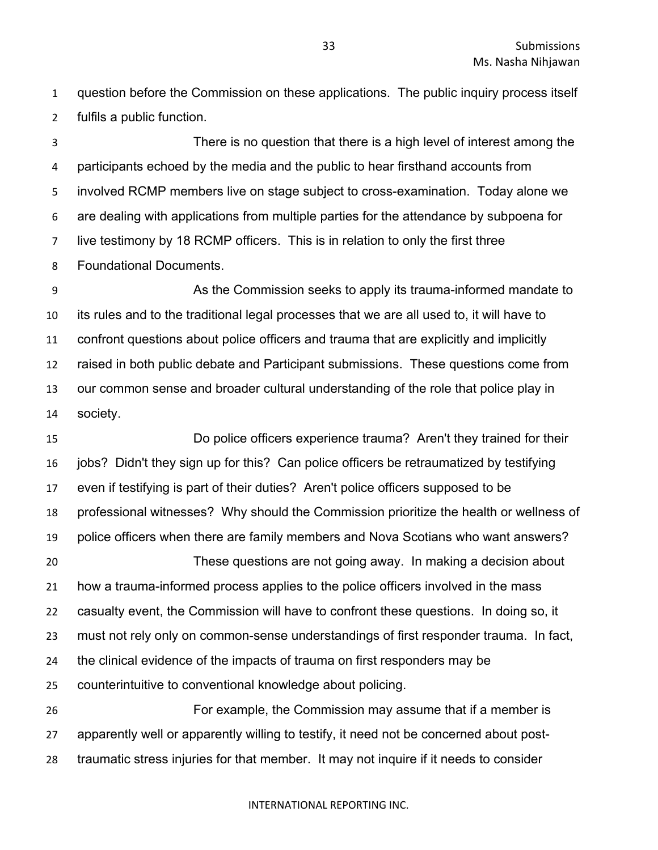question before the Commission on these applications. The public inquiry process itself fulfils a public function.

 There is no question that there is a high level of interest among the participants echoed by the media and the public to hear firsthand accounts from involved RCMP members live on stage subject to cross-examination. Today alone we are dealing with applications from multiple parties for the attendance by subpoena for live testimony by 18 RCMP officers. This is in relation to only the first three Foundational Documents.

 As the Commission seeks to apply its trauma-informed mandate to its rules and to the traditional legal processes that we are all used to, it will have to confront questions about police officers and trauma that are explicitly and implicitly raised in both public debate and Participant submissions. These questions come from our common sense and broader cultural understanding of the role that police play in society.

 Do police officers experience trauma? Aren't they trained for their jobs? Didn't they sign up for this? Can police officers be retraumatized by testifying even if testifying is part of their duties? Aren't police officers supposed to be professional witnesses? Why should the Commission prioritize the health or wellness of police officers when there are family members and Nova Scotians who want answers? These questions are not going away. In making a decision about how a trauma-informed process applies to the police officers involved in the mass casualty event, the Commission will have to confront these questions. In doing so, it must not rely only on common-sense understandings of first responder trauma. In fact, the clinical evidence of the impacts of trauma on first responders may be counterintuitive to conventional knowledge about policing. For example, the Commission may assume that if a member is apparently well or apparently willing to testify, it need not be concerned about post-

traumatic stress injuries for that member. It may not inquire if it needs to consider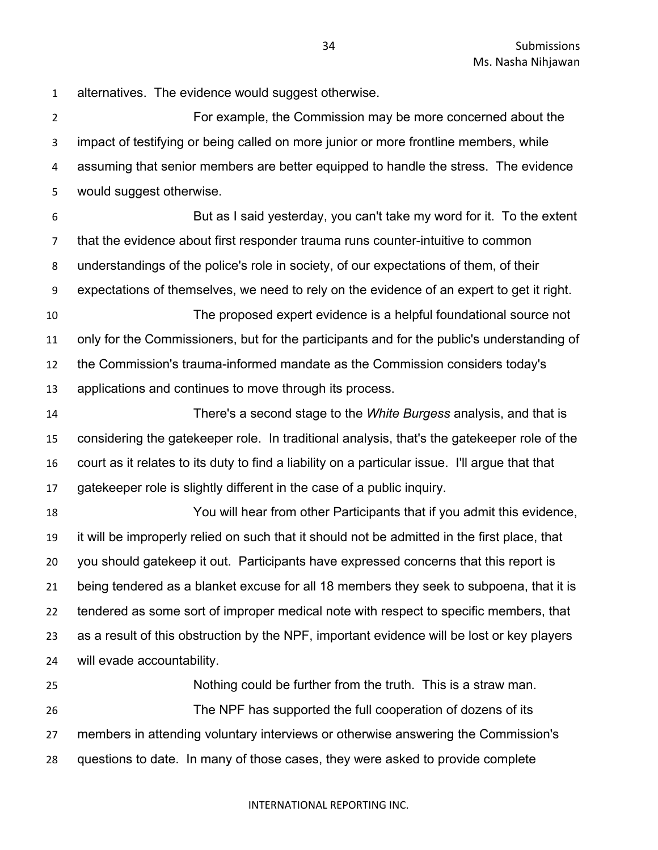alternatives. The evidence would suggest otherwise.

 For example, the Commission may be more concerned about the impact of testifying or being called on more junior or more frontline members, while assuming that senior members are better equipped to handle the stress. The evidence would suggest otherwise.

 But as I said yesterday, you can't take my word for it. To the extent that the evidence about first responder trauma runs counter-intuitive to common understandings of the police's role in society, of our expectations of them, of their expectations of themselves, we need to rely on the evidence of an expert to get it right. The proposed expert evidence is a helpful foundational source not

 only for the Commissioners, but for the participants and for the public's understanding of the Commission's trauma-informed mandate as the Commission considers today's applications and continues to move through its process.

 There's a second stage to the *White Burgess* analysis, and that is considering the gatekeeper role. In traditional analysis, that's the gatekeeper role of the court as it relates to its duty to find a liability on a particular issue. I'll argue that that gatekeeper role is slightly different in the case of a public inquiry.

 You will hear from other Participants that if you admit this evidence, it will be improperly relied on such that it should not be admitted in the first place, that you should gatekeep it out. Participants have expressed concerns that this report is being tendered as a blanket excuse for all 18 members they seek to subpoena, that it is tendered as some sort of improper medical note with respect to specific members, that as a result of this obstruction by the NPF, important evidence will be lost or key players will evade accountability.

 Nothing could be further from the truth. This is a straw man. The NPF has supported the full cooperation of dozens of its members in attending voluntary interviews or otherwise answering the Commission's questions to date. In many of those cases, they were asked to provide complete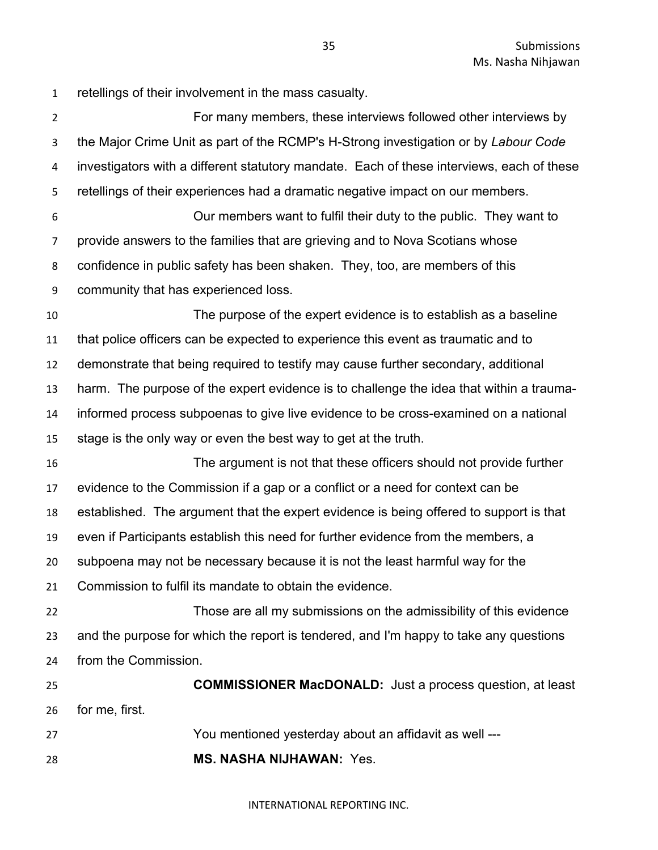retellings of their involvement in the mass casualty.

 For many members, these interviews followed other interviews by the Major Crime Unit as part of the RCMP's H-Strong investigation or by *Labour Code* investigators with a different statutory mandate. Each of these interviews, each of these retellings of their experiences had a dramatic negative impact on our members. Our members want to fulfil their duty to the public. They want to provide answers to the families that are grieving and to Nova Scotians whose confidence in public safety has been shaken. They, too, are members of this community that has experienced loss. The purpose of the expert evidence is to establish as a baseline that police officers can be expected to experience this event as traumatic and to demonstrate that being required to testify may cause further secondary, additional harm. The purpose of the expert evidence is to challenge the idea that within a trauma- informed process subpoenas to give live evidence to be cross-examined on a national stage is the only way or even the best way to get at the truth. The argument is not that these officers should not provide further evidence to the Commission if a gap or a conflict or a need for context can be established. The argument that the expert evidence is being offered to support is that even if Participants establish this need for further evidence from the members, a subpoena may not be necessary because it is not the least harmful way for the Commission to fulfil its mandate to obtain the evidence. Those are all my submissions on the admissibility of this evidence and the purpose for which the report is tendered, and I'm happy to take any questions from the Commission. **COMMISSIONER MacDONALD:** Just a process question, at least for me, first. You mentioned yesterday about an affidavit as well --- **MS. NASHA NIJHAWAN:** Yes.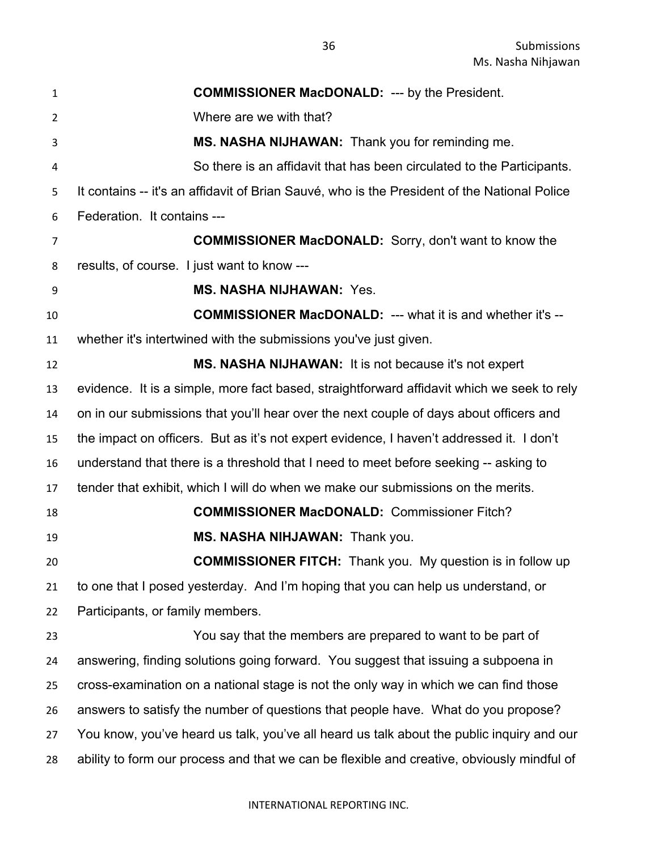| $\mathbf{1}$   | <b>COMMISSIONER MacDONALD: --- by the President.</b>                                         |
|----------------|----------------------------------------------------------------------------------------------|
| $\overline{2}$ | Where are we with that?                                                                      |
| 3              | MS. NASHA NIJHAWAN: Thank you for reminding me.                                              |
| 4              | So there is an affidavit that has been circulated to the Participants.                       |
| 5              | It contains -- it's an affidavit of Brian Sauvé, who is the President of the National Police |
| 6              | Federation. It contains ---                                                                  |
| 7              | <b>COMMISSIONER MacDONALD:</b> Sorry, don't want to know the                                 |
| 8              | results, of course. I just want to know ---                                                  |
| 9              | <b>MS. NASHA NIJHAWAN: Yes.</b>                                                              |
| 10             | <b>COMMISSIONER MacDONALD: --- what it is and whether it's --</b>                            |
| 11             | whether it's intertwined with the submissions you've just given.                             |
| 12             | <b>MS. NASHA NIJHAWAN:</b> It is not because it's not expert                                 |
| 13             | evidence. It is a simple, more fact based, straightforward affidavit which we seek to rely   |
| 14             | on in our submissions that you'll hear over the next couple of days about officers and       |
| 15             | the impact on officers. But as it's not expert evidence, I haven't addressed it. I don't     |
| 16             | understand that there is a threshold that I need to meet before seeking -- asking to         |
| 17             | tender that exhibit, which I will do when we make our submissions on the merits.             |
| 18             | <b>COMMISSIONER MacDONALD: Commissioner Fitch?</b>                                           |
| 19             | MS. NASHA NIHJAWAN: Thank you.                                                               |
| 20             | <b>COMMISSIONER FITCH:</b> Thank you. My question is in follow up                            |
| 21             | to one that I posed yesterday. And I'm hoping that you can help us understand, or            |
| 22             | Participants, or family members.                                                             |
| 23             | You say that the members are prepared to want to be part of                                  |
| 24             | answering, finding solutions going forward. You suggest that issuing a subpoena in           |
| 25             | cross-examination on a national stage is not the only way in which we can find those         |
| 26             | answers to satisfy the number of questions that people have. What do you propose?            |
| 27             | You know, you've heard us talk, you've all heard us talk about the public inquiry and our    |
| 28             | ability to form our process and that we can be flexible and creative, obviously mindful of   |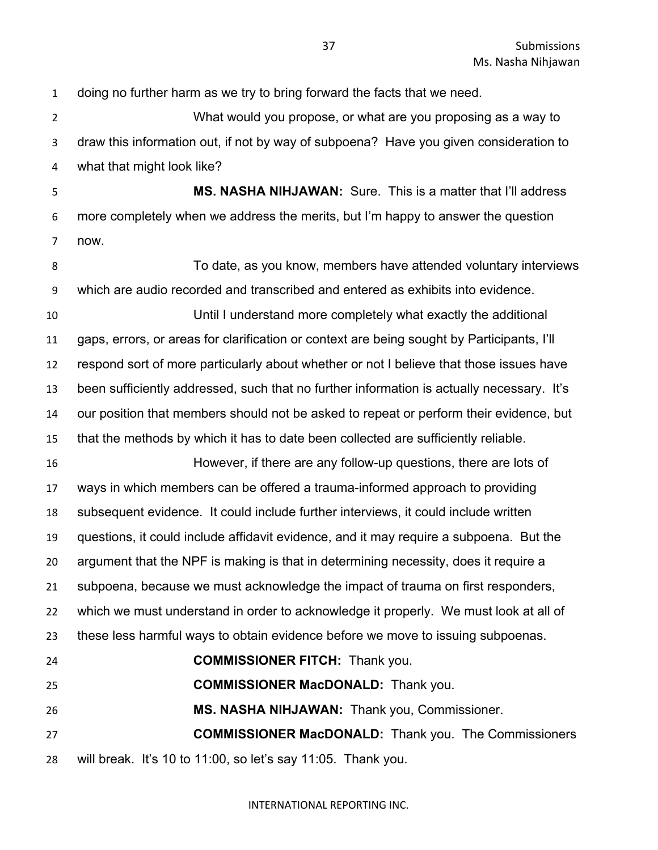doing no further harm as we try to bring forward the facts that we need. What would you propose, or what are you proposing as a way to draw this information out, if not by way of subpoena? Have you given consideration to what that might look like? **MS. NASHA NIHJAWAN:** Sure. This is a matter that I'll address more completely when we address the merits, but I'm happy to answer the question now. To date, as you know, members have attended voluntary interviews which are audio recorded and transcribed and entered as exhibits into evidence. Until I understand more completely what exactly the additional gaps, errors, or areas for clarification or context are being sought by Participants, I'll respond sort of more particularly about whether or not I believe that those issues have been sufficiently addressed, such that no further information is actually necessary. It's our position that members should not be asked to repeat or perform their evidence, but that the methods by which it has to date been collected are sufficiently reliable. However, if there are any follow-up questions, there are lots of ways in which members can be offered a trauma-informed approach to providing subsequent evidence. It could include further interviews, it could include written questions, it could include affidavit evidence, and it may require a subpoena. But the argument that the NPF is making is that in determining necessity, does it require a subpoena, because we must acknowledge the impact of trauma on first responders, which we must understand in order to acknowledge it properly. We must look at all of these less harmful ways to obtain evidence before we move to issuing subpoenas. **COMMISSIONER FITCH:** Thank you. **COMMISSIONER MacDONALD:** Thank you. **MS. NASHA NIHJAWAN:** Thank you, Commissioner. **COMMISSIONER MacDONALD:** Thank you. The Commissioners will break. It's 10 to 11:00, so let's say 11:05. Thank you.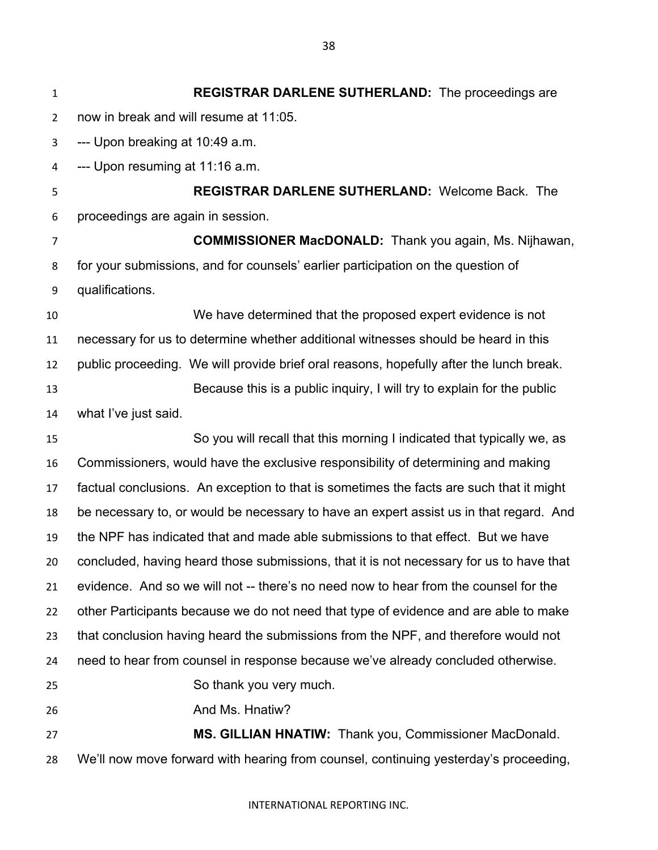**REGISTRAR DARLENE SUTHERLAND:** The proceedings are now in break and will resume at 11:05. --- Upon breaking at 10:49 a.m. --- Upon resuming at 11:16 a.m. **REGISTRAR DARLENE SUTHERLAND:** Welcome Back. The proceedings are again in session. **COMMISSIONER MacDONALD:** Thank you again, Ms. Nijhawan, for your submissions, and for counsels' earlier participation on the question of qualifications. We have determined that the proposed expert evidence is not necessary for us to determine whether additional witnesses should be heard in this public proceeding. We will provide brief oral reasons, hopefully after the lunch break. Because this is a public inquiry, I will try to explain for the public what I've just said. So you will recall that this morning I indicated that typically we, as Commissioners, would have the exclusive responsibility of determining and making factual conclusions. An exception to that is sometimes the facts are such that it might be necessary to, or would be necessary to have an expert assist us in that regard. And the NPF has indicated that and made able submissions to that effect. But we have concluded, having heard those submissions, that it is not necessary for us to have that evidence. And so we will not -- there's no need now to hear from the counsel for the other Participants because we do not need that type of evidence and are able to make that conclusion having heard the submissions from the NPF, and therefore would not need to hear from counsel in response because we've already concluded otherwise. So thank you very much. **And Ms. Hnatiw? MS. GILLIAN HNATIW:** Thank you, Commissioner MacDonald. We'll now move forward with hearing from counsel, continuing yesterday's proceeding,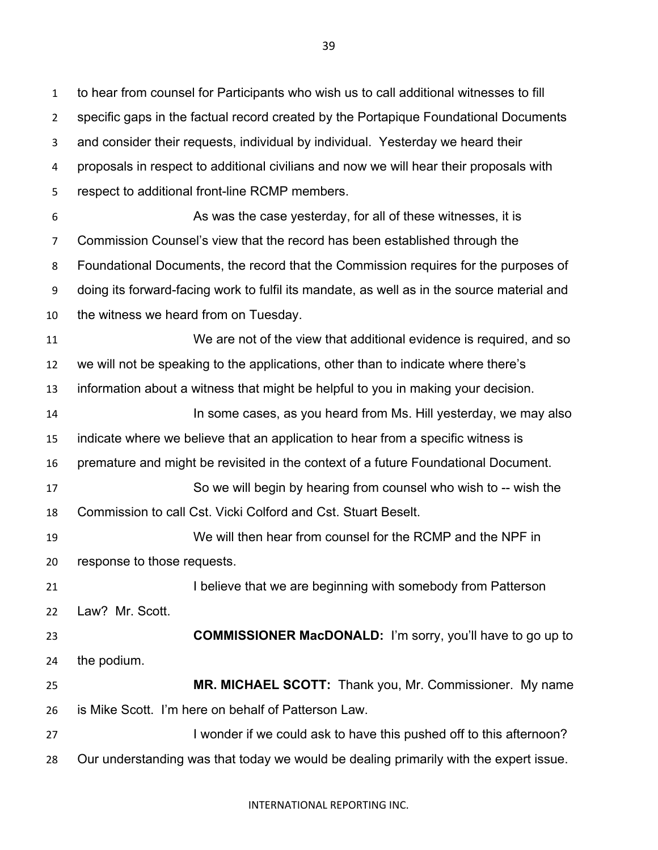to hear from counsel for Participants who wish us to call additional witnesses to fill specific gaps in the factual record created by the Portapique Foundational Documents and consider their requests, individual by individual. Yesterday we heard their proposals in respect to additional civilians and now we will hear their proposals with respect to additional front-line RCMP members. As was the case yesterday, for all of these witnesses, it is

 Commission Counsel's view that the record has been established through the Foundational Documents, the record that the Commission requires for the purposes of doing its forward-facing work to fulfil its mandate, as well as in the source material and

the witness we heard from on Tuesday.

 We are not of the view that additional evidence is required, and so we will not be speaking to the applications, other than to indicate where there's information about a witness that might be helpful to you in making your decision.

 In some cases, as you heard from Ms. Hill yesterday, we may also indicate where we believe that an application to hear from a specific witness is premature and might be revisited in the context of a future Foundational Document.

 So we will begin by hearing from counsel who wish to -- wish the Commission to call Cst. Vicki Colford and Cst. Stuart Beselt.

 We will then hear from counsel for the RCMP and the NPF in response to those requests.

**I believe that we are beginning with somebody from Patterson** Law? Mr. Scott.

 **COMMISSIONER MacDONALD:** I'm sorry, you'll have to go up to the podium.

- **MR. MICHAEL SCOTT:** Thank you, Mr. Commissioner. My name is Mike Scott. I'm here on behalf of Patterson Law.
- **I** wonder if we could ask to have this pushed off to this afternoon? Our understanding was that today we would be dealing primarily with the expert issue.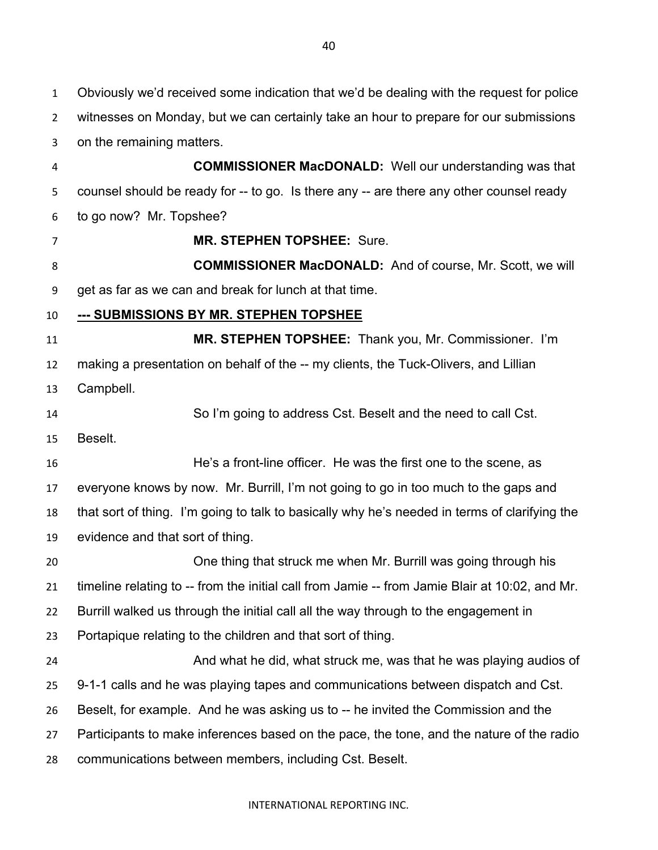Obviously we'd received some indication that we'd be dealing with the request for police witnesses on Monday, but we can certainly take an hour to prepare for our submissions on the remaining matters. **COMMISSIONER MacDONALD:** Well our understanding was that counsel should be ready for -- to go. Is there any -- are there any other counsel ready to go now? Mr. Topshee? **MR. STEPHEN TOPSHEE:** Sure. **COMMISSIONER MacDONALD:** And of course, Mr. Scott, we will get as far as we can and break for lunch at that time. **--- SUBMISSIONS BY MR. STEPHEN TOPSHEE MR. STEPHEN TOPSHEE:** Thank you, Mr. Commissioner. I'm making a presentation on behalf of the -- my clients, the Tuck-Olivers, and Lillian Campbell. So I'm going to address Cst. Beselt and the need to call Cst. Beselt. He's a front-line officer. He was the first one to the scene, as everyone knows by now. Mr. Burrill, I'm not going to go in too much to the gaps and that sort of thing. I'm going to talk to basically why he's needed in terms of clarifying the evidence and that sort of thing. One thing that struck me when Mr. Burrill was going through his timeline relating to -- from the initial call from Jamie -- from Jamie Blair at 10:02, and Mr. Burrill walked us through the initial call all the way through to the engagement in Portapique relating to the children and that sort of thing. **And what he did, what struck me, was that he was playing audios of**  $\mathbf{r}$  9-1-1 calls and he was playing tapes and communications between dispatch and Cst. Beselt, for example. And he was asking us to -- he invited the Commission and the Participants to make inferences based on the pace, the tone, and the nature of the radio

communications between members, including Cst. Beselt.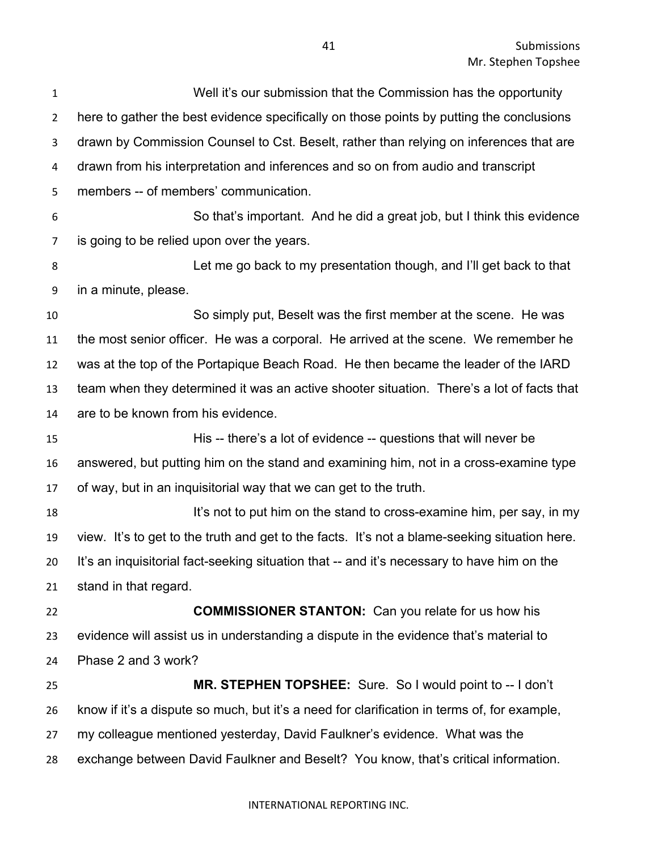| $\mathbf{1}$   | Well it's our submission that the Commission has the opportunity                              |
|----------------|-----------------------------------------------------------------------------------------------|
| $\overline{2}$ | here to gather the best evidence specifically on those points by putting the conclusions      |
| 3              | drawn by Commission Counsel to Cst. Beselt, rather than relying on inferences that are        |
| 4              | drawn from his interpretation and inferences and so on from audio and transcript              |
| 5              | members -- of members' communication.                                                         |
| 6              | So that's important. And he did a great job, but I think this evidence                        |
| 7              | is going to be relied upon over the years.                                                    |
| 8              | Let me go back to my presentation though, and I'll get back to that                           |
| 9              | in a minute, please.                                                                          |
| 10             | So simply put, Beselt was the first member at the scene. He was                               |
| 11             | the most senior officer. He was a corporal. He arrived at the scene. We remember he           |
| 12             | was at the top of the Portapique Beach Road. He then became the leader of the IARD            |
| 13             | team when they determined it was an active shooter situation. There's a lot of facts that     |
| 14             | are to be known from his evidence.                                                            |
| 15             | His -- there's a lot of evidence -- questions that will never be                              |
| 16             | answered, but putting him on the stand and examining him, not in a cross-examine type         |
| 17             | of way, but in an inquisitorial way that we can get to the truth.                             |
| 18             | It's not to put him on the stand to cross-examine him, per say, in my                         |
| 19             | view. It's to get to the truth and get to the facts. It's not a blame-seeking situation here. |
| 20             | It's an inquisitorial fact-seeking situation that -- and it's necessary to have him on the    |
| 21             | stand in that regard.                                                                         |
| 22             | <b>COMMISSIONER STANTON:</b> Can you relate for us how his                                    |
| 23             | evidence will assist us in understanding a dispute in the evidence that's material to         |
| 24             | Phase 2 and 3 work?                                                                           |
| 25             | MR. STEPHEN TOPSHEE: Sure. So I would point to -- I don't                                     |
| 26             | know if it's a dispute so much, but it's a need for clarification in terms of, for example,   |
| 27             | my colleague mentioned yesterday, David Faulkner's evidence. What was the                     |
| 28             | exchange between David Faulkner and Beselt? You know, that's critical information.            |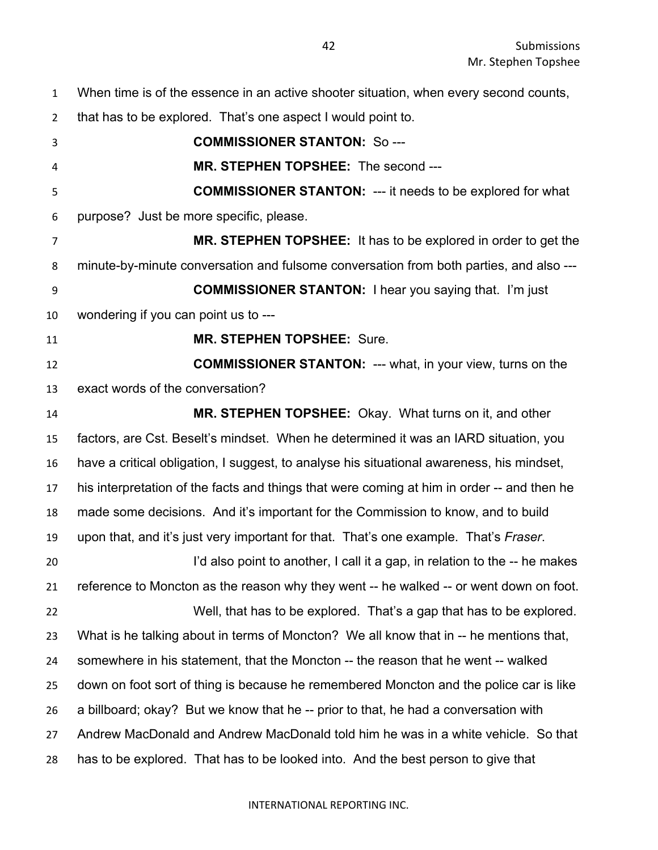When time is of the essence in an active shooter situation, when every second counts,

that has to be explored. That's one aspect I would point to.

 **COMMISSIONER STANTON:** So --- **MR. STEPHEN TOPSHEE:** The second --- **COMMISSIONER STANTON:** --- it needs to be explored for what purpose? Just be more specific, please. **MR. STEPHEN TOPSHEE:** It has to be explored in order to get the minute-by-minute conversation and fulsome conversation from both parties, and also --- **COMMISSIONER STANTON:** I hear you saying that. I'm just wondering if you can point us to --- **MR. STEPHEN TOPSHEE:** Sure. **COMMISSIONER STANTON:** --- what, in your view, turns on the exact words of the conversation? **MR. STEPHEN TOPSHEE:** Okay. What turns on it, and other factors, are Cst. Beselt's mindset. When he determined it was an IARD situation, you have a critical obligation, I suggest, to analyse his situational awareness, his mindset, his interpretation of the facts and things that were coming at him in order -- and then he made some decisions. And it's important for the Commission to know, and to build upon that, and it's just very important for that. That's one example. That's *Fraser*. 20 I'd also point to another, I call it a gap, in relation to the -- he makes reference to Moncton as the reason why they went -- he walked -- or went down on foot. Well, that has to be explored. That's a gap that has to be explored.

 What is he talking about in terms of Moncton? We all know that in -- he mentions that, somewhere in his statement, that the Moncton -- the reason that he went -- walked down on foot sort of thing is because he remembered Moncton and the police car is like a billboard; okay? But we know that he -- prior to that, he had a conversation with Andrew MacDonald and Andrew MacDonald told him he was in a white vehicle. So that has to be explored. That has to be looked into. And the best person to give that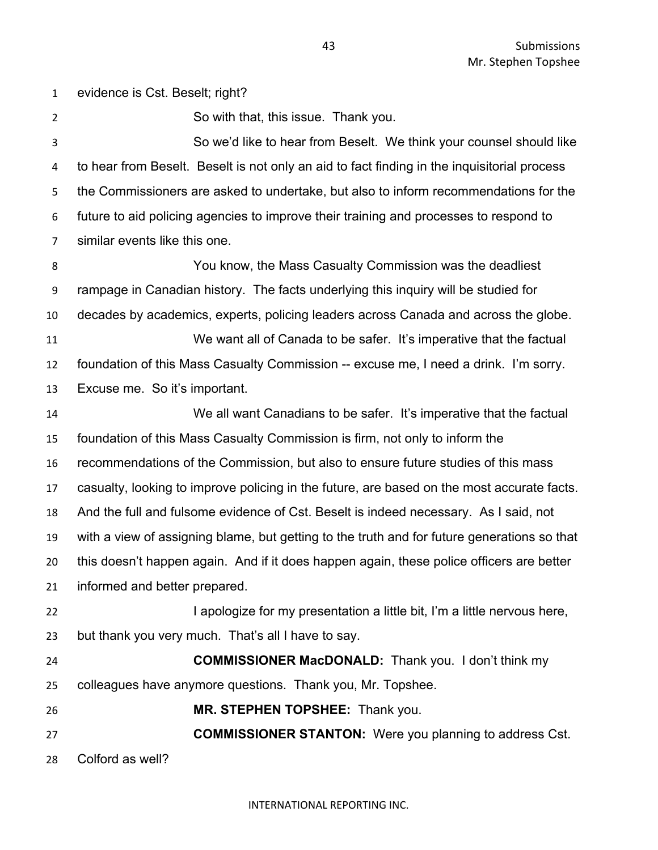evidence is Cst. Beselt; right? So with that, this issue. Thank you. So we'd like to hear from Beselt. We think your counsel should like to hear from Beselt. Beselt is not only an aid to fact finding in the inquisitorial process the Commissioners are asked to undertake, but also to inform recommendations for the future to aid policing agencies to improve their training and processes to respond to similar events like this one. You know, the Mass Casualty Commission was the deadliest rampage in Canadian history. The facts underlying this inquiry will be studied for decades by academics, experts, policing leaders across Canada and across the globe. We want all of Canada to be safer. It's imperative that the factual foundation of this Mass Casualty Commission -- excuse me, I need a drink. I'm sorry. Excuse me. So it's important. We all want Canadians to be safer. It's imperative that the factual foundation of this Mass Casualty Commission is firm, not only to inform the recommendations of the Commission, but also to ensure future studies of this mass casualty, looking to improve policing in the future, are based on the most accurate facts. And the full and fulsome evidence of Cst. Beselt is indeed necessary. As I said, not with a view of assigning blame, but getting to the truth and for future generations so that this doesn't happen again. And if it does happen again, these police officers are better informed and better prepared. I apologize for my presentation a little bit, I'm a little nervous here, but thank you very much. That's all I have to say. **COMMISSIONER MacDONALD:** Thank you. I don't think my colleagues have anymore questions. Thank you, Mr. Topshee. **MR. STEPHEN TOPSHEE:** Thank you. **COMMISSIONER STANTON:** Were you planning to address Cst. Colford as well?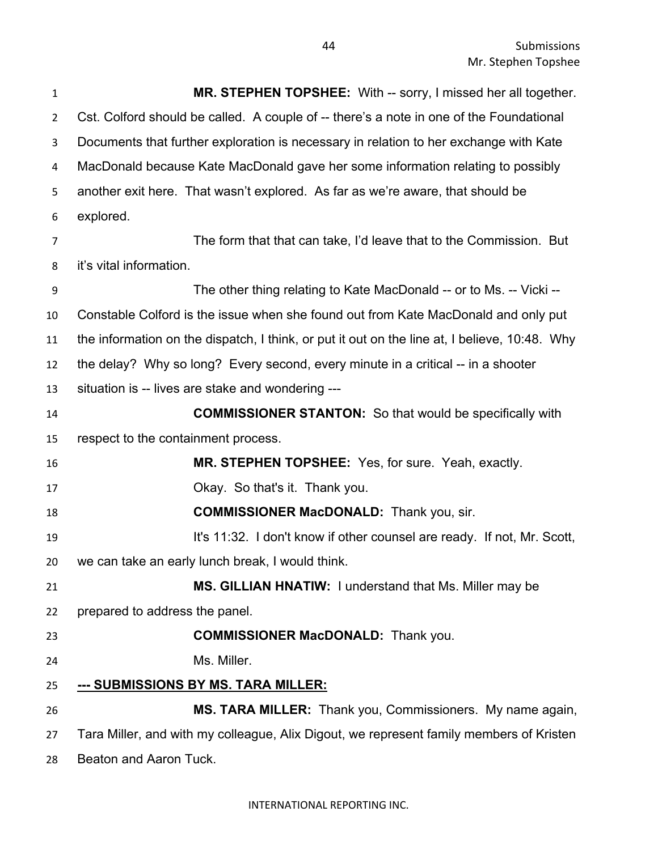| $\mathbf{1}$   | MR. STEPHEN TOPSHEE: With -- sorry, I missed her all together.                                |
|----------------|-----------------------------------------------------------------------------------------------|
| $\overline{2}$ | Cst. Colford should be called. A couple of -- there's a note in one of the Foundational       |
| 3              | Documents that further exploration is necessary in relation to her exchange with Kate         |
| 4              | MacDonald because Kate MacDonald gave her some information relating to possibly               |
| 5              | another exit here. That wasn't explored. As far as we're aware, that should be                |
| 6              | explored.                                                                                     |
| 7              | The form that that can take, I'd leave that to the Commission. But                            |
| 8              | it's vital information.                                                                       |
| 9              | The other thing relating to Kate MacDonald -- or to Ms. -- Vicki --                           |
| 10             | Constable Colford is the issue when she found out from Kate MacDonald and only put            |
| 11             | the information on the dispatch, I think, or put it out on the line at, I believe, 10:48. Why |
| 12             | the delay? Why so long? Every second, every minute in a critical -- in a shooter              |
| 13             | situation is -- lives are stake and wondering ---                                             |
| 14             | <b>COMMISSIONER STANTON:</b> So that would be specifically with                               |
| 15             | respect to the containment process.                                                           |
| 16             | MR. STEPHEN TOPSHEE: Yes, for sure. Yeah, exactly.                                            |
| 17             | Okay. So that's it. Thank you.                                                                |
| 18             | <b>COMMISSIONER MacDONALD:</b> Thank you, sir.                                                |
| 19             | It's 11:32. I don't know if other counsel are ready. If not, Mr. Scott,                       |
| 20             | we can take an early lunch break, I would think.                                              |
| 21             | MS. GILLIAN HNATIW: I understand that Ms. Miller may be                                       |
| 22             | prepared to address the panel.                                                                |
| 23             | <b>COMMISSIONER MacDONALD:</b> Thank you.                                                     |
| 24             | Ms. Miller.                                                                                   |
| 25             | --- SUBMISSIONS BY MS. TARA MILLER:                                                           |
| 26             | MS. TARA MILLER: Thank you, Commissioners. My name again,                                     |
| 27             | Tara Miller, and with my colleague, Alix Digout, we represent family members of Kristen       |
| 28             | Beaton and Aaron Tuck.                                                                        |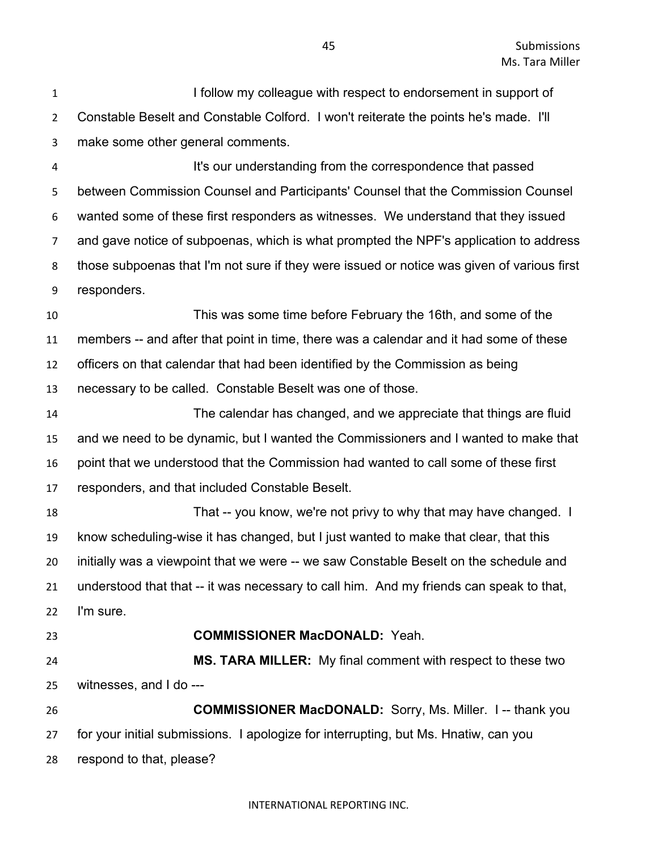**I follow my colleague with respect to endorsement in support of**  Constable Beselt and Constable Colford. I won't reiterate the points he's made. I'll make some other general comments.

 It's our understanding from the correspondence that passed between Commission Counsel and Participants' Counsel that the Commission Counsel wanted some of these first responders as witnesses. We understand that they issued and gave notice of subpoenas, which is what prompted the NPF's application to address those subpoenas that I'm not sure if they were issued or notice was given of various first responders.

 This was some time before February the 16th, and some of the members -- and after that point in time, there was a calendar and it had some of these officers on that calendar that had been identified by the Commission as being necessary to be called. Constable Beselt was one of those.

 The calendar has changed, and we appreciate that things are fluid and we need to be dynamic, but I wanted the Commissioners and I wanted to make that point that we understood that the Commission had wanted to call some of these first responders, and that included Constable Beselt.

18 That -- you know, we're not privy to why that may have changed. I know scheduling-wise it has changed, but I just wanted to make that clear, that this initially was a viewpoint that we were -- we saw Constable Beselt on the schedule and understood that that -- it was necessary to call him. And my friends can speak to that, I'm sure.

# **COMMISSIONER MacDONALD:** Yeah.

 **MS. TARA MILLER:** My final comment with respect to these two witnesses, and I do ---

 **COMMISSIONER MacDONALD:** Sorry, Ms. Miller. I -- thank you for your initial submissions. I apologize for interrupting, but Ms. Hnatiw, can you respond to that, please?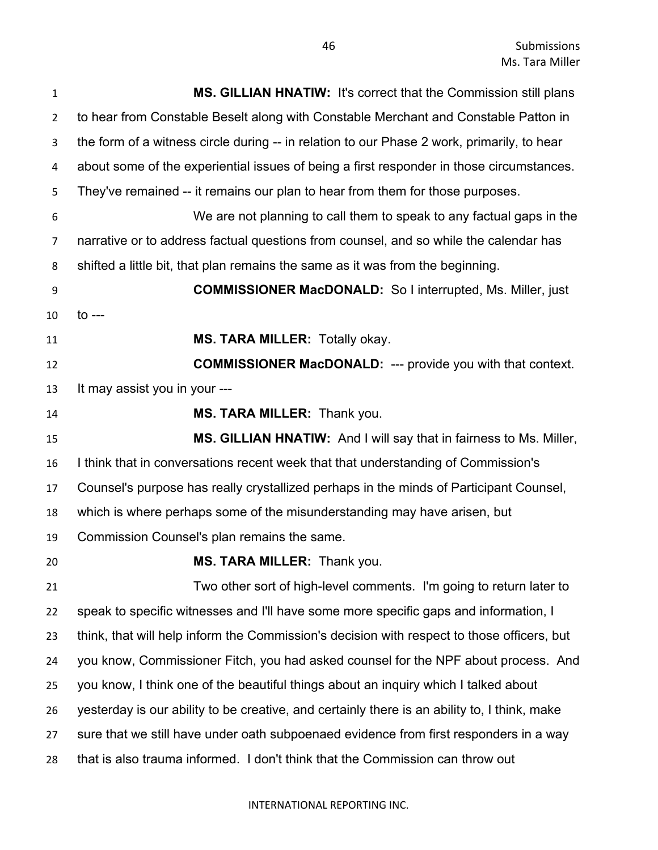| $\mathbf{1}$   | <b>MS. GILLIAN HNATIW: It's correct that the Commission still plans</b>                      |
|----------------|----------------------------------------------------------------------------------------------|
| $\overline{2}$ | to hear from Constable Beselt along with Constable Merchant and Constable Patton in          |
| 3              | the form of a witness circle during -- in relation to our Phase 2 work, primarily, to hear   |
| 4              | about some of the experiential issues of being a first responder in those circumstances.     |
| 5              | They've remained -- it remains our plan to hear from them for those purposes.                |
| 6              | We are not planning to call them to speak to any factual gaps in the                         |
| 7              | narrative or to address factual questions from counsel, and so while the calendar has        |
| 8              | shifted a little bit, that plan remains the same as it was from the beginning.               |
| 9              | <b>COMMISSIONER MacDONALD:</b> So I interrupted, Ms. Miller, just                            |
| 10             | $\mathsf{to}$ ---                                                                            |
| 11             | MS. TARA MILLER: Totally okay.                                                               |
| 12             | <b>COMMISSIONER MacDONALD: --- provide you with that context.</b>                            |
| 13             | It may assist you in your ---                                                                |
| 14             | MS. TARA MILLER: Thank you.                                                                  |
| 15             | MS. GILLIAN HNATIW: And I will say that in fairness to Ms. Miller,                           |
| 16             | I think that in conversations recent week that that understanding of Commission's            |
| 17             | Counsel's purpose has really crystallized perhaps in the minds of Participant Counsel,       |
| 18             | which is where perhaps some of the misunderstanding may have arisen, but                     |
| 19             | Commission Counsel's plan remains the same.                                                  |
| 20             | MS. TARA MILLER: Thank you.                                                                  |
| 21             | Two other sort of high-level comments. I'm going to return later to                          |
| 22             | speak to specific witnesses and I'll have some more specific gaps and information, I         |
| 23             | think, that will help inform the Commission's decision with respect to those officers, but   |
| 24             | you know, Commissioner Fitch, you had asked counsel for the NPF about process. And           |
| 25             | you know, I think one of the beautiful things about an inquiry which I talked about          |
| 26             | yesterday is our ability to be creative, and certainly there is an ability to, I think, make |
| 27             | sure that we still have under oath subpoenaed evidence from first responders in a way        |
| 28             | that is also trauma informed. I don't think that the Commission can throw out                |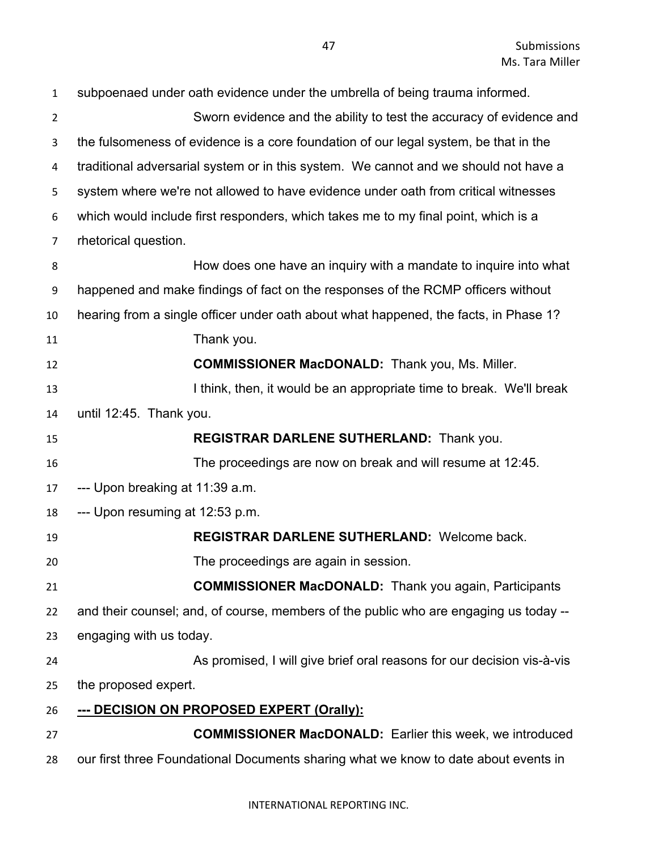| $\mathbf{1}$   | subpoenaed under oath evidence under the umbrella of being trauma informed.           |
|----------------|---------------------------------------------------------------------------------------|
| $\overline{2}$ | Sworn evidence and the ability to test the accuracy of evidence and                   |
| 3              | the fulsomeness of evidence is a core foundation of our legal system, be that in the  |
| 4              | traditional adversarial system or in this system. We cannot and we should not have a  |
| 5              | system where we're not allowed to have evidence under oath from critical witnesses    |
| 6              | which would include first responders, which takes me to my final point, which is a    |
| $\overline{7}$ | rhetorical question.                                                                  |
| 8              | How does one have an inquiry with a mandate to inquire into what                      |
| 9              | happened and make findings of fact on the responses of the RCMP officers without      |
| 10             | hearing from a single officer under oath about what happened, the facts, in Phase 1?  |
| 11             | Thank you.                                                                            |
| 12             | <b>COMMISSIONER MacDONALD:</b> Thank you, Ms. Miller.                                 |
| 13             | I think, then, it would be an appropriate time to break. We'll break                  |
| 14             | until 12:45. Thank you.                                                               |
| 15             | REGISTRAR DARLENE SUTHERLAND: Thank you.                                              |
| 16             | The proceedings are now on break and will resume at 12:45.                            |
| 17             | --- Upon breaking at 11:39 a.m.                                                       |
| 18             | --- Upon resuming at 12:53 p.m.                                                       |
| 19             | <b>REGISTRAR DARLENE SUTHERLAND: Welcome back.</b>                                    |
| 20             | The proceedings are again in session.                                                 |
| 21             | <b>COMMISSIONER MacDONALD:</b> Thank you again, Participants                          |
| 22             | and their counsel; and, of course, members of the public who are engaging us today -- |
| 23             | engaging with us today.                                                               |
| 24             | As promised, I will give brief oral reasons for our decision vis-à-vis                |
| 25             | the proposed expert.                                                                  |
| 26             | --- DECISION ON PROPOSED EXPERT (Orally):                                             |
| 27             | <b>COMMISSIONER MacDONALD:</b> Earlier this week, we introduced                       |
| 28             | our first three Foundational Documents sharing what we know to date about events in   |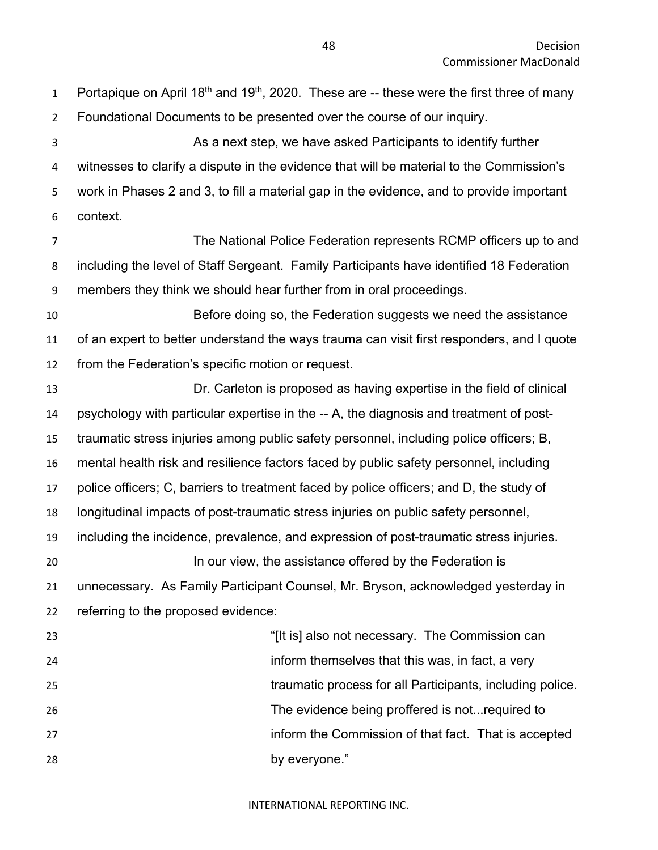| $\mathbf{1}$   | Portapique on April 18 <sup>th</sup> and 19 <sup>th</sup> , 2020. These are -- these were the first three of many |
|----------------|-------------------------------------------------------------------------------------------------------------------|
| $\overline{2}$ | Foundational Documents to be presented over the course of our inquiry.                                            |
| 3              | As a next step, we have asked Participants to identify further                                                    |
| 4              | witnesses to clarify a dispute in the evidence that will be material to the Commission's                          |
| 5              | work in Phases 2 and 3, to fill a material gap in the evidence, and to provide important                          |
| 6              | context.                                                                                                          |
| $\overline{7}$ | The National Police Federation represents RCMP officers up to and                                                 |
| 8              | including the level of Staff Sergeant. Family Participants have identified 18 Federation                          |
| 9              | members they think we should hear further from in oral proceedings.                                               |
| 10             | Before doing so, the Federation suggests we need the assistance                                                   |
| 11             | of an expert to better understand the ways trauma can visit first responders, and I quote                         |
| 12             | from the Federation's specific motion or request.                                                                 |
| 13             | Dr. Carleton is proposed as having expertise in the field of clinical                                             |
| 14             | psychology with particular expertise in the -- A, the diagnosis and treatment of post-                            |
| 15             | traumatic stress injuries among public safety personnel, including police officers; B,                            |
| 16             | mental health risk and resilience factors faced by public safety personnel, including                             |
| 17             | police officers; C, barriers to treatment faced by police officers; and D, the study of                           |
| 18             | longitudinal impacts of post-traumatic stress injuries on public safety personnel,                                |
| 19             | including the incidence, prevalence, and expression of post-traumatic stress injuries.                            |
| 20             | In our view, the assistance offered by the Federation is                                                          |
| 21             | unnecessary. As Family Participant Counsel, Mr. Bryson, acknowledged yesterday in                                 |
| 22             | referring to the proposed evidence:                                                                               |
| 23             | "[It is] also not necessary. The Commission can                                                                   |
| 24             | inform themselves that this was, in fact, a very                                                                  |
| 25             | traumatic process for all Participants, including police.                                                         |
| 26             | The evidence being proffered is not required to                                                                   |
| 27             | inform the Commission of that fact. That is accepted                                                              |
| 28             | by everyone."                                                                                                     |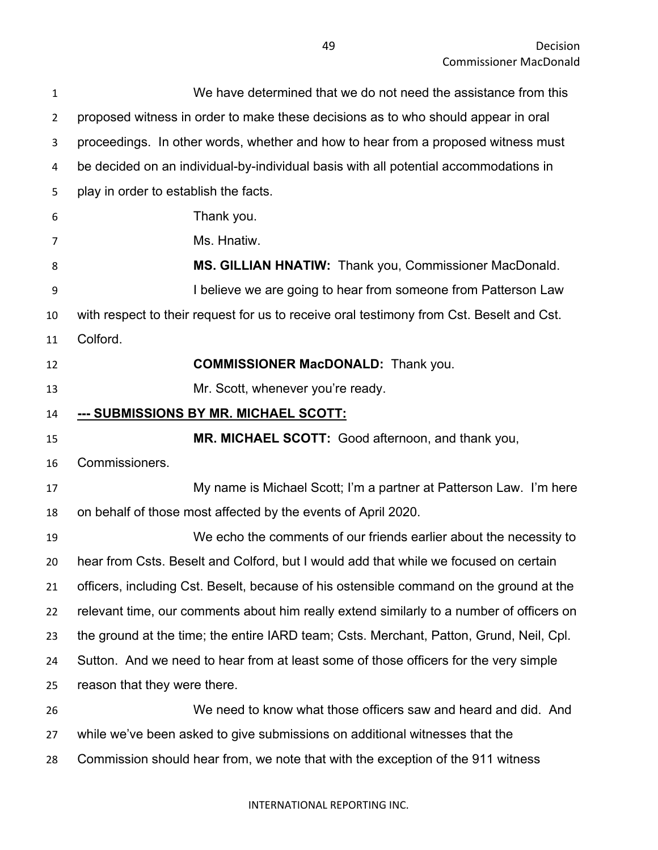| $\mathbf{1}$   | We have determined that we do not need the assistance from this                          |
|----------------|------------------------------------------------------------------------------------------|
| $\overline{2}$ | proposed witness in order to make these decisions as to who should appear in oral        |
| 3              | proceedings. In other words, whether and how to hear from a proposed witness must        |
| 4              | be decided on an individual-by-individual basis with all potential accommodations in     |
| 5              | play in order to establish the facts.                                                    |
| 6              | Thank you.                                                                               |
| 7              | Ms. Hnatiw.                                                                              |
| 8              | MS. GILLIAN HNATIW: Thank you, Commissioner MacDonald.                                   |
| 9              | I believe we are going to hear from someone from Patterson Law                           |
| 10             | with respect to their request for us to receive oral testimony from Cst. Beselt and Cst. |
| 11             | Colford.                                                                                 |
| 12             | <b>COMMISSIONER MacDONALD:</b> Thank you.                                                |
| 13             | Mr. Scott, whenever you're ready.                                                        |
| 14             | --- SUBMISSIONS BY MR. MICHAEL SCOTT:                                                    |
| 15             | MR. MICHAEL SCOTT: Good afternoon, and thank you,                                        |
|                |                                                                                          |
| 16             | Commissioners.                                                                           |
|                | My name is Michael Scott; I'm a partner at Patterson Law. I'm here                       |
| 17<br>18       | on behalf of those most affected by the events of April 2020.                            |
| 19             | We echo the comments of our friends earlier about the necessity to                       |
|                | hear from Csts. Beselt and Colford, but I would add that while we focused on certain     |
|                | officers, including Cst. Beselt, because of his ostensible command on the ground at the  |
| 20<br>21<br>22 | relevant time, our comments about him really extend similarly to a number of officers on |
| 23             | the ground at the time; the entire IARD team; Csts. Merchant, Patton, Grund, Neil, Cpl.  |
| 24             | Sutton. And we need to hear from at least some of those officers for the very simple     |
| 25             | reason that they were there.                                                             |
| 26             | We need to know what those officers saw and heard and did. And                           |
| 27             | while we've been asked to give submissions on additional witnesses that the              |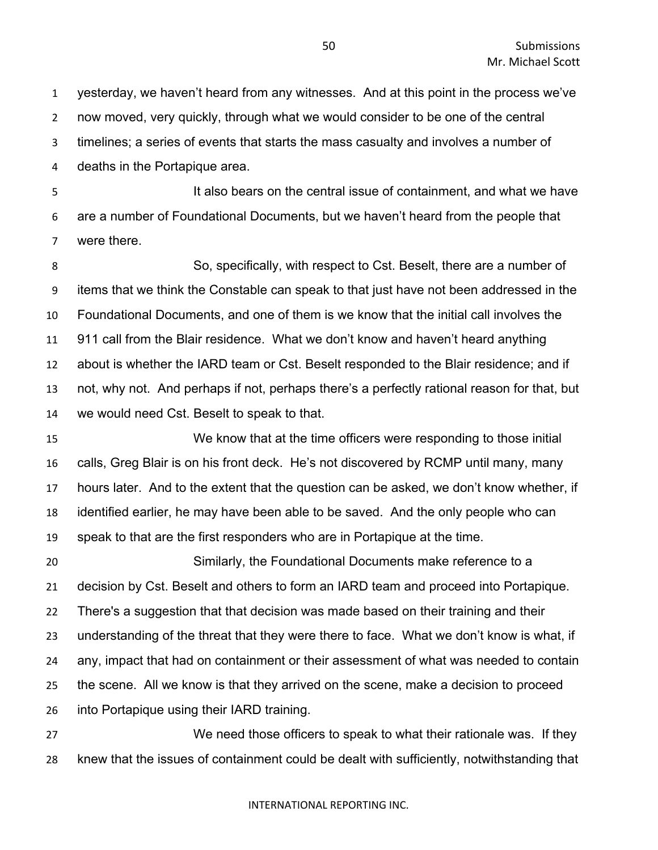yesterday, we haven't heard from any witnesses. And at this point in the process we've now moved, very quickly, through what we would consider to be one of the central

timelines; a series of events that starts the mass casualty and involves a number of

deaths in the Portapique area.

 It also bears on the central issue of containment, and what we have are a number of Foundational Documents, but we haven't heard from the people that were there.

 So, specifically, with respect to Cst. Beselt, there are a number of items that we think the Constable can speak to that just have not been addressed in the Foundational Documents, and one of them is we know that the initial call involves the 911 call from the Blair residence. What we don't know and haven't heard anything about is whether the IARD team or Cst. Beselt responded to the Blair residence; and if not, why not. And perhaps if not, perhaps there's a perfectly rational reason for that, but we would need Cst. Beselt to speak to that.

 We know that at the time officers were responding to those initial calls, Greg Blair is on his front deck. He's not discovered by RCMP until many, many hours later. And to the extent that the question can be asked, we don't know whether, if identified earlier, he may have been able to be saved. And the only people who can speak to that are the first responders who are in Portapique at the time.

 Similarly, the Foundational Documents make reference to a decision by Cst. Beselt and others to form an IARD team and proceed into Portapique. There's a suggestion that that decision was made based on their training and their understanding of the threat that they were there to face. What we don't know is what, if any, impact that had on containment or their assessment of what was needed to contain the scene. All we know is that they arrived on the scene, make a decision to proceed into Portapique using their IARD training.

 We need those officers to speak to what their rationale was. If they knew that the issues of containment could be dealt with sufficiently, notwithstanding that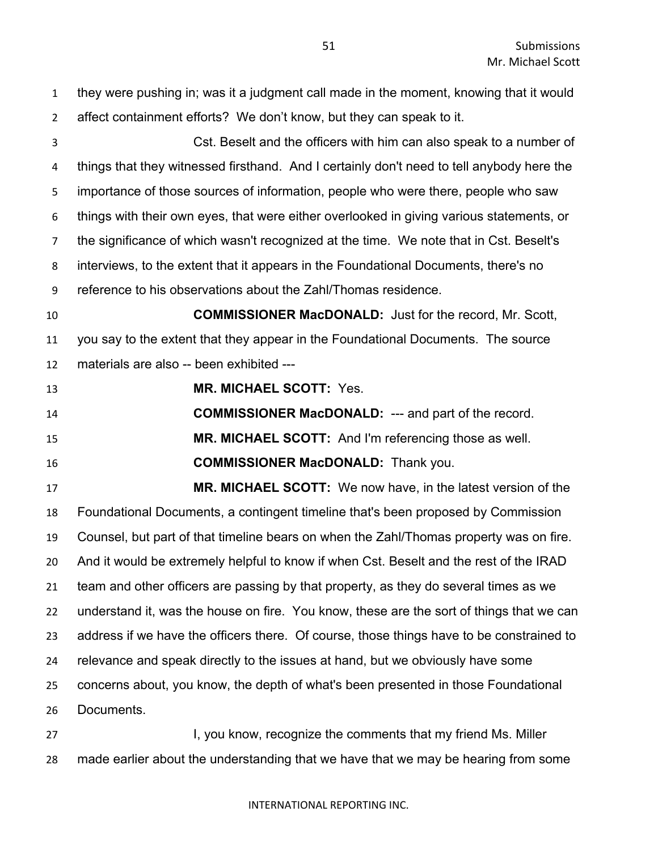they were pushing in; was it a judgment call made in the moment, knowing that it would affect containment efforts? We don't know, but they can speak to it. Cst. Beselt and the officers with him can also speak to a number of things that they witnessed firsthand. And I certainly don't need to tell anybody here the importance of those sources of information, people who were there, people who saw things with their own eyes, that were either overlooked in giving various statements, or the significance of which wasn't recognized at the time. We note that in Cst. Beselt's interviews, to the extent that it appears in the Foundational Documents, there's no reference to his observations about the Zahl/Thomas residence. **COMMISSIONER MacDONALD:** Just for the record, Mr. Scott, you say to the extent that they appear in the Foundational Documents. The source materials are also -- been exhibited --- **MR. MICHAEL SCOTT:** Yes. **COMMISSIONER MacDONALD:** --- and part of the record. **MR. MICHAEL SCOTT:** And I'm referencing those as well. **COMMISSIONER MacDONALD:** Thank you. **MR. MICHAEL SCOTT:** We now have, in the latest version of the Foundational Documents, a contingent timeline that's been proposed by Commission Counsel, but part of that timeline bears on when the Zahl/Thomas property was on fire. And it would be extremely helpful to know if when Cst. Beselt and the rest of the IRAD team and other officers are passing by that property, as they do several times as we understand it, was the house on fire. You know, these are the sort of things that we can address if we have the officers there. Of course, those things have to be constrained to relevance and speak directly to the issues at hand, but we obviously have some concerns about, you know, the depth of what's been presented in those Foundational Documents. **I, you know, recognize the comments that my friend Ms. Miller** 

made earlier about the understanding that we have that we may be hearing from some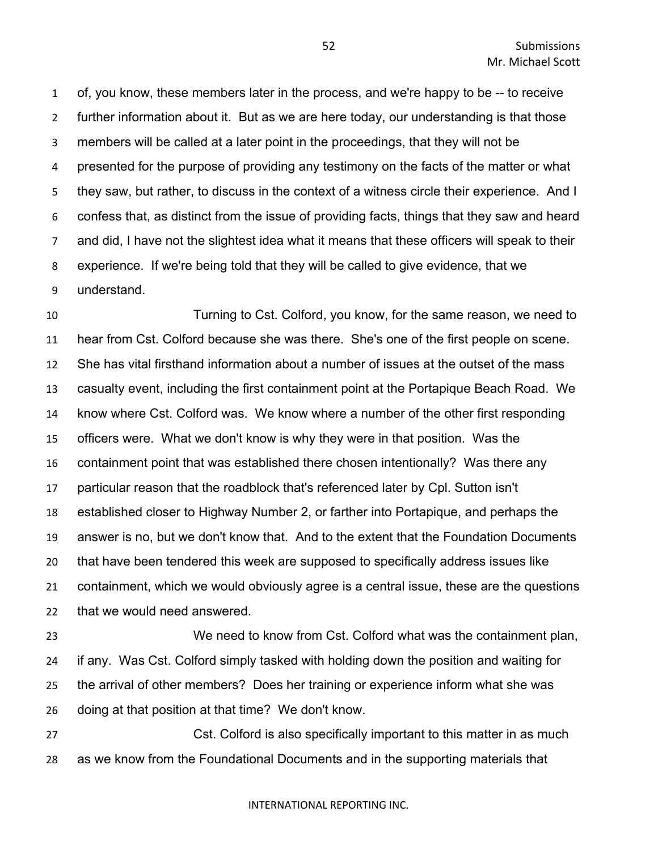of, you know, these members later in the process, and we're happy to be -- to receive further information about it. But as we are here today, our understanding is that those members will be called at a later point in the proceedings, that they will not be presented for the purpose of providing any testimony on the facts of the matter or what they saw, but rather, to discuss in the context of a witness circle their experience. And I confess that, as distinct from the issue of providing facts, things that they saw and heard and did, I have not the slightest idea what it means that these officers will speak to their experience. If we're being told that they will be called to give evidence, that we understand.

 Turning to Cst. Colford, you know, for the same reason, we need to hear from Cst. Colford because she was there. She's one of the first people on scene. She has vital firsthand information about a number of issues at the outset of the mass casualty event, including the first containment point at the Portapique Beach Road. We know where Cst. Colford was. We know where a number of the other first responding officers were. What we don't know is why they were in that position. Was the containment point that was established there chosen intentionally? Was there any particular reason that the roadblock that's referenced later by Cpl. Sutton isn't established closer to Highway Number 2, or farther into Portapique, and perhaps the answer is no, but we don't know that. And to the extent that the Foundation Documents that have been tendered this week are supposed to specifically address issues like containment, which we would obviously agree is a central issue, these are the questions that we would need answered.

 We need to know from Cst. Colford what was the containment plan, if any. Was Cst. Colford simply tasked with holding down the position and waiting for the arrival of other members? Does her training or experience inform what she was doing at that position at that time? We don't know.

 Cst. Colford is also specifically important to this matter in as much as we know from the Foundational Documents and in the supporting materials that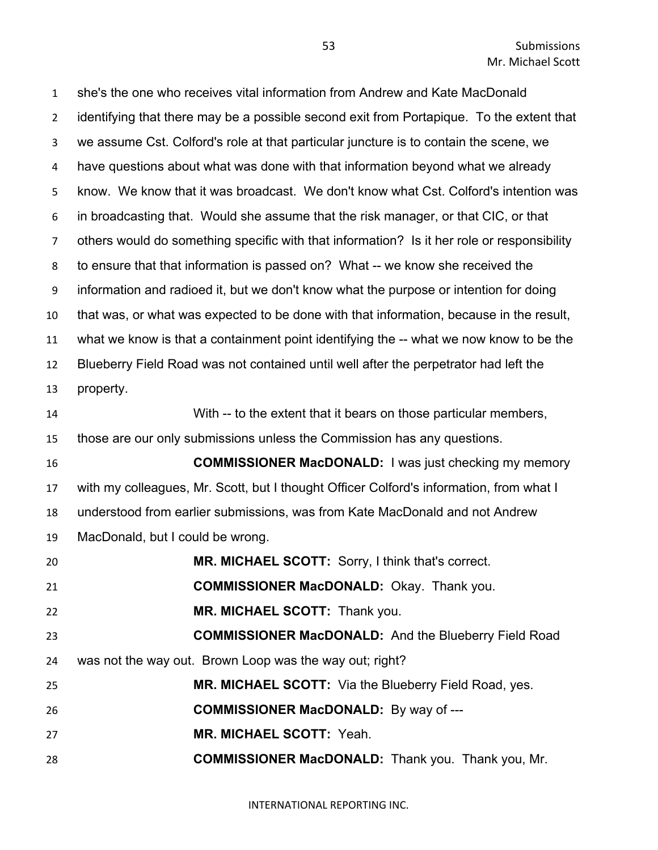she's the one who receives vital information from Andrew and Kate MacDonald identifying that there may be a possible second exit from Portapique. To the extent that we assume Cst. Colford's role at that particular juncture is to contain the scene, we have questions about what was done with that information beyond what we already know. We know that it was broadcast. We don't know what Cst. Colford's intention was in broadcasting that. Would she assume that the risk manager, or that CIC, or that others would do something specific with that information? Is it her role or responsibility to ensure that that information is passed on? What -- we know she received the information and radioed it, but we don't know what the purpose or intention for doing that was, or what was expected to be done with that information, because in the result, what we know is that a containment point identifying the -- what we now know to be the Blueberry Field Road was not contained until well after the perpetrator had left the property. With -- to the extent that it bears on those particular members, those are our only submissions unless the Commission has any questions. **COMMISSIONER MacDONALD:** I was just checking my memory with my colleagues, Mr. Scott, but I thought Officer Colford's information, from what I understood from earlier submissions, was from Kate MacDonald and not Andrew MacDonald, but I could be wrong. **MR. MICHAEL SCOTT:** Sorry, I think that's correct. **COMMISSIONER MacDONALD:** Okay. Thank you. **MR. MICHAEL SCOTT:** Thank you. **COMMISSIONER MacDONALD:** And the Blueberry Field Road was not the way out. Brown Loop was the way out; right? **MR. MICHAEL SCOTT:** Via the Blueberry Field Road, yes. **COMMISSIONER MacDONALD:** By way of --- **MR. MICHAEL SCOTT:** Yeah. **COMMISSIONER MacDONALD:** Thank you. Thank you, Mr.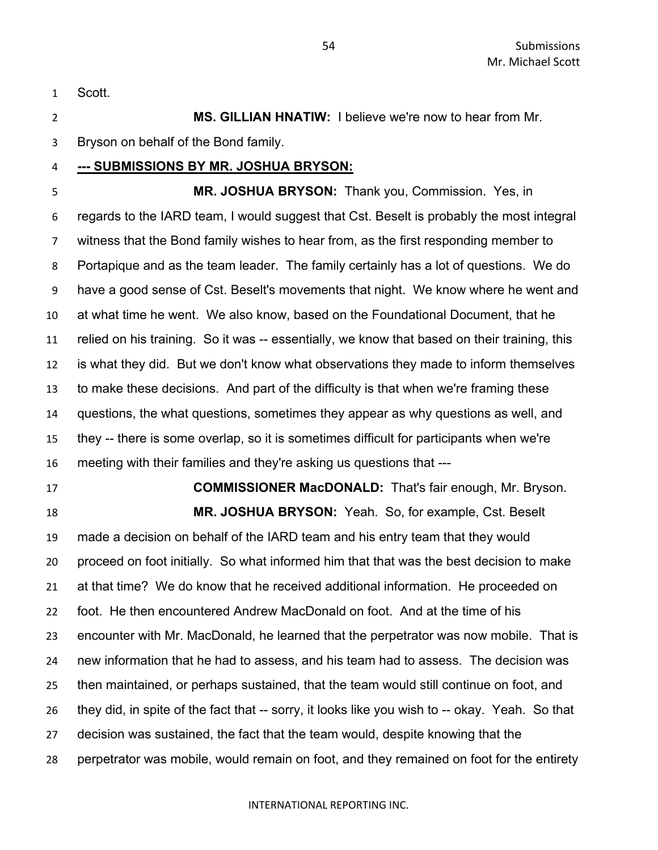Scott.

 **MS. GILLIAN HNATIW:** I believe we're now to hear from Mr. Bryson on behalf of the Bond family.

# **--- SUBMISSIONS BY MR. JOSHUA BRYSON:**

 **MR. JOSHUA BRYSON:** Thank you, Commission. Yes, in regards to the IARD team, I would suggest that Cst. Beselt is probably the most integral witness that the Bond family wishes to hear from, as the first responding member to Portapique and as the team leader. The family certainly has a lot of questions. We do have a good sense of Cst. Beselt's movements that night. We know where he went and at what time he went. We also know, based on the Foundational Document, that he relied on his training. So it was -- essentially, we know that based on their training, this is what they did. But we don't know what observations they made to inform themselves to make these decisions. And part of the difficulty is that when we're framing these questions, the what questions, sometimes they appear as why questions as well, and they -- there is some overlap, so it is sometimes difficult for participants when we're meeting with their families and they're asking us questions that ---

 **COMMISSIONER MacDONALD:** That's fair enough, Mr. Bryson. **MR. JOSHUA BRYSON:** Yeah. So, for example, Cst. Beselt made a decision on behalf of the IARD team and his entry team that they would

 proceed on foot initially. So what informed him that that was the best decision to make at that time? We do know that he received additional information. He proceeded on foot. He then encountered Andrew MacDonald on foot. And at the time of his encounter with Mr. MacDonald, he learned that the perpetrator was now mobile. That is new information that he had to assess, and his team had to assess. The decision was then maintained, or perhaps sustained, that the team would still continue on foot, and they did, in spite of the fact that -- sorry, it looks like you wish to -- okay. Yeah. So that decision was sustained, the fact that the team would, despite knowing that the perpetrator was mobile, would remain on foot, and they remained on foot for the entirety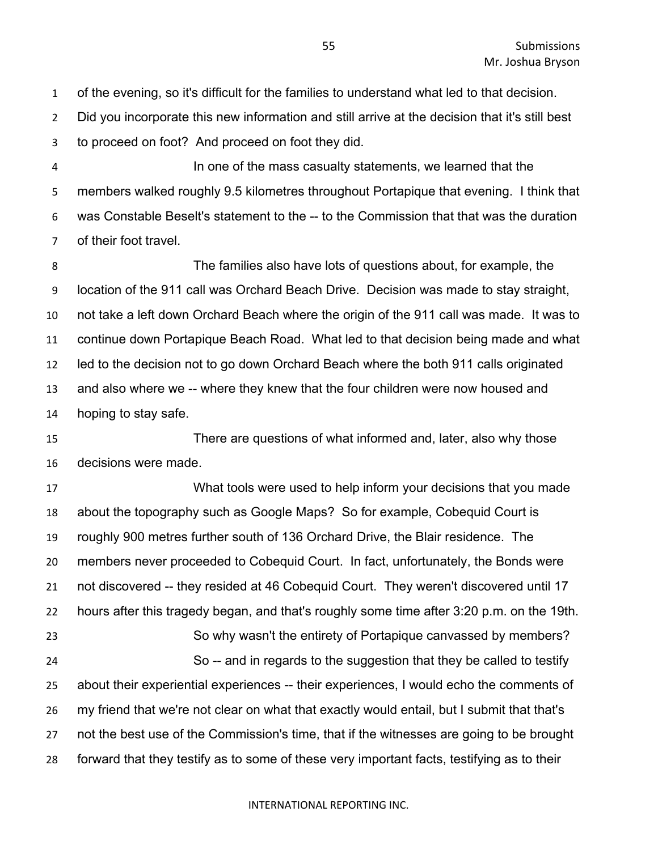of the evening, so it's difficult for the families to understand what led to that decision.

Did you incorporate this new information and still arrive at the decision that it's still best

to proceed on foot? And proceed on foot they did.

 In one of the mass casualty statements, we learned that the members walked roughly 9.5 kilometres throughout Portapique that evening. I think that was Constable Beselt's statement to the -- to the Commission that that was the duration of their foot travel.

 The families also have lots of questions about, for example, the location of the 911 call was Orchard Beach Drive. Decision was made to stay straight, not take a left down Orchard Beach where the origin of the 911 call was made. It was to continue down Portapique Beach Road. What led to that decision being made and what led to the decision not to go down Orchard Beach where the both 911 calls originated and also where we -- where they knew that the four children were now housed and hoping to stay safe.

 There are questions of what informed and, later, also why those decisions were made.

 What tools were used to help inform your decisions that you made about the topography such as Google Maps? So for example, Cobequid Court is roughly 900 metres further south of 136 Orchard Drive, the Blair residence. The members never proceeded to Cobequid Court. In fact, unfortunately, the Bonds were not discovered -- they resided at 46 Cobequid Court. They weren't discovered until 17 hours after this tragedy began, and that's roughly some time after 3:20 p.m. on the 19th. So why wasn't the entirety of Portapique canvassed by members? So -- and in regards to the suggestion that they be called to testify about their experiential experiences -- their experiences, I would echo the comments of my friend that we're not clear on what that exactly would entail, but I submit that that's not the best use of the Commission's time, that if the witnesses are going to be brought forward that they testify as to some of these very important facts, testifying as to their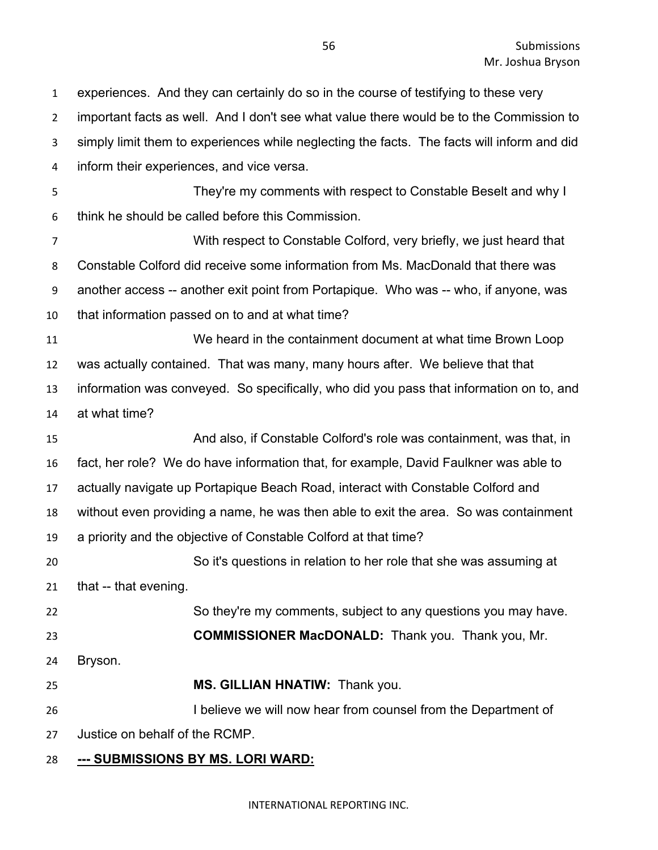important facts as well. And I don't see what value there would be to the Commission to simply limit them to experiences while neglecting the facts. The facts will inform and did inform their experiences, and vice versa. They're my comments with respect to Constable Beselt and why I think he should be called before this Commission. With respect to Constable Colford, very briefly, we just heard that Constable Colford did receive some information from Ms. MacDonald that there was another access -- another exit point from Portapique. Who was -- who, if anyone, was that information passed on to and at what time? We heard in the containment document at what time Brown Loop was actually contained. That was many, many hours after. We believe that that information was conveyed. So specifically, who did you pass that information on to, and at what time? And also, if Constable Colford's role was containment, was that, in fact, her role? We do have information that, for example, David Faulkner was able to actually navigate up Portapique Beach Road, interact with Constable Colford and without even providing a name, he was then able to exit the area. So was containment a priority and the objective of Constable Colford at that time? So it's questions in relation to her role that she was assuming at 21 that -- that evening. So they're my comments, subject to any questions you may have. **COMMISSIONER MacDONALD:** Thank you. Thank you, Mr. Bryson. **MS. GILLIAN HNATIW:** Thank you. I believe we will now hear from counsel from the Department of Justice on behalf of the RCMP. **--- SUBMISSIONS BY MS. LORI WARD:**

experiences. And they can certainly do so in the course of testifying to these very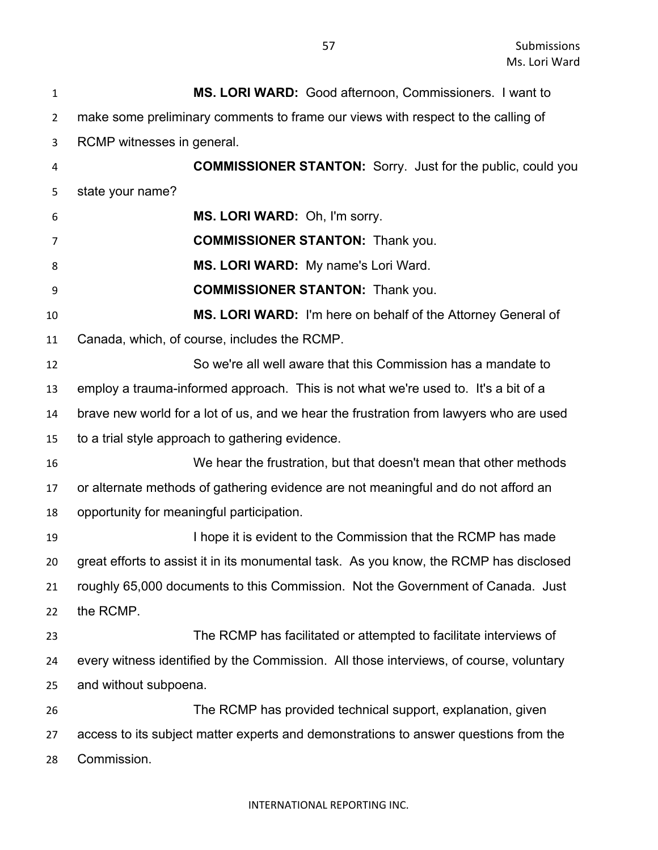| $\mathbf{1}$   | MS. LORI WARD: Good afternoon, Commissioners. I want to                                |
|----------------|----------------------------------------------------------------------------------------|
| $\overline{2}$ | make some preliminary comments to frame our views with respect to the calling of       |
| 3              | RCMP witnesses in general.                                                             |
| 4              | <b>COMMISSIONER STANTON:</b> Sorry. Just for the public, could you                     |
| 5              | state your name?                                                                       |
| 6              | MS. LORI WARD: Oh, I'm sorry.                                                          |
| 7              | <b>COMMISSIONER STANTON: Thank you.</b>                                                |
| 8              | MS. LORI WARD: My name's Lori Ward.                                                    |
| 9              | <b>COMMISSIONER STANTON: Thank you.</b>                                                |
| 10             | MS. LORI WARD: I'm here on behalf of the Attorney General of                           |
| 11             | Canada, which, of course, includes the RCMP.                                           |
| 12             | So we're all well aware that this Commission has a mandate to                          |
| 13             | employ a trauma-informed approach. This is not what we're used to. It's a bit of a     |
| 14             | brave new world for a lot of us, and we hear the frustration from lawyers who are used |
| 15             | to a trial style approach to gathering evidence.                                       |
| 16             | We hear the frustration, but that doesn't mean that other methods                      |
| 17             | or alternate methods of gathering evidence are not meaningful and do not afford an     |
| 18             | opportunity for meaningful participation.                                              |
| 19             | I hope it is evident to the Commission that the RCMP has made                          |
| 20             | great efforts to assist it in its monumental task. As you know, the RCMP has disclosed |
| 21             | roughly 65,000 documents to this Commission. Not the Government of Canada. Just        |
| 22             | the RCMP.                                                                              |
| 23             | The RCMP has facilitated or attempted to facilitate interviews of                      |
| 24             | every witness identified by the Commission. All those interviews, of course, voluntary |
| 25             | and without subpoena.                                                                  |
| 26             | The RCMP has provided technical support, explanation, given                            |
| 27             | access to its subject matter experts and demonstrations to answer questions from the   |
| 28             | Commission.                                                                            |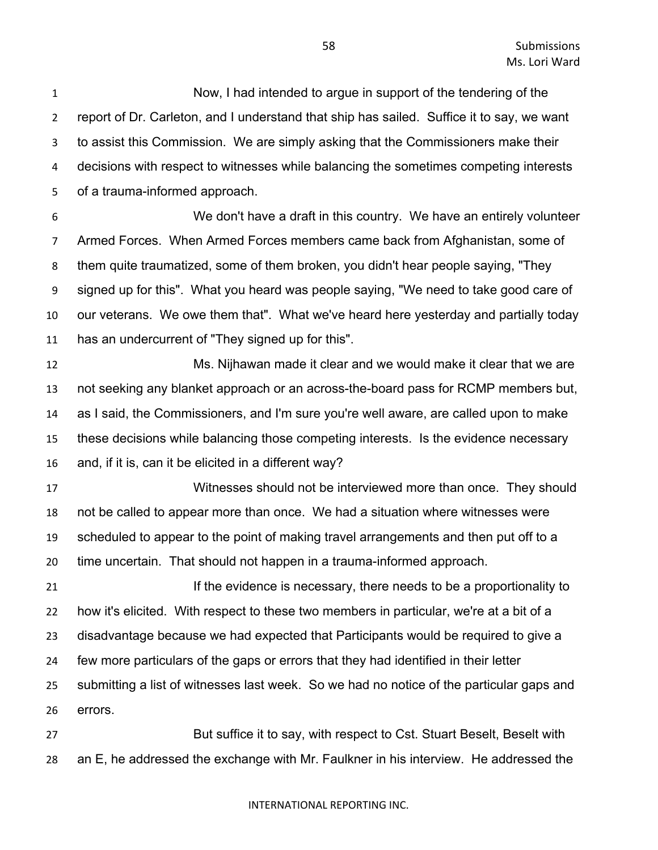Now, I had intended to argue in support of the tendering of the report of Dr. Carleton, and I understand that ship has sailed. Suffice it to say, we want to assist this Commission. We are simply asking that the Commissioners make their decisions with respect to witnesses while balancing the sometimes competing interests of a trauma-informed approach.

 We don't have a draft in this country. We have an entirely volunteer Armed Forces. When Armed Forces members came back from Afghanistan, some of them quite traumatized, some of them broken, you didn't hear people saying, "They signed up for this". What you heard was people saying, "We need to take good care of our veterans. We owe them that". What we've heard here yesterday and partially today has an undercurrent of "They signed up for this".

 Ms. Nijhawan made it clear and we would make it clear that we are not seeking any blanket approach or an across-the-board pass for RCMP members but, as I said, the Commissioners, and I'm sure you're well aware, are called upon to make these decisions while balancing those competing interests. Is the evidence necessary and, if it is, can it be elicited in a different way?

 Witnesses should not be interviewed more than once. They should not be called to appear more than once. We had a situation where witnesses were scheduled to appear to the point of making travel arrangements and then put off to a time uncertain. That should not happen in a trauma-informed approach.

**If the evidence is necessary, there needs to be a proportionality to**  how it's elicited. With respect to these two members in particular, we're at a bit of a disadvantage because we had expected that Participants would be required to give a few more particulars of the gaps or errors that they had identified in their letter submitting a list of witnesses last week. So we had no notice of the particular gaps and errors.

 But suffice it to say, with respect to Cst. Stuart Beselt, Beselt with an E, he addressed the exchange with Mr. Faulkner in his interview. He addressed the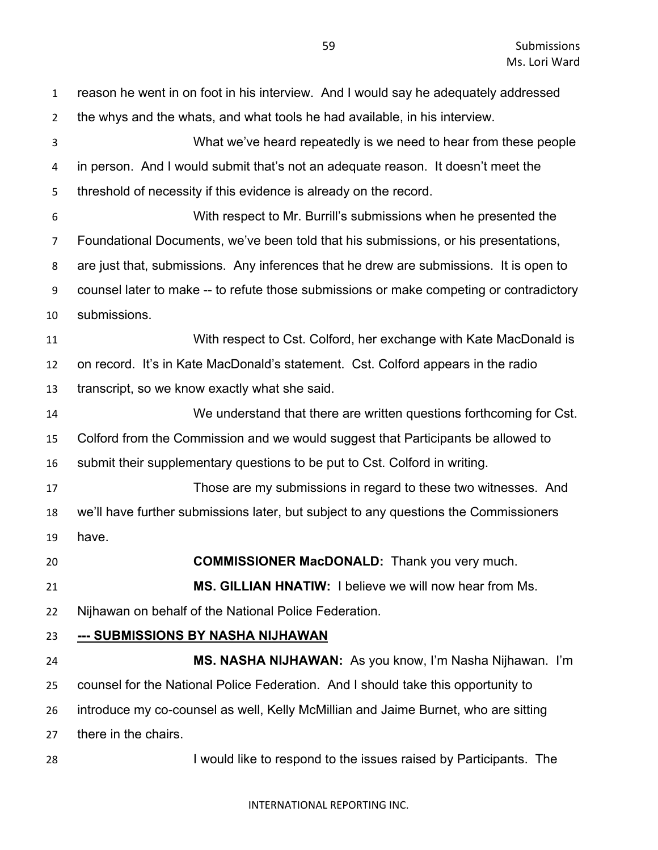| $\mathbf{1}$   | reason he went in on foot in his interview. And I would say he adequately addressed     |
|----------------|-----------------------------------------------------------------------------------------|
| $\overline{2}$ | the whys and the whats, and what tools he had available, in his interview.              |
| 3              | What we've heard repeatedly is we need to hear from these people                        |
| 4              | in person. And I would submit that's not an adequate reason. It doesn't meet the        |
| 5              | threshold of necessity if this evidence is already on the record.                       |
| 6              | With respect to Mr. Burrill's submissions when he presented the                         |
| $\overline{7}$ | Foundational Documents, we've been told that his submissions, or his presentations,     |
| 8              | are just that, submissions. Any inferences that he drew are submissions. It is open to  |
| 9              | counsel later to make -- to refute those submissions or make competing or contradictory |
| 10             | submissions.                                                                            |
| 11             | With respect to Cst. Colford, her exchange with Kate MacDonald is                       |
| 12             | on record. It's in Kate MacDonald's statement. Cst. Colford appears in the radio        |
| 13             | transcript, so we know exactly what she said.                                           |
| 14             | We understand that there are written questions forthcoming for Cst.                     |
| 15             | Colford from the Commission and we would suggest that Participants be allowed to        |
| 16             | submit their supplementary questions to be put to Cst. Colford in writing.              |
| 17             | Those are my submissions in regard to these two witnesses. And                          |
| 18             | we'll have further submissions later, but subject to any questions the Commissioners    |
| 19             | have.                                                                                   |
| 20             | <b>COMMISSIONER MacDONALD:</b> Thank you very much.                                     |
| 21             | <b>MS. GILLIAN HNATIW:</b> I believe we will now hear from Ms.                          |
| 22             | Nijhawan on behalf of the National Police Federation.                                   |
| 23             | <u>--- SUBMISSIONS BY NASHA NIJHAWAN</u>                                                |
| 24             | MS. NASHA NIJHAWAN: As you know, I'm Nasha Nijhawan. I'm                                |
| 25             | counsel for the National Police Federation. And I should take this opportunity to       |
| 26             | introduce my co-counsel as well, Kelly McMillian and Jaime Burnet, who are sitting      |
| 27             | there in the chairs.                                                                    |
| 28             | I would like to respond to the issues raised by Participants. The                       |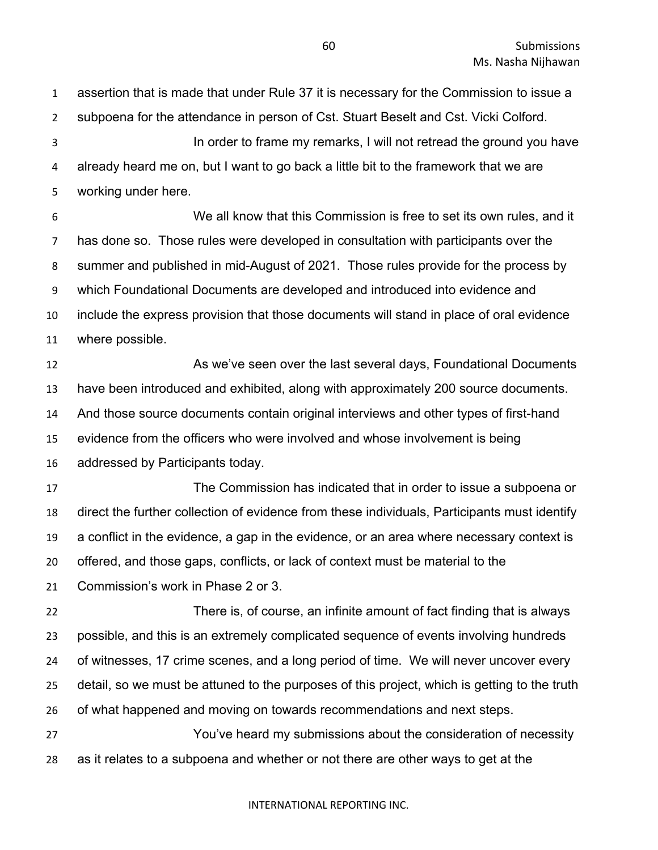assertion that is made that under Rule 37 it is necessary for the Commission to issue a subpoena for the attendance in person of Cst. Stuart Beselt and Cst. Vicki Colford. In order to frame my remarks, I will not retread the ground you have already heard me on, but I want to go back a little bit to the framework that we are working under here. We all know that this Commission is free to set its own rules, and it has done so. Those rules were developed in consultation with participants over the summer and published in mid-August of 2021. Those rules provide for the process by which Foundational Documents are developed and introduced into evidence and include the express provision that those documents will stand in place of oral evidence where possible. **As we've seen over the last several days, Foundational Documents**  have been introduced and exhibited, along with approximately 200 source documents. And those source documents contain original interviews and other types of first-hand evidence from the officers who were involved and whose involvement is being addressed by Participants today. The Commission has indicated that in order to issue a subpoena or direct the further collection of evidence from these individuals, Participants must identify a conflict in the evidence, a gap in the evidence, or an area where necessary context is offered, and those gaps, conflicts, or lack of context must be material to the Commission's work in Phase 2 or 3. There is, of course, an infinite amount of fact finding that is always possible, and this is an extremely complicated sequence of events involving hundreds of witnesses, 17 crime scenes, and a long period of time. We will never uncover every detail, so we must be attuned to the purposes of this project, which is getting to the truth of what happened and moving on towards recommendations and next steps. You've heard my submissions about the consideration of necessity as it relates to a subpoena and whether or not there are other ways to get at the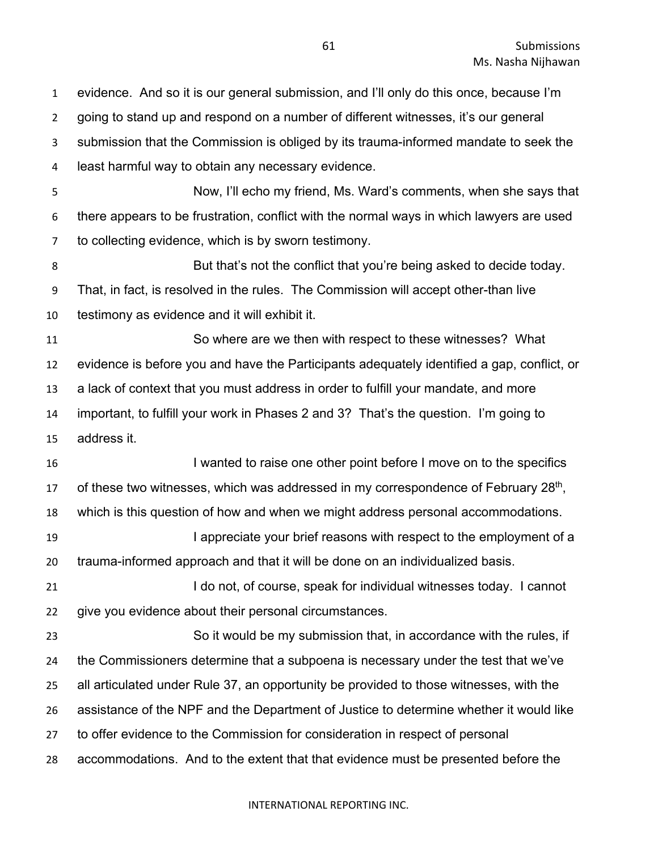evidence. And so it is our general submission, and I'll only do this once, because I'm going to stand up and respond on a number of different witnesses, it's our general submission that the Commission is obliged by its trauma-informed mandate to seek the least harmful way to obtain any necessary evidence. Now, I'll echo my friend, Ms. Ward's comments, when she says that there appears to be frustration, conflict with the normal ways in which lawyers are used to collecting evidence, which is by sworn testimony. **But that's not the conflict that you're being asked to decide today.**  That, in fact, is resolved in the rules. The Commission will accept other-than live testimony as evidence and it will exhibit it. So where are we then with respect to these witnesses? What evidence is before you and have the Participants adequately identified a gap, conflict, or a lack of context that you must address in order to fulfill your mandate, and more important, to fulfill your work in Phases 2 and 3? That's the question. I'm going to address it. I wanted to raise one other point before I move on to the specifics 17 of these two witnesses, which was addressed in my correspondence of February  $28<sup>th</sup>$ , which is this question of how and when we might address personal accommodations. **I appreciate your brief reasons with respect to the employment of a**  trauma-informed approach and that it will be done on an individualized basis. **I do not, of course, speak for individual witnesses today.** I cannot give you evidence about their personal circumstances. So it would be my submission that, in accordance with the rules, if the Commissioners determine that a subpoena is necessary under the test that we've all articulated under Rule 37, an opportunity be provided to those witnesses, with the assistance of the NPF and the Department of Justice to determine whether it would like to offer evidence to the Commission for consideration in respect of personal accommodations. And to the extent that that evidence must be presented before the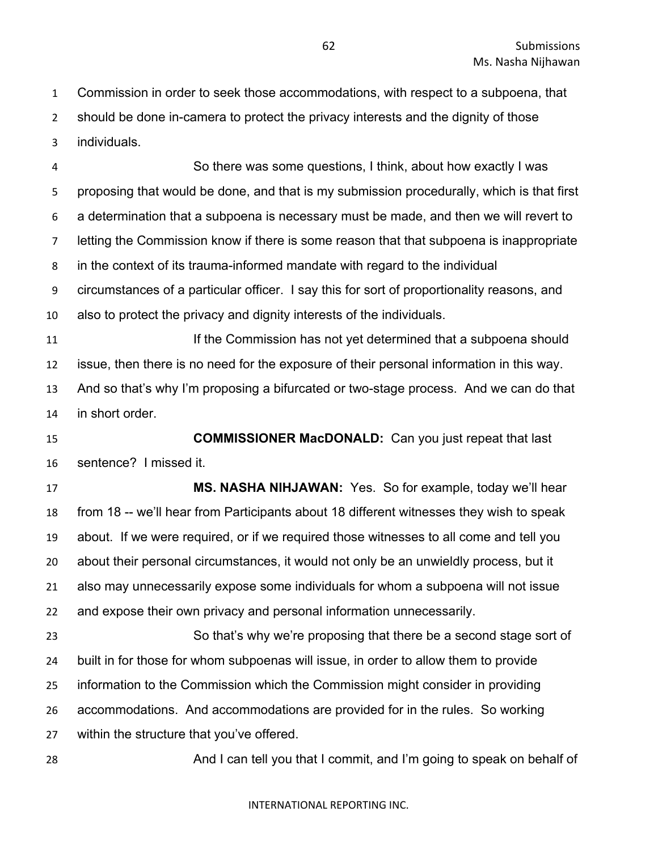Commission in order to seek those accommodations, with respect to a subpoena, that should be done in-camera to protect the privacy interests and the dignity of those individuals.

 So there was some questions, I think, about how exactly I was proposing that would be done, and that is my submission procedurally, which is that first a determination that a subpoena is necessary must be made, and then we will revert to letting the Commission know if there is some reason that that subpoena is inappropriate in the context of its trauma-informed mandate with regard to the individual circumstances of a particular officer. I say this for sort of proportionality reasons, and also to protect the privacy and dignity interests of the individuals. If the Commission has not yet determined that a subpoena should issue, then there is no need for the exposure of their personal information in this way. And so that's why I'm proposing a bifurcated or two-stage process. And we can do that in short order. **COMMISSIONER MacDONALD:** Can you just repeat that last sentence? I missed it. **MS. NASHA NIHJAWAN:** Yes. So for example, today we'll hear from 18 -- we'll hear from Participants about 18 different witnesses they wish to speak about. If we were required, or if we required those witnesses to all come and tell you about their personal circumstances, it would not only be an unwieldly process, but it also may unnecessarily expose some individuals for whom a subpoena will not issue and expose their own privacy and personal information unnecessarily. So that's why we're proposing that there be a second stage sort of built in for those for whom subpoenas will issue, in order to allow them to provide information to the Commission which the Commission might consider in providing accommodations. And accommodations are provided for in the rules. So working within the structure that you've offered.

28 And I can tell you that I commit, and I'm going to speak on behalf of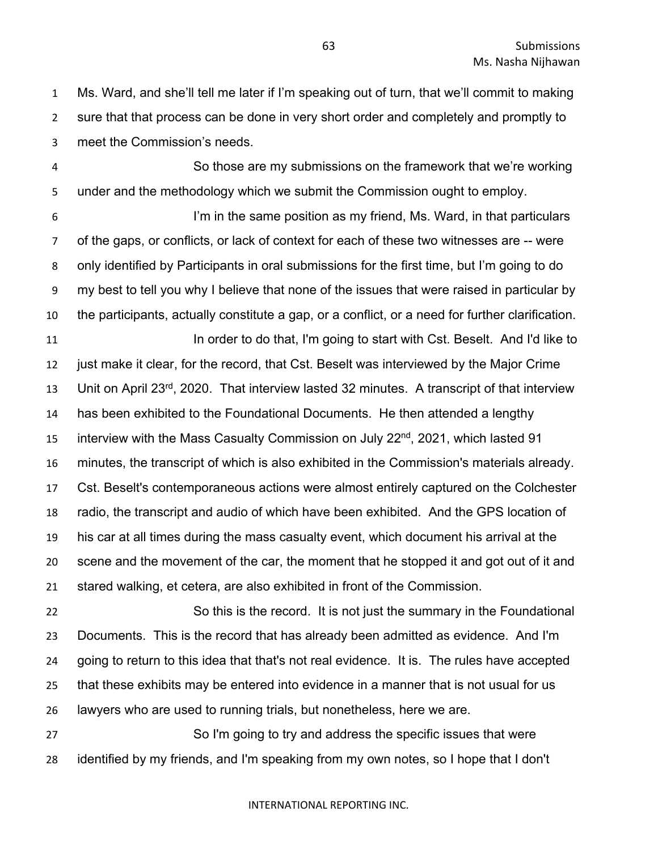Ms. Ward, and she'll tell me later if I'm speaking out of turn, that we'll commit to making sure that that process can be done in very short order and completely and promptly to meet the Commission's needs.

 So those are my submissions on the framework that we're working under and the methodology which we submit the Commission ought to employ.

6 I'm in the same position as my friend, Ms. Ward, in that particulars of the gaps, or conflicts, or lack of context for each of these two witnesses are -- were only identified by Participants in oral submissions for the first time, but I'm going to do my best to tell you why I believe that none of the issues that were raised in particular by the participants, actually constitute a gap, or a conflict, or a need for further clarification. **In order to do that, I'm going to start with Cst. Beselt. And I'd like to** 

 just make it clear, for the record, that Cst. Beselt was interviewed by the Major Crime 13 Unit on April 23<sup>rd</sup>, 2020. That interview lasted 32 minutes. A transcript of that interview has been exhibited to the Foundational Documents. He then attended a lengthy 15 interview with the Mass Casualty Commission on July 22<sup>nd</sup>, 2021, which lasted 91 minutes, the transcript of which is also exhibited in the Commission's materials already. Cst. Beselt's contemporaneous actions were almost entirely captured on the Colchester radio, the transcript and audio of which have been exhibited. And the GPS location of his car at all times during the mass casualty event, which document his arrival at the scene and the movement of the car, the moment that he stopped it and got out of it and stared walking, et cetera, are also exhibited in front of the Commission.

 So this is the record. It is not just the summary in the Foundational Documents. This is the record that has already been admitted as evidence. And I'm going to return to this idea that that's not real evidence. It is. The rules have accepted that these exhibits may be entered into evidence in a manner that is not usual for us lawyers who are used to running trials, but nonetheless, here we are.

 So I'm going to try and address the specific issues that were identified by my friends, and I'm speaking from my own notes, so I hope that I don't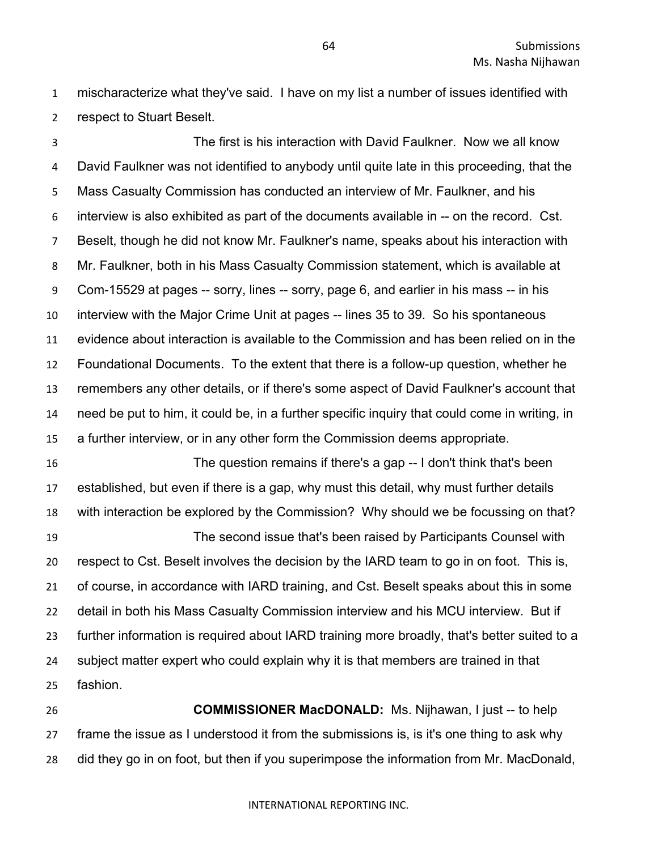mischaracterize what they've said. I have on my list a number of issues identified with respect to Stuart Beselt.

 The first is his interaction with David Faulkner. Now we all know David Faulkner was not identified to anybody until quite late in this proceeding, that the Mass Casualty Commission has conducted an interview of Mr. Faulkner, and his interview is also exhibited as part of the documents available in -- on the record. Cst. Beselt, though he did not know Mr. Faulkner's name, speaks about his interaction with Mr. Faulkner, both in his Mass Casualty Commission statement, which is available at Com-15529 at pages -- sorry, lines -- sorry, page 6, and earlier in his mass -- in his interview with the Major Crime Unit at pages -- lines 35 to 39. So his spontaneous evidence about interaction is available to the Commission and has been relied on in the Foundational Documents. To the extent that there is a follow-up question, whether he remembers any other details, or if there's some aspect of David Faulkner's account that need be put to him, it could be, in a further specific inquiry that could come in writing, in a further interview, or in any other form the Commission deems appropriate. The question remains if there's a gap -- I don't think that's been

 established, but even if there is a gap, why must this detail, why must further details with interaction be explored by the Commission? Why should we be focussing on that? The second issue that's been raised by Participants Counsel with respect to Cst. Beselt involves the decision by the IARD team to go in on foot. This is, of course, in accordance with IARD training, and Cst. Beselt speaks about this in some detail in both his Mass Casualty Commission interview and his MCU interview. But if further information is required about IARD training more broadly, that's better suited to a subject matter expert who could explain why it is that members are trained in that fashion.

 **COMMISSIONER MacDONALD:** Ms. Nijhawan, I just -- to help frame the issue as I understood it from the submissions is, is it's one thing to ask why did they go in on foot, but then if you superimpose the information from Mr. MacDonald,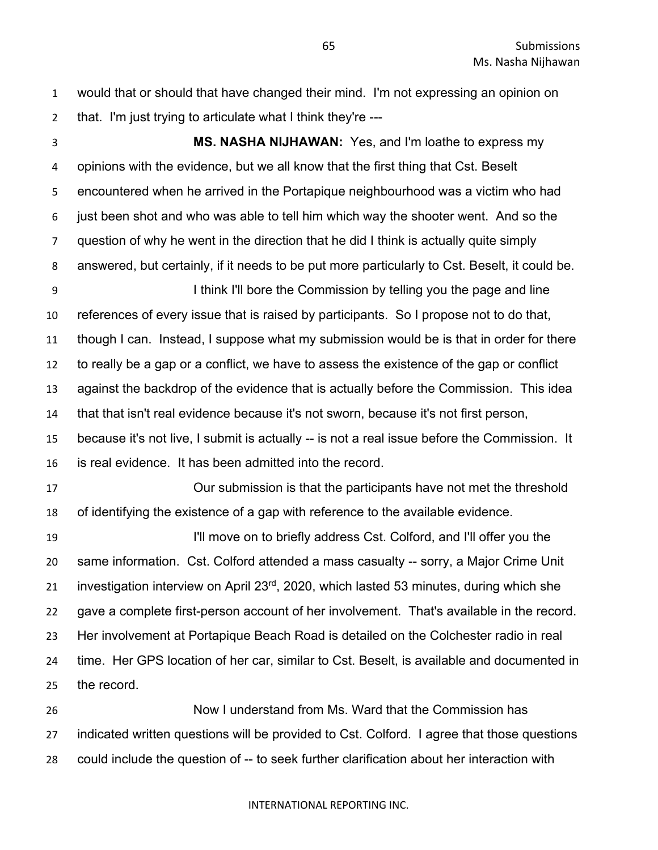would that or should that have changed their mind. I'm not expressing an opinion on that. I'm just trying to articulate what I think they're ---

 **MS. NASHA NIJHAWAN:** Yes, and I'm loathe to express my opinions with the evidence, but we all know that the first thing that Cst. Beselt encountered when he arrived in the Portapique neighbourhood was a victim who had just been shot and who was able to tell him which way the shooter went. And so the question of why he went in the direction that he did I think is actually quite simply answered, but certainly, if it needs to be put more particularly to Cst. Beselt, it could be. I think I'll bore the Commission by telling you the page and line references of every issue that is raised by participants. So I propose not to do that, though I can. Instead, I suppose what my submission would be is that in order for there to really be a gap or a conflict, we have to assess the existence of the gap or conflict against the backdrop of the evidence that is actually before the Commission. This idea that that isn't real evidence because it's not sworn, because it's not first person, because it's not live, I submit is actually -- is not a real issue before the Commission. It is real evidence. It has been admitted into the record. Our submission is that the participants have not met the threshold of identifying the existence of a gap with reference to the available evidence. I'll move on to briefly address Cst. Colford, and I'll offer you the same information. Cst. Colford attended a mass casualty -- sorry, a Major Crime Unit 21 investigation interview on April  $23<sup>rd</sup>$ , 2020, which lasted 53 minutes, during which she gave a complete first-person account of her involvement. That's available in the record. Her involvement at Portapique Beach Road is detailed on the Colchester radio in real time. Her GPS location of her car, similar to Cst. Beselt, is available and documented in the record.

 Now I understand from Ms. Ward that the Commission has indicated written questions will be provided to Cst. Colford. I agree that those questions could include the question of -- to seek further clarification about her interaction with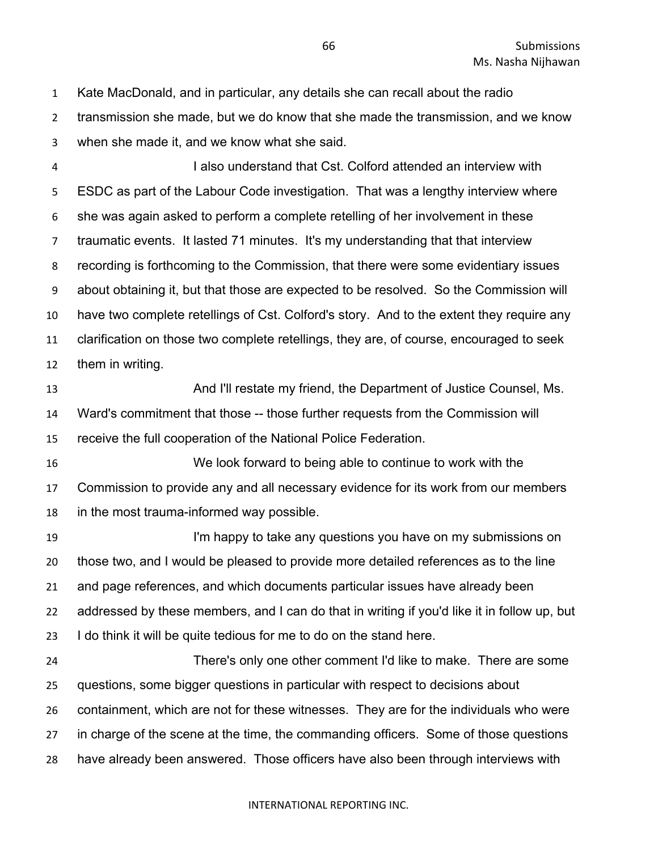Kate MacDonald, and in particular, any details she can recall about the radio transmission she made, but we do know that she made the transmission, and we know when she made it, and we know what she said.

 I also understand that Cst. Colford attended an interview with ESDC as part of the Labour Code investigation. That was a lengthy interview where she was again asked to perform a complete retelling of her involvement in these traumatic events. It lasted 71 minutes. It's my understanding that that interview recording is forthcoming to the Commission, that there were some evidentiary issues about obtaining it, but that those are expected to be resolved. So the Commission will have two complete retellings of Cst. Colford's story. And to the extent they require any clarification on those two complete retellings, they are, of course, encouraged to seek them in writing.

 And I'll restate my friend, the Department of Justice Counsel, Ms. Ward's commitment that those -- those further requests from the Commission will receive the full cooperation of the National Police Federation.

 We look forward to being able to continue to work with the Commission to provide any and all necessary evidence for its work from our members in the most trauma-informed way possible.

**I'm happy to take any questions you have on my submissions on**  those two, and I would be pleased to provide more detailed references as to the line and page references, and which documents particular issues have already been addressed by these members, and I can do that in writing if you'd like it in follow up, but I do think it will be quite tedious for me to do on the stand here.

 There's only one other comment I'd like to make. There are some questions, some bigger questions in particular with respect to decisions about containment, which are not for these witnesses. They are for the individuals who were in charge of the scene at the time, the commanding officers. Some of those questions have already been answered. Those officers have also been through interviews with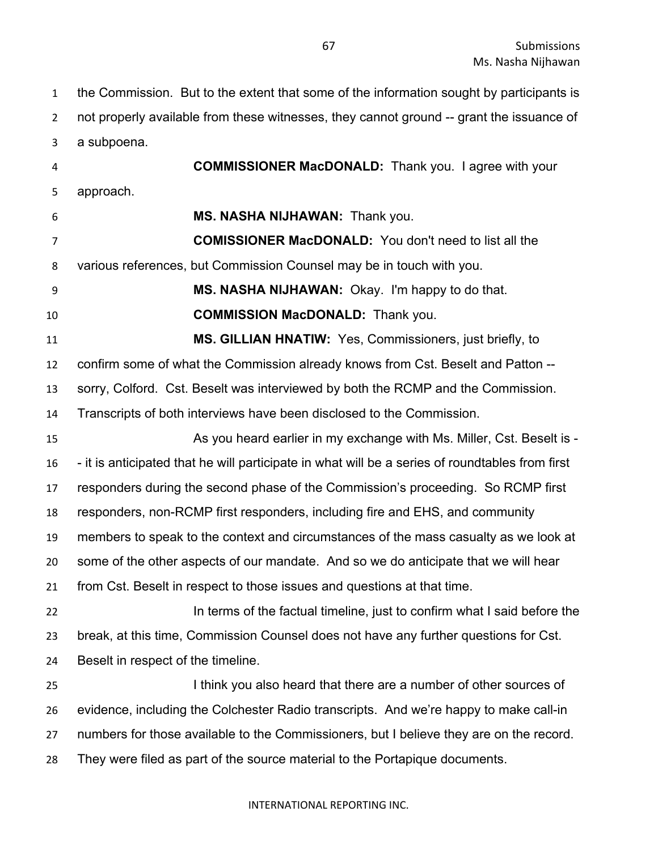the Commission. But to the extent that some of the information sought by participants is not properly available from these witnesses, they cannot ground -- grant the issuance of a subpoena.

 **COMMISSIONER MacDONALD:** Thank you. I agree with your approach. **MS. NASHA NIJHAWAN:** Thank you. **COMISSIONER MacDONALD:** You don't need to list all the various references, but Commission Counsel may be in touch with you. **MS. NASHA NIJHAWAN:** Okay. I'm happy to do that. **COMMISSION MacDONALD:** Thank you. **MS. GILLIAN HNATIW:** Yes, Commissioners, just briefly, to confirm some of what the Commission already knows from Cst. Beselt and Patton -- sorry, Colford. Cst. Beselt was interviewed by both the RCMP and the Commission. Transcripts of both interviews have been disclosed to the Commission. As you heard earlier in my exchange with Ms. Miller, Cst. Beselt is - - it is anticipated that he will participate in what will be a series of roundtables from first responders during the second phase of the Commission's proceeding. So RCMP first responders, non-RCMP first responders, including fire and EHS, and community members to speak to the context and circumstances of the mass casualty as we look at some of the other aspects of our mandate. And so we do anticipate that we will hear from Cst. Beselt in respect to those issues and questions at that time. **In terms of the factual timeline, just to confirm what I said before the**  break, at this time, Commission Counsel does not have any further questions for Cst. Beselt in respect of the timeline. I think you also heard that there are a number of other sources of evidence, including the Colchester Radio transcripts. And we're happy to make call-in numbers for those available to the Commissioners, but I believe they are on the record. They were filed as part of the source material to the Portapique documents.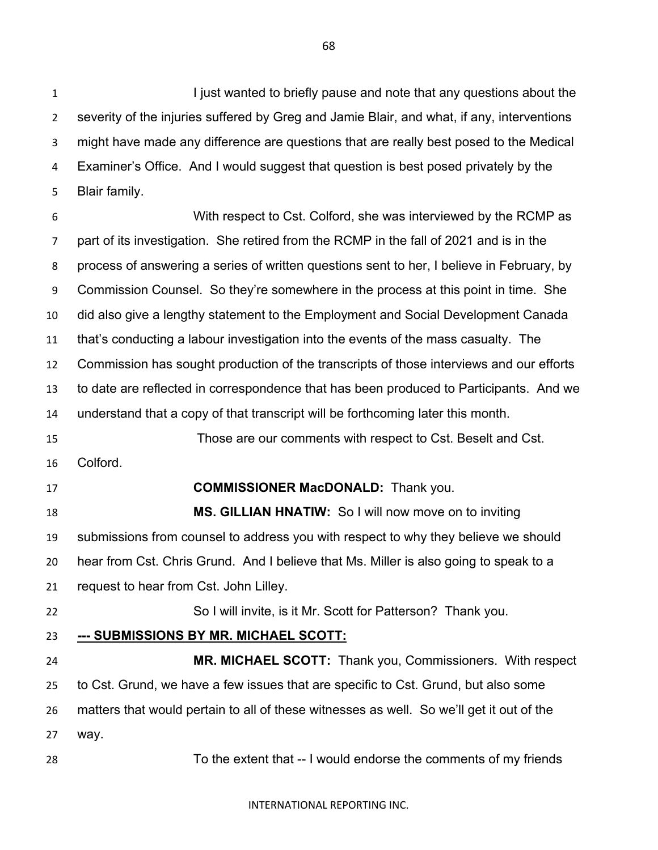**I iust wanted to briefly pause and note that any questions about the**  severity of the injuries suffered by Greg and Jamie Blair, and what, if any, interventions might have made any difference are questions that are really best posed to the Medical Examiner's Office. And I would suggest that question is best posed privately by the Blair family.

 With respect to Cst. Colford, she was interviewed by the RCMP as part of its investigation. She retired from the RCMP in the fall of 2021 and is in the process of answering a series of written questions sent to her, I believe in February, by Commission Counsel. So they're somewhere in the process at this point in time. She did also give a lengthy statement to the Employment and Social Development Canada that's conducting a labour investigation into the events of the mass casualty. The Commission has sought production of the transcripts of those interviews and our efforts to date are reflected in correspondence that has been produced to Participants. And we understand that a copy of that transcript will be forthcoming later this month. Those are our comments with respect to Cst. Beselt and Cst. Colford. **COMMISSIONER MacDONALD:** Thank you. **MS. GILLIAN HNATIW:** So I will now move on to inviting submissions from counsel to address you with respect to why they believe we should hear from Cst. Chris Grund. And I believe that Ms. Miller is also going to speak to a request to hear from Cst. John Lilley. So I will invite, is it Mr. Scott for Patterson? Thank you. **--- SUBMISSIONS BY MR. MICHAEL SCOTT: MR. MICHAEL SCOTT:** Thank you, Commissioners. With respect to Cst. Grund, we have a few issues that are specific to Cst. Grund, but also some matters that would pertain to all of these witnesses as well. So we'll get it out of the way.

To the extent that -- I would endorse the comments of my friends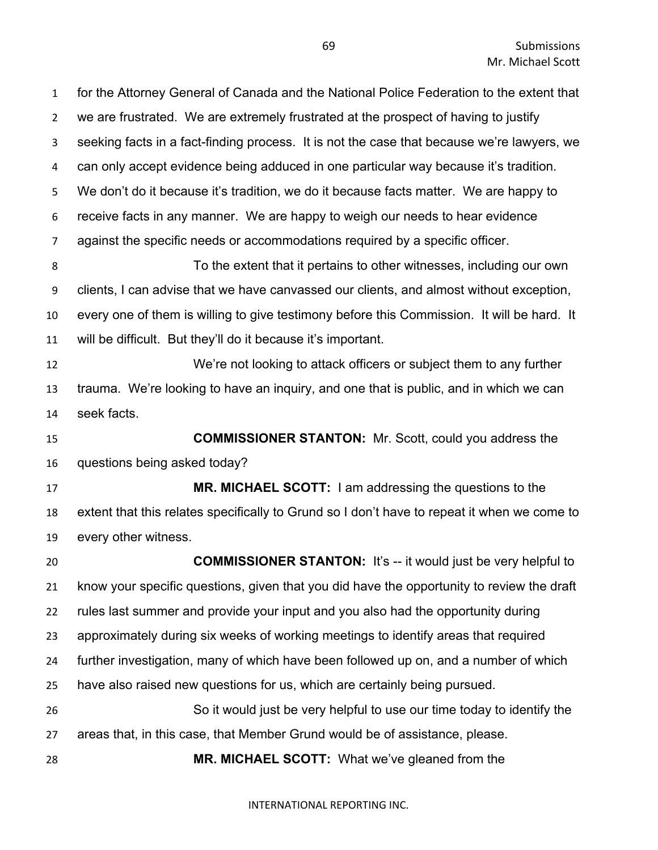for the Attorney General of Canada and the National Police Federation to the extent that we are frustrated. We are extremely frustrated at the prospect of having to justify seeking facts in a fact-finding process. It is not the case that because we're lawyers, we can only accept evidence being adduced in one particular way because it's tradition. We don't do it because it's tradition, we do it because facts matter. We are happy to receive facts in any manner. We are happy to weigh our needs to hear evidence against the specific needs or accommodations required by a specific officer. To the extent that it pertains to other witnesses, including our own clients, I can advise that we have canvassed our clients, and almost without exception, every one of them is willing to give testimony before this Commission. It will be hard. It will be difficult. But they'll do it because it's important. We're not looking to attack officers or subject them to any further trauma. We're looking to have an inquiry, and one that is public, and in which we can seek facts. **COMMISSIONER STANTON:** Mr. Scott, could you address the questions being asked today? **MR. MICHAEL SCOTT:** I am addressing the questions to the extent that this relates specifically to Grund so I don't have to repeat it when we come to every other witness. **COMMISSIONER STANTON:** It's -- it would just be very helpful to know your specific questions, given that you did have the opportunity to review the draft rules last summer and provide your input and you also had the opportunity during approximately during six weeks of working meetings to identify areas that required further investigation, many of which have been followed up on, and a number of which have also raised new questions for us, which are certainly being pursued. So it would just be very helpful to use our time today to identify the areas that, in this case, that Member Grund would be of assistance, please. **MR. MICHAEL SCOTT:** What we've gleaned from the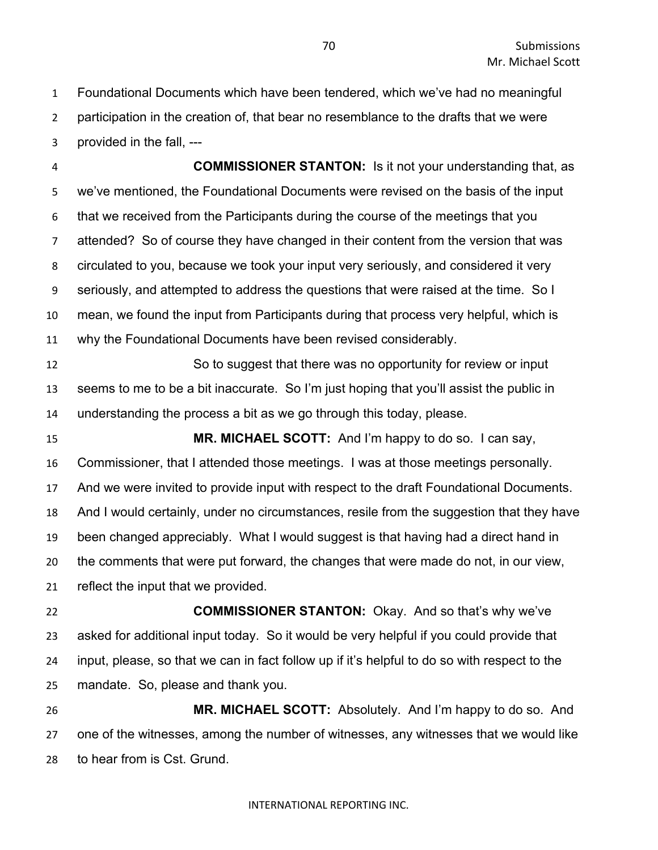Foundational Documents which have been tendered, which we've had no meaningful participation in the creation of, that bear no resemblance to the drafts that we were provided in the fall, ---

 **COMMISSIONER STANTON:** Is it not your understanding that, as we've mentioned, the Foundational Documents were revised on the basis of the input that we received from the Participants during the course of the meetings that you attended? So of course they have changed in their content from the version that was circulated to you, because we took your input very seriously, and considered it very seriously, and attempted to address the questions that were raised at the time. So I mean, we found the input from Participants during that process very helpful, which is why the Foundational Documents have been revised considerably. So to suggest that there was no opportunity for review or input

 seems to me to be a bit inaccurate. So I'm just hoping that you'll assist the public in understanding the process a bit as we go through this today, please.

 **MR. MICHAEL SCOTT:** And I'm happy to do so. I can say, Commissioner, that I attended those meetings. I was at those meetings personally. And we were invited to provide input with respect to the draft Foundational Documents. And I would certainly, under no circumstances, resile from the suggestion that they have been changed appreciably. What I would suggest is that having had a direct hand in the comments that were put forward, the changes that were made do not, in our view, reflect the input that we provided.

 **COMMISSIONER STANTON:** Okay. And so that's why we've asked for additional input today. So it would be very helpful if you could provide that input, please, so that we can in fact follow up if it's helpful to do so with respect to the mandate. So, please and thank you.

 **MR. MICHAEL SCOTT:** Absolutely. And I'm happy to do so. And one of the witnesses, among the number of witnesses, any witnesses that we would like to hear from is Cst. Grund.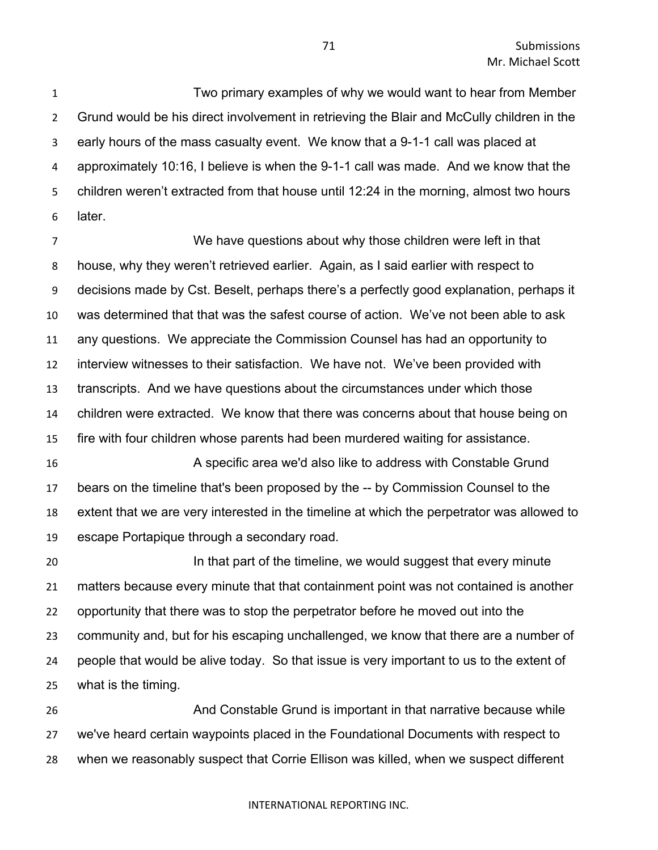Two primary examples of why we would want to hear from Member Grund would be his direct involvement in retrieving the Blair and McCully children in the early hours of the mass casualty event. We know that a 9-1-1 call was placed at approximately 10:16, I believe is when the 9-1-1 call was made. And we know that the children weren't extracted from that house until 12:24 in the morning, almost two hours later.

 We have questions about why those children were left in that house, why they weren't retrieved earlier. Again, as I said earlier with respect to decisions made by Cst. Beselt, perhaps there's a perfectly good explanation, perhaps it was determined that that was the safest course of action. We've not been able to ask any questions. We appreciate the Commission Counsel has had an opportunity to interview witnesses to their satisfaction. We have not. We've been provided with transcripts. And we have questions about the circumstances under which those children were extracted. We know that there was concerns about that house being on fire with four children whose parents had been murdered waiting for assistance.

 A specific area we'd also like to address with Constable Grund bears on the timeline that's been proposed by the -- by Commission Counsel to the extent that we are very interested in the timeline at which the perpetrator was allowed to escape Portapique through a secondary road.

**In that part of the timeline, we would suggest that every minute**  matters because every minute that that containment point was not contained is another opportunity that there was to stop the perpetrator before he moved out into the community and, but for his escaping unchallenged, we know that there are a number of people that would be alive today. So that issue is very important to us to the extent of what is the timing.

 And Constable Grund is important in that narrative because while we've heard certain waypoints placed in the Foundational Documents with respect to when we reasonably suspect that Corrie Ellison was killed, when we suspect different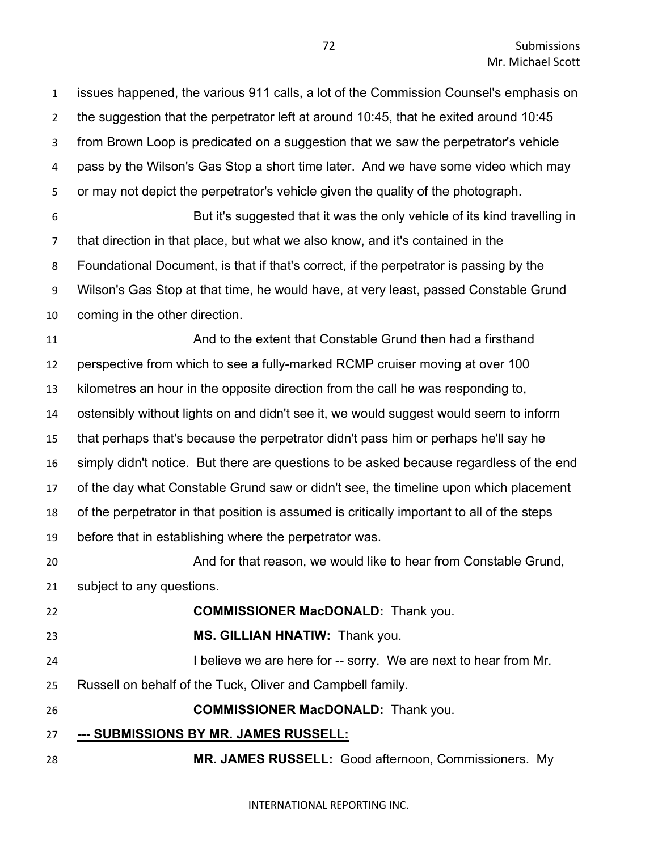issues happened, the various 911 calls, a lot of the Commission Counsel's emphasis on the suggestion that the perpetrator left at around 10:45, that he exited around 10:45 from Brown Loop is predicated on a suggestion that we saw the perpetrator's vehicle pass by the Wilson's Gas Stop a short time later. And we have some video which may or may not depict the perpetrator's vehicle given the quality of the photograph. But it's suggested that it was the only vehicle of its kind travelling in that direction in that place, but what we also know, and it's contained in the Foundational Document, is that if that's correct, if the perpetrator is passing by the Wilson's Gas Stop at that time, he would have, at very least, passed Constable Grund coming in the other direction. And to the extent that Constable Grund then had a firsthand perspective from which to see a fully-marked RCMP cruiser moving at over 100 kilometres an hour in the opposite direction from the call he was responding to, ostensibly without lights on and didn't see it, we would suggest would seem to inform that perhaps that's because the perpetrator didn't pass him or perhaps he'll say he simply didn't notice. But there are questions to be asked because regardless of the end of the day what Constable Grund saw or didn't see, the timeline upon which placement of the perpetrator in that position is assumed is critically important to all of the steps before that in establishing where the perpetrator was. And for that reason, we would like to hear from Constable Grund, subject to any questions. **COMMISSIONER MacDONALD:** Thank you. **MS. GILLIAN HNATIW:** Thank you. 24 I believe we are here for -- sorry. We are next to hear from Mr. Russell on behalf of the Tuck, Oliver and Campbell family. **COMMISSIONER MacDONALD:** Thank you. **--- SUBMISSIONS BY MR. JAMES RUSSELL: MR. JAMES RUSSELL:** Good afternoon, Commissioners. My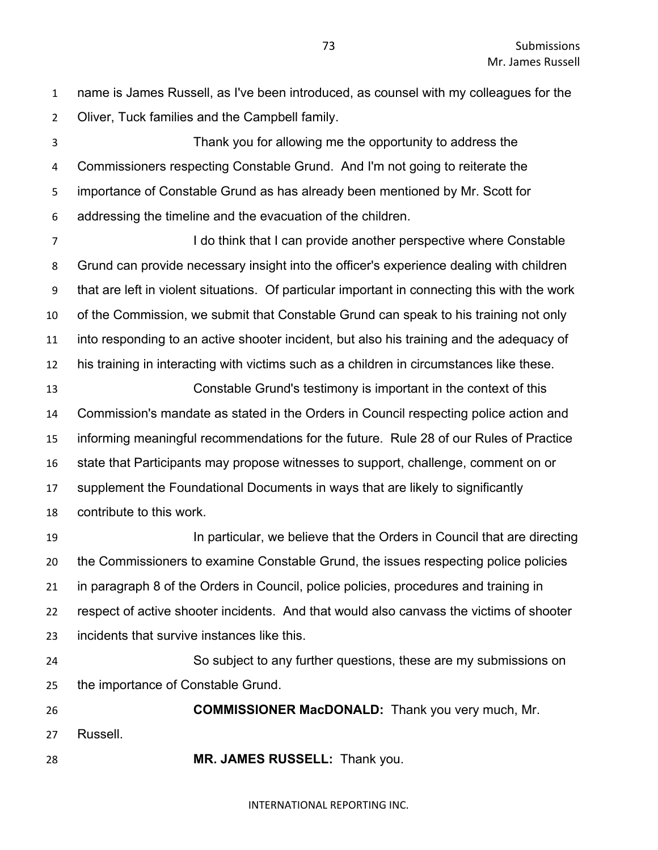name is James Russell, as I've been introduced, as counsel with my colleagues for the Oliver, Tuck families and the Campbell family.

 Thank you for allowing me the opportunity to address the Commissioners respecting Constable Grund. And I'm not going to reiterate the importance of Constable Grund as has already been mentioned by Mr. Scott for addressing the timeline and the evacuation of the children.

7 I do think that I can provide another perspective where Constable Grund can provide necessary insight into the officer's experience dealing with children that are left in violent situations. Of particular important in connecting this with the work of the Commission, we submit that Constable Grund can speak to his training not only into responding to an active shooter incident, but also his training and the adequacy of his training in interacting with victims such as a children in circumstances like these.

 Constable Grund's testimony is important in the context of this Commission's mandate as stated in the Orders in Council respecting police action and informing meaningful recommendations for the future. Rule 28 of our Rules of Practice state that Participants may propose witnesses to support, challenge, comment on or supplement the Foundational Documents in ways that are likely to significantly contribute to this work.

**In particular, we believe that the Orders in Council that are directing**  the Commissioners to examine Constable Grund, the issues respecting police policies in paragraph 8 of the Orders in Council, police policies, procedures and training in respect of active shooter incidents. And that would also canvass the victims of shooter incidents that survive instances like this.

 So subject to any further questions, these are my submissions on the importance of Constable Grund.

 **COMMISSIONER MacDONALD:** Thank you very much, Mr. Russell. **MR. JAMES RUSSELL:** Thank you.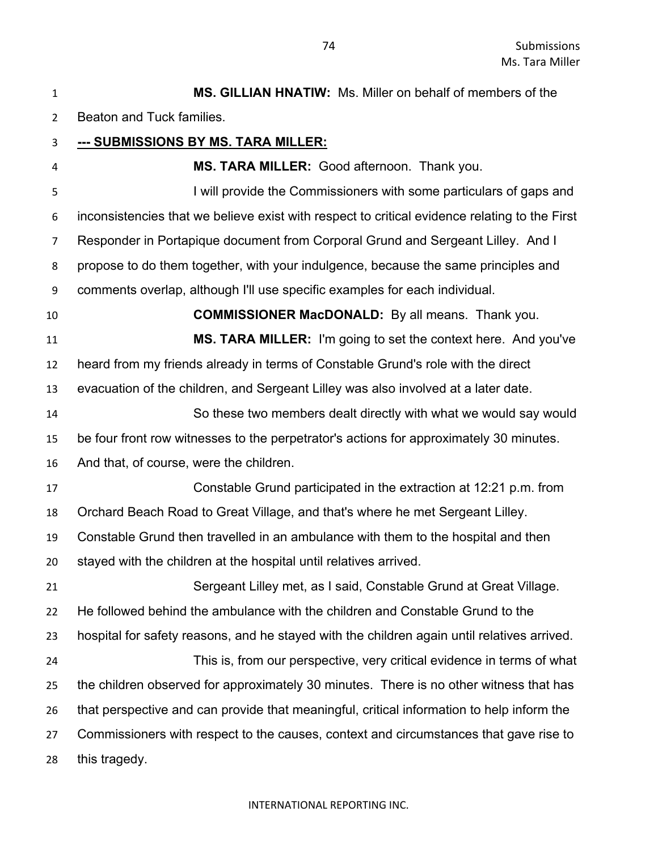| $\mathbf{1}$   | <b>MS. GILLIAN HNATIW:</b> Ms. Miller on behalf of members of the                             |
|----------------|-----------------------------------------------------------------------------------------------|
| $\overline{2}$ | Beaton and Tuck families.                                                                     |
| 3              | --- SUBMISSIONS BY MS. TARA MILLER:                                                           |
| 4              | MS. TARA MILLER: Good afternoon. Thank you.                                                   |
| 5              | I will provide the Commissioners with some particulars of gaps and                            |
| 6              | inconsistencies that we believe exist with respect to critical evidence relating to the First |
| 7              | Responder in Portapique document from Corporal Grund and Sergeant Lilley. And I               |
| 8              | propose to do them together, with your indulgence, because the same principles and            |
| 9              | comments overlap, although I'll use specific examples for each individual.                    |
| 10             | <b>COMMISSIONER MacDONALD:</b> By all means. Thank you.                                       |
| 11             | MS. TARA MILLER: I'm going to set the context here. And you've                                |
| 12             | heard from my friends already in terms of Constable Grund's role with the direct              |
| 13             | evacuation of the children, and Sergeant Lilley was also involved at a later date.            |
| 14             | So these two members dealt directly with what we would say would                              |
| 15             | be four front row witnesses to the perpetrator's actions for approximately 30 minutes.        |
| 16             | And that, of course, were the children.                                                       |
| 17             | Constable Grund participated in the extraction at 12:21 p.m. from                             |
| 18             | Orchard Beach Road to Great Village, and that's where he met Sergeant Lilley.                 |
| 19             | Constable Grund then travelled in an ambulance with them to the hospital and then             |
| 20             | stayed with the children at the hospital until relatives arrived.                             |
| 21             | Sergeant Lilley met, as I said, Constable Grund at Great Village.                             |
| 22             | He followed behind the ambulance with the children and Constable Grund to the                 |
| 23             | hospital for safety reasons, and he stayed with the children again until relatives arrived.   |
| 24             | This is, from our perspective, very critical evidence in terms of what                        |
| 25             | the children observed for approximately 30 minutes. There is no other witness that has        |
| 26             | that perspective and can provide that meaningful, critical information to help inform the     |
| 27             | Commissioners with respect to the causes, context and circumstances that gave rise to         |
| 28             | this tragedy.                                                                                 |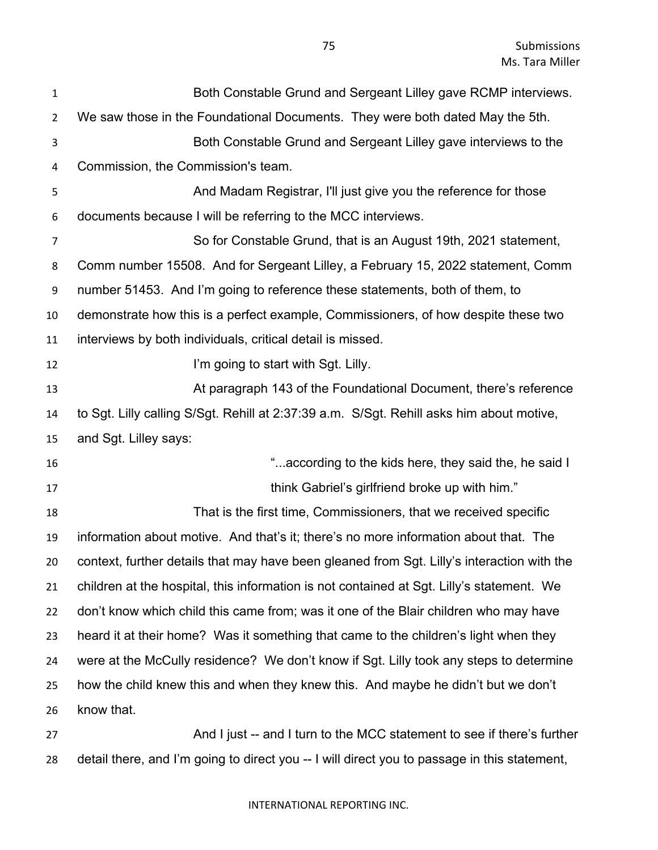| $\mathbf{1}$   | Both Constable Grund and Sergeant Lilley gave RCMP interviews.                             |
|----------------|--------------------------------------------------------------------------------------------|
| $\overline{2}$ | We saw those in the Foundational Documents. They were both dated May the 5th.              |
| 3              | Both Constable Grund and Sergeant Lilley gave interviews to the                            |
| 4              | Commission, the Commission's team.                                                         |
| 5              | And Madam Registrar, I'll just give you the reference for those                            |
| 6              | documents because I will be referring to the MCC interviews.                               |
| $\overline{7}$ | So for Constable Grund, that is an August 19th, 2021 statement,                            |
| 8              | Comm number 15508. And for Sergeant Lilley, a February 15, 2022 statement, Comm            |
| 9              | number 51453. And I'm going to reference these statements, both of them, to                |
| 10             | demonstrate how this is a perfect example, Commissioners, of how despite these two         |
| 11             | interviews by both individuals, critical detail is missed.                                 |
| 12             | I'm going to start with Sgt. Lilly.                                                        |
| 13             | At paragraph 143 of the Foundational Document, there's reference                           |
| 14             | to Sgt. Lilly calling S/Sgt. Rehill at 2:37:39 a.m. S/Sgt. Rehill asks him about motive,   |
| 15             | and Sgt. Lilley says:                                                                      |
| 16             | "according to the kids here, they said the, he said I                                      |
| 17             | think Gabriel's girlfriend broke up with him."                                             |
| 18             | That is the first time, Commissioners, that we received specific                           |
| 19             | information about motive. And that's it; there's no more information about that. The       |
| 20             | context, further details that may have been gleaned from Sgt. Lilly's interaction with the |
| 21             | children at the hospital, this information is not contained at Sgt. Lilly's statement. We  |
| 22             | don't know which child this came from; was it one of the Blair children who may have       |
| 23             | heard it at their home? Was it something that came to the children's light when they       |
| 24             | were at the McCully residence? We don't know if Sgt. Lilly took any steps to determine     |
| 25             | how the child knew this and when they knew this. And maybe he didn't but we don't          |
| 26             | know that.                                                                                 |
| 27             | And I just -- and I turn to the MCC statement to see if there's further                    |

detail there, and I'm going to direct you -- I will direct you to passage in this statement,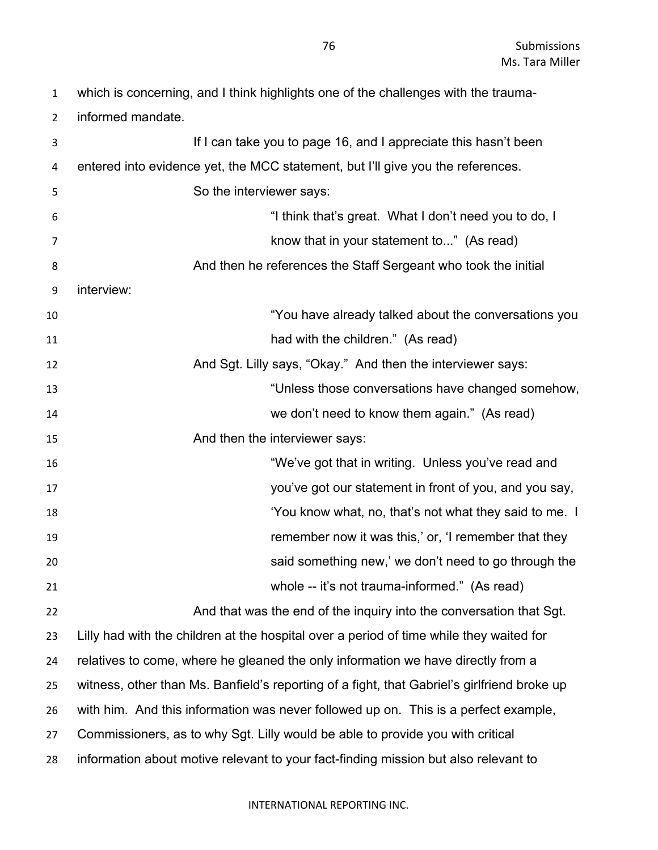which is concerning, and I think highlights one of the challenges with the trauma-

informed mandate.

| 3  | If I can take you to page 16, and I appreciate this hasn't been                             |
|----|---------------------------------------------------------------------------------------------|
| 4  | entered into evidence yet, the MCC statement, but I'll give you the references.             |
| 5  | So the interviewer says:                                                                    |
| 6  | "I think that's great. What I don't need you to do, I                                       |
| 7  | know that in your statement to" (As read)                                                   |
| 8  | And then he references the Staff Sergeant who took the initial                              |
| 9  | interview:                                                                                  |
| 10 | "You have already talked about the conversations you                                        |
| 11 | had with the children." (As read)                                                           |
| 12 | And Sgt. Lilly says, "Okay." And then the interviewer says:                                 |
| 13 | "Unless those conversations have changed somehow,                                           |
| 14 | we don't need to know them again." (As read)                                                |
| 15 | And then the interviewer says:                                                              |
| 16 | "We've got that in writing. Unless you've read and                                          |
| 17 | you've got our statement in front of you, and you say,                                      |
| 18 | 'You know what, no, that's not what they said to me. I                                      |
| 19 | remember now it was this,' or, 'I remember that they                                        |
| 20 | said something new,' we don't need to go through the                                        |
| 21 | whole -- it's not trauma-informed." (As read)                                               |
| 22 | And that was the end of the inquiry into the conversation that Sgt.                         |
| 23 | Lilly had with the children at the hospital over a period of time while they waited for     |
| 24 | relatives to come, where he gleaned the only information we have directly from a            |
| 25 | witness, other than Ms. Banfield's reporting of a fight, that Gabriel's girlfriend broke up |
| 26 | with him. And this information was never followed up on. This is a perfect example,         |
| 27 | Commissioners, as to why Sgt. Lilly would be able to provide you with critical              |
| 28 | information about motive relevant to your fact-finding mission but also relevant to         |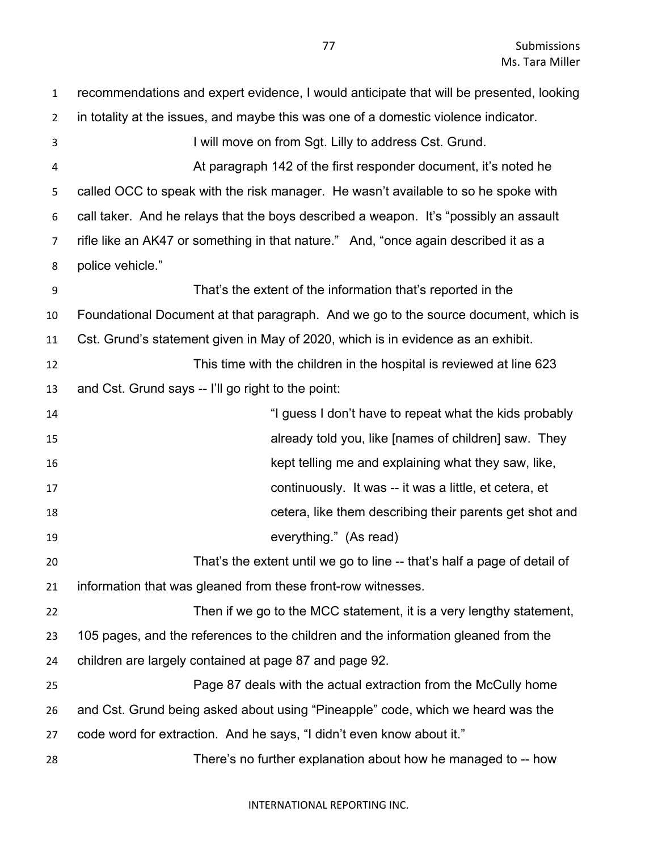| $\mathbf{1}$   | recommendations and expert evidence, I would anticipate that will be presented, looking |
|----------------|-----------------------------------------------------------------------------------------|
| $\overline{2}$ | in totality at the issues, and maybe this was one of a domestic violence indicator.     |
| 3              | I will move on from Sgt. Lilly to address Cst. Grund.                                   |
| 4              | At paragraph 142 of the first responder document, it's noted he                         |
| 5              | called OCC to speak with the risk manager. He wasn't available to so he spoke with      |
| 6              | call taker. And he relays that the boys described a weapon. It's "possibly an assault   |
| 7              | rifle like an AK47 or something in that nature." And, "once again described it as a     |
| 8              | police vehicle."                                                                        |
| 9              | That's the extent of the information that's reported in the                             |
| 10             | Foundational Document at that paragraph. And we go to the source document, which is     |
| 11             | Cst. Grund's statement given in May of 2020, which is in evidence as an exhibit.        |
| 12             | This time with the children in the hospital is reviewed at line 623                     |
| 13             | and Cst. Grund says -- I'll go right to the point:                                      |
| 14             | "I guess I don't have to repeat what the kids probably                                  |
| 15             | already told you, like [names of children] saw. They                                    |
| 16             | kept telling me and explaining what they saw, like,                                     |
| 17             | continuously. It was -- it was a little, et cetera, et                                  |
| 18             | cetera, like them describing their parents get shot and                                 |
| 19             | everything." (As read)                                                                  |
| 20             | That's the extent until we go to line -- that's half a page of detail of                |
| 21             | information that was gleaned from these front-row witnesses.                            |
| 22             | Then if we go to the MCC statement, it is a very lengthy statement,                     |
| 23             | 105 pages, and the references to the children and the information gleaned from the      |
| 24             | children are largely contained at page 87 and page 92.                                  |
| 25             | Page 87 deals with the actual extraction from the McCully home                          |
| 26             | and Cst. Grund being asked about using "Pineapple" code, which we heard was the         |
| 27             | code word for extraction. And he says, "I didn't even know about it."                   |
| 28             | There's no further explanation about how he managed to -- how                           |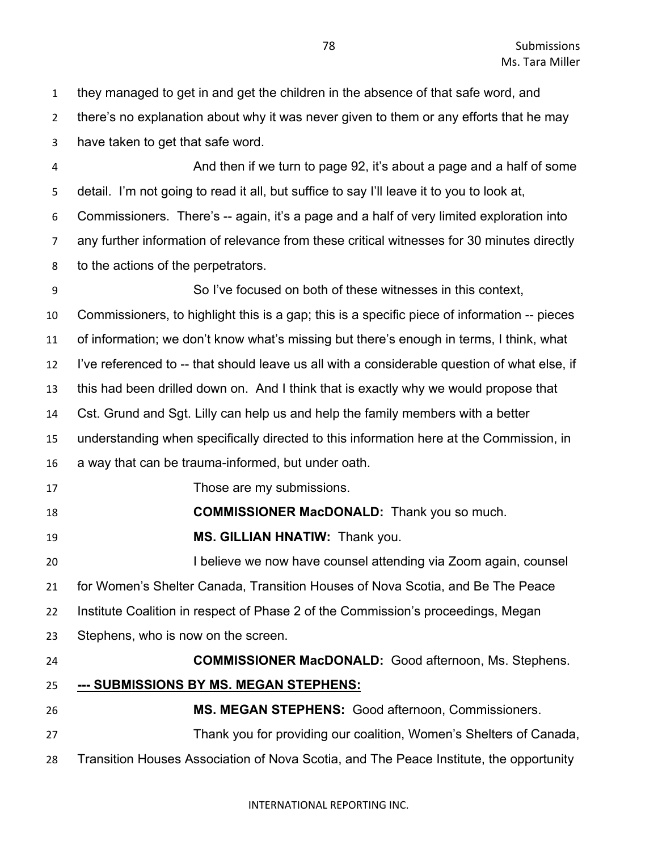there's no explanation about why it was never given to them or any efforts that he may have taken to get that safe word. And then if we turn to page 92, it's about a page and a half of some detail. I'm not going to read it all, but suffice to say I'll leave it to you to look at, Commissioners. There's -- again, it's a page and a half of very limited exploration into any further information of relevance from these critical witnesses for 30 minutes directly to the actions of the perpetrators. So I've focused on both of these witnesses in this context, Commissioners, to highlight this is a gap; this is a specific piece of information -- pieces of information; we don't know what's missing but there's enough in terms, I think, what I've referenced to -- that should leave us all with a considerable question of what else, if this had been drilled down on. And I think that is exactly why we would propose that Cst. Grund and Sgt. Lilly can help us and help the family members with a better understanding when specifically directed to this information here at the Commission, in a way that can be trauma-informed, but under oath. Those are my submissions. **COMMISSIONER MacDONALD:** Thank you so much. **MS. GILLIAN HNATIW:** Thank you. I believe we now have counsel attending via Zoom again, counsel for Women's Shelter Canada, Transition Houses of Nova Scotia, and Be The Peace Institute Coalition in respect of Phase 2 of the Commission's proceedings, Megan

- Stephens, who is now on the screen.
- 

 **COMMISSIONER MacDONALD:** Good afternoon, Ms. Stephens. **--- SUBMISSIONS BY MS. MEGAN STEPHENS: MS. MEGAN STEPHENS:** Good afternoon, Commissioners. Thank you for providing our coalition, Women's Shelters of Canada, Transition Houses Association of Nova Scotia, and The Peace Institute, the opportunity

they managed to get in and get the children in the absence of that safe word, and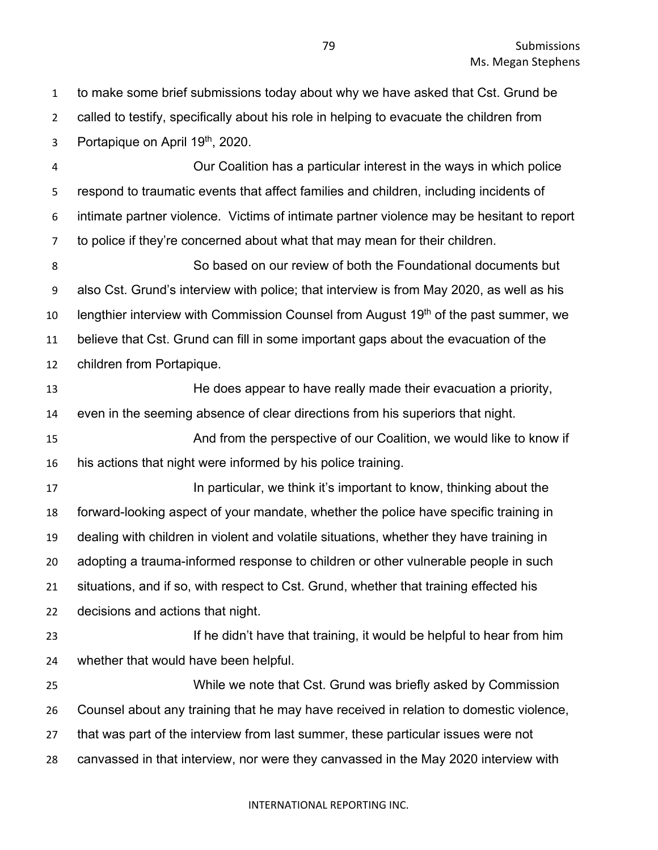to make some brief submissions today about why we have asked that Cst. Grund be called to testify, specifically about his role in helping to evacuate the children from 3 Portapique on April  $19<sup>th</sup>$ , 2020.

 Our Coalition has a particular interest in the ways in which police respond to traumatic events that affect families and children, including incidents of intimate partner violence. Victims of intimate partner violence may be hesitant to report to police if they're concerned about what that may mean for their children.

 So based on our review of both the Foundational documents but also Cst. Grund's interview with police; that interview is from May 2020, as well as his 10 lengthier interview with Commission Counsel from August 19<sup>th</sup> of the past summer, we believe that Cst. Grund can fill in some important gaps about the evacuation of the children from Portapique.

 He does appear to have really made their evacuation a priority, even in the seeming absence of clear directions from his superiors that night. And from the perspective of our Coalition, we would like to know if

his actions that night were informed by his police training.

**In particular, we think it's important to know, thinking about the**  forward-looking aspect of your mandate, whether the police have specific training in dealing with children in violent and volatile situations, whether they have training in adopting a trauma-informed response to children or other vulnerable people in such situations, and if so, with respect to Cst. Grund, whether that training effected his decisions and actions that night.

**If he didn't have that training, it would be helpful to hear from him** whether that would have been helpful.

 While we note that Cst. Grund was briefly asked by Commission Counsel about any training that he may have received in relation to domestic violence, that was part of the interview from last summer, these particular issues were not canvassed in that interview, nor were they canvassed in the May 2020 interview with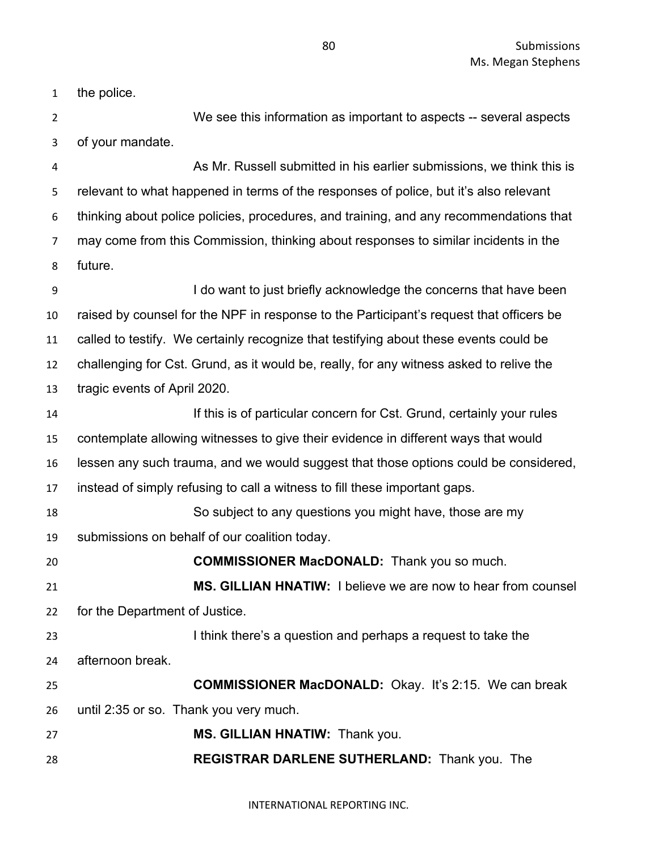the police.

 We see this information as important to aspects -- several aspects of your mandate.

 As Mr. Russell submitted in his earlier submissions, we think this is relevant to what happened in terms of the responses of police, but it's also relevant thinking about police policies, procedures, and training, and any recommendations that may come from this Commission, thinking about responses to similar incidents in the future.

 I do want to just briefly acknowledge the concerns that have been raised by counsel for the NPF in response to the Participant's request that officers be called to testify. We certainly recognize that testifying about these events could be challenging for Cst. Grund, as it would be, really, for any witness asked to relive the tragic events of April 2020.

 If this is of particular concern for Cst. Grund, certainly your rules contemplate allowing witnesses to give their evidence in different ways that would lessen any such trauma, and we would suggest that those options could be considered, instead of simply refusing to call a witness to fill these important gaps.

So subject to any questions you might have, those are my

submissions on behalf of our coalition today.

**COMMISSIONER MacDONALD:** Thank you so much.

 **MS. GILLIAN HNATIW:** I believe we are now to hear from counsel for the Department of Justice.

 I think there's a question and perhaps a request to take the afternoon break.

 **COMMISSIONER MacDONALD:** Okay. It's 2:15. We can break until 2:35 or so. Thank you very much.

**MS. GILLIAN HNATIW:** Thank you.

**REGISTRAR DARLENE SUTHERLAND:** Thank you. The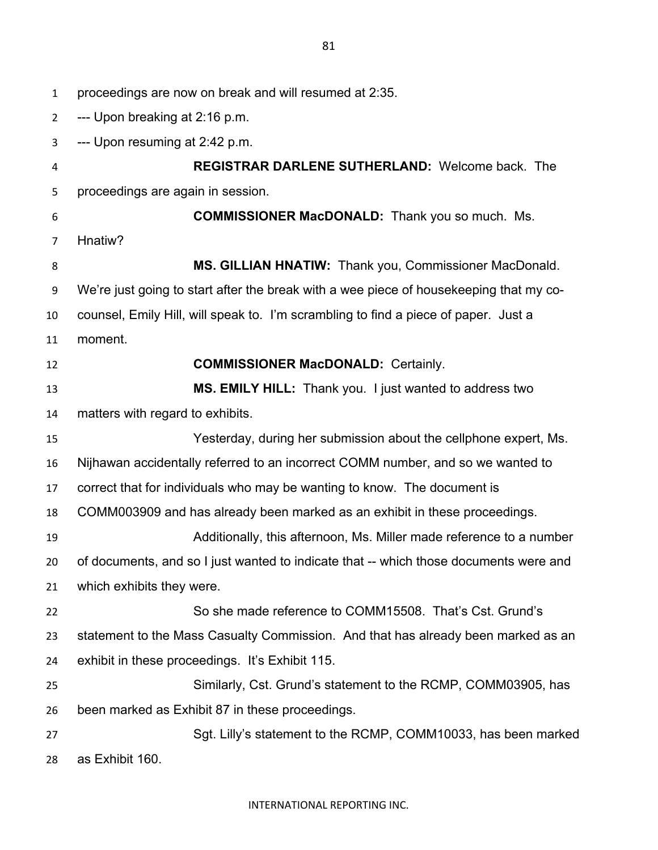proceedings are now on break and will resumed at 2:35. --- Upon breaking at 2:16 p.m. --- Upon resuming at 2:42 p.m. **REGISTRAR DARLENE SUTHERLAND:** Welcome back. The proceedings are again in session. **COMMISSIONER MacDONALD:** Thank you so much. Ms. Hnatiw? **MS. GILLIAN HNATIW:** Thank you, Commissioner MacDonald. We're just going to start after the break with a wee piece of housekeeping that my co- counsel, Emily Hill, will speak to. I'm scrambling to find a piece of paper. Just a moment. **COMMISSIONER MacDONALD:** Certainly. **MS. EMILY HILL:** Thank you. I just wanted to address two matters with regard to exhibits. Yesterday, during her submission about the cellphone expert, Ms. Nijhawan accidentally referred to an incorrect COMM number, and so we wanted to correct that for individuals who may be wanting to know. The document is COMM003909 and has already been marked as an exhibit in these proceedings. Additionally, this afternoon, Ms. Miller made reference to a number of documents, and so I just wanted to indicate that -- which those documents were and which exhibits they were. So she made reference to COMM15508. That's Cst. Grund's statement to the Mass Casualty Commission. And that has already been marked as an exhibit in these proceedings. It's Exhibit 115. Similarly, Cst. Grund's statement to the RCMP, COMM03905, has been marked as Exhibit 87 in these proceedings. Sgt. Lilly's statement to the RCMP, COMM10033, has been marked

as Exhibit 160.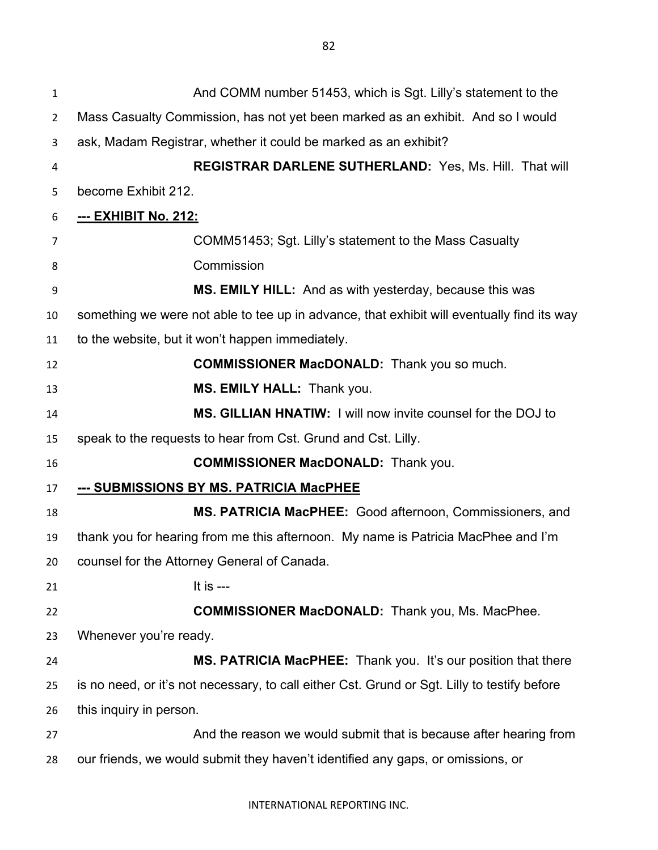And COMM number 51453, which is Sgt. Lilly's statement to the Mass Casualty Commission, has not yet been marked as an exhibit. And so I would ask, Madam Registrar, whether it could be marked as an exhibit? **REGISTRAR DARLENE SUTHERLAND:** Yes, Ms. Hill. That will become Exhibit 212. **--- EXHIBIT No. 212:** COMM51453; Sgt. Lilly's statement to the Mass Casualty Commission **MS. EMILY HILL:** And as with yesterday, because this was something we were not able to tee up in advance, that exhibit will eventually find its way to the website, but it won't happen immediately. **COMMISSIONER MacDONALD:** Thank you so much. **MS. EMILY HALL:** Thank you. **MS. GILLIAN HNATIW:** I will now invite counsel for the DOJ to speak to the requests to hear from Cst. Grund and Cst. Lilly. **COMMISSIONER MacDONALD:** Thank you. **--- SUBMISSIONS BY MS. PATRICIA MacPHEE MS. PATRICIA MacPHEE:** Good afternoon, Commissioners, and thank you for hearing from me this afternoon. My name is Patricia MacPhee and I'm counsel for the Attorney General of Canada. 21 It is --- **COMMISSIONER MacDONALD:** Thank you, Ms. MacPhee. Whenever you're ready. **MS. PATRICIA MacPHEE:** Thank you. It's our position that there is no need, or it's not necessary, to call either Cst. Grund or Sgt. Lilly to testify before this inquiry in person. 27 And the reason we would submit that is because after hearing from our friends, we would submit they haven't identified any gaps, or omissions, or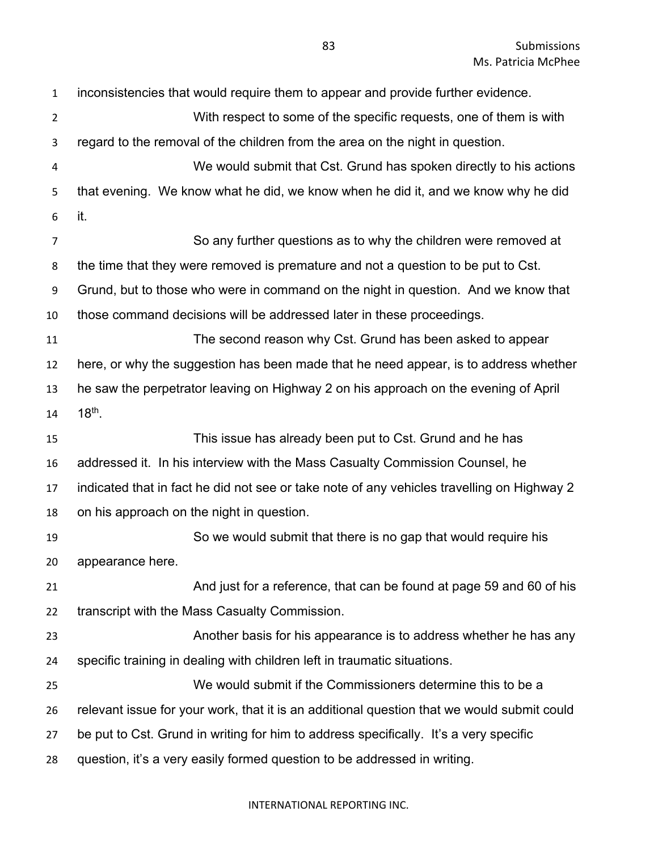inconsistencies that would require them to appear and provide further evidence. With respect to some of the specific requests, one of them is with regard to the removal of the children from the area on the night in question. We would submit that Cst. Grund has spoken directly to his actions that evening. We know what he did, we know when he did it, and we know why he did it. So any further questions as to why the children were removed at the time that they were removed is premature and not a question to be put to Cst. Grund, but to those who were in command on the night in question. And we know that those command decisions will be addressed later in these proceedings. The second reason why Cst. Grund has been asked to appear here, or why the suggestion has been made that he need appear, is to address whether he saw the perpetrator leaving on Highway 2 on his approach on the evening of April 14 18<sup>th</sup>. This issue has already been put to Cst. Grund and he has addressed it. In his interview with the Mass Casualty Commission Counsel, he indicated that in fact he did not see or take note of any vehicles travelling on Highway 2 on his approach on the night in question. So we would submit that there is no gap that would require his appearance here. And just for a reference, that can be found at page 59 and 60 of his transcript with the Mass Casualty Commission. Another basis for his appearance is to address whether he has any specific training in dealing with children left in traumatic situations. We would submit if the Commissioners determine this to be a relevant issue for your work, that it is an additional question that we would submit could be put to Cst. Grund in writing for him to address specifically. It's a very specific question, it's a very easily formed question to be addressed in writing.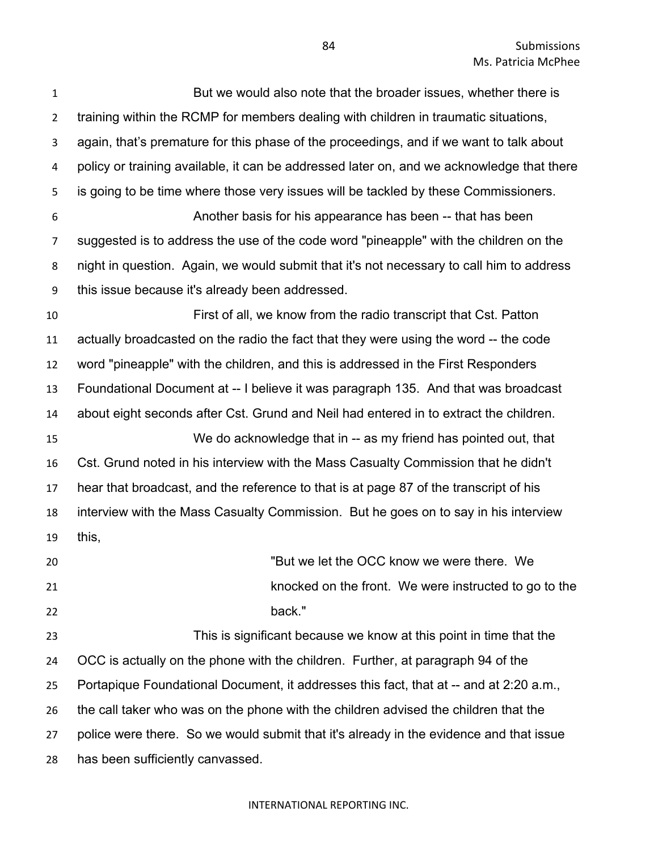| $\mathbf 1$    | But we would also note that the broader issues, whether there is                          |
|----------------|-------------------------------------------------------------------------------------------|
| $\overline{2}$ | training within the RCMP for members dealing with children in traumatic situations,       |
| 3              | again, that's premature for this phase of the proceedings, and if we want to talk about   |
| 4              | policy or training available, it can be addressed later on, and we acknowledge that there |
| 5              | is going to be time where those very issues will be tackled by these Commissioners.       |
| 6              | Another basis for his appearance has been -- that has been                                |
| 7              | suggested is to address the use of the code word "pineapple" with the children on the     |
| 8              | night in question. Again, we would submit that it's not necessary to call him to address  |
| 9              | this issue because it's already been addressed.                                           |
| 10             | First of all, we know from the radio transcript that Cst. Patton                          |
| 11             | actually broadcasted on the radio the fact that they were using the word -- the code      |
| 12             | word "pineapple" with the children, and this is addressed in the First Responders         |
| 13             | Foundational Document at -- I believe it was paragraph 135. And that was broadcast        |
| 14             | about eight seconds after Cst. Grund and Neil had entered in to extract the children.     |
| 15             | We do acknowledge that in -- as my friend has pointed out, that                           |
| 16             | Cst. Grund noted in his interview with the Mass Casualty Commission that he didn't        |
| 17             | hear that broadcast, and the reference to that is at page 87 of the transcript of his     |
| 18             | interview with the Mass Casualty Commission. But he goes on to say in his interview       |
| 19             | this,                                                                                     |
| 20             | "But we let the OCC know we were there. We                                                |
| 21             | knocked on the front. We were instructed to go to the                                     |
| 22             | back."                                                                                    |
| 23             | This is significant because we know at this point in time that the                        |
| 24             | OCC is actually on the phone with the children. Further, at paragraph 94 of the           |
| 25             | Portapique Foundational Document, it addresses this fact, that at -- and at 2:20 a.m.,    |
| 26             | the call taker who was on the phone with the children advised the children that the       |
| 27             | police were there. So we would submit that it's already in the evidence and that issue    |
| 28             | has been sufficiently canvassed.                                                          |
|                |                                                                                           |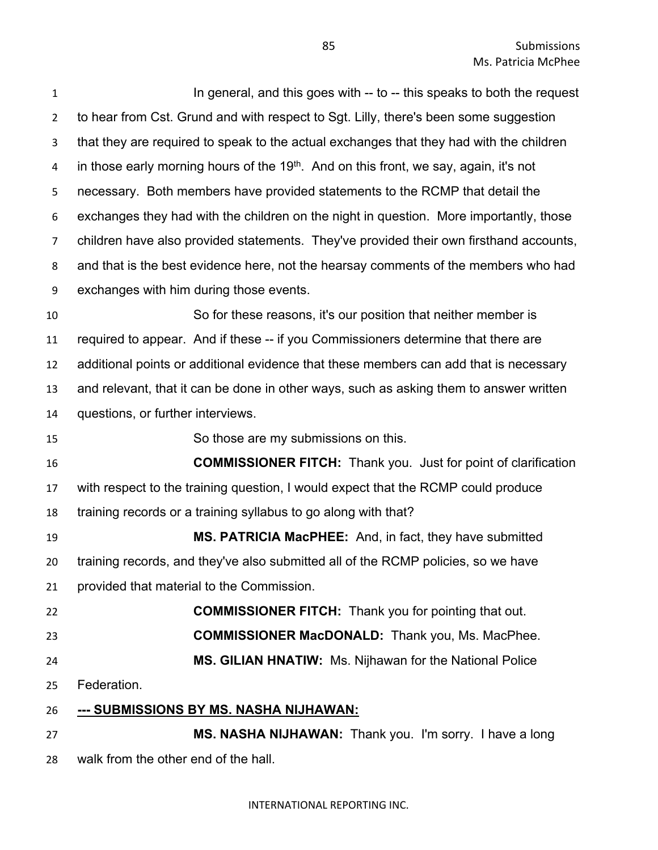| $\mathbf{1}$   | In general, and this goes with -- to -- this speaks to both the request                           |
|----------------|---------------------------------------------------------------------------------------------------|
| $\overline{2}$ | to hear from Cst. Grund and with respect to Sgt. Lilly, there's been some suggestion              |
| 3              | that they are required to speak to the actual exchanges that they had with the children           |
| 4              | in those early morning hours of the 19 <sup>th</sup> . And on this front, we say, again, it's not |
| 5              | necessary. Both members have provided statements to the RCMP that detail the                      |
| 6              | exchanges they had with the children on the night in question. More importantly, those            |
| 7              | children have also provided statements. They've provided their own firsthand accounts,            |
| 8              | and that is the best evidence here, not the hearsay comments of the members who had               |
| 9              | exchanges with him during those events.                                                           |
| 10             | So for these reasons, it's our position that neither member is                                    |
| 11             | required to appear. And if these -- if you Commissioners determine that there are                 |
| 12             | additional points or additional evidence that these members can add that is necessary             |
| 13             | and relevant, that it can be done in other ways, such as asking them to answer written            |
| 14             | questions, or further interviews.                                                                 |
| 15             | So those are my submissions on this.                                                              |
| 16             | <b>COMMISSIONER FITCH:</b> Thank you. Just for point of clarification                             |
| 17             | with respect to the training question, I would expect that the RCMP could produce                 |
| 18             | training records or a training syllabus to go along with that?                                    |
| 19             | MS. PATRICIA MacPHEE: And, in fact, they have submitted                                           |
| 20             | training records, and they've also submitted all of the RCMP policies, so we have                 |
| 21             | provided that material to the Commission.                                                         |
| 22             | <b>COMMISSIONER FITCH:</b> Thank you for pointing that out.                                       |
| 23             | <b>COMMISSIONER MacDONALD:</b> Thank you, Ms. MacPhee.                                            |
| 24             | MS. GILIAN HNATIW: Ms. Nijhawan for the National Police                                           |
| 25             | Federation.                                                                                       |
| 26             | <u>--- SUBMISSIONS BY MS. NASHA NIJHAWAN:</u>                                                     |
| 27             | MS. NASHA NIJHAWAN: Thank you. I'm sorry. I have a long                                           |
| 28             | walk from the other end of the hall.                                                              |
|                |                                                                                                   |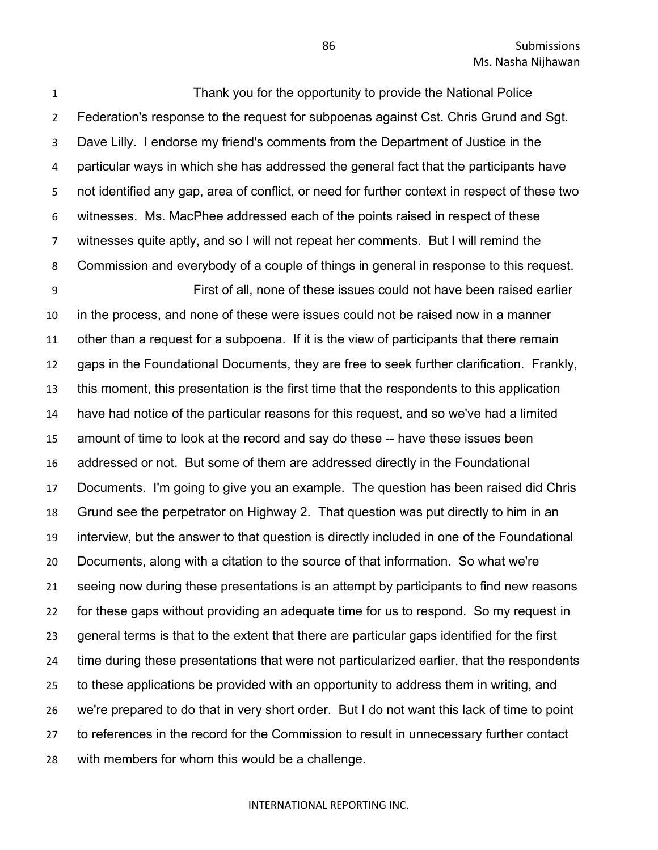Thank you for the opportunity to provide the National Police Federation's response to the request for subpoenas against Cst. Chris Grund and Sgt. Dave Lilly. I endorse my friend's comments from the Department of Justice in the particular ways in which she has addressed the general fact that the participants have not identified any gap, area of conflict, or need for further context in respect of these two witnesses. Ms. MacPhee addressed each of the points raised in respect of these witnesses quite aptly, and so I will not repeat her comments. But I will remind the Commission and everybody of a couple of things in general in response to this request.

 First of all, none of these issues could not have been raised earlier in the process, and none of these were issues could not be raised now in a manner other than a request for a subpoena. If it is the view of participants that there remain gaps in the Foundational Documents, they are free to seek further clarification. Frankly, this moment, this presentation is the first time that the respondents to this application have had notice of the particular reasons for this request, and so we've had a limited amount of time to look at the record and say do these -- have these issues been addressed or not. But some of them are addressed directly in the Foundational Documents. I'm going to give you an example. The question has been raised did Chris Grund see the perpetrator on Highway 2. That question was put directly to him in an interview, but the answer to that question is directly included in one of the Foundational Documents, along with a citation to the source of that information. So what we're seeing now during these presentations is an attempt by participants to find new reasons for these gaps without providing an adequate time for us to respond. So my request in general terms is that to the extent that there are particular gaps identified for the first time during these presentations that were not particularized earlier, that the respondents to these applications be provided with an opportunity to address them in writing, and we're prepared to do that in very short order. But I do not want this lack of time to point to references in the record for the Commission to result in unnecessary further contact with members for whom this would be a challenge.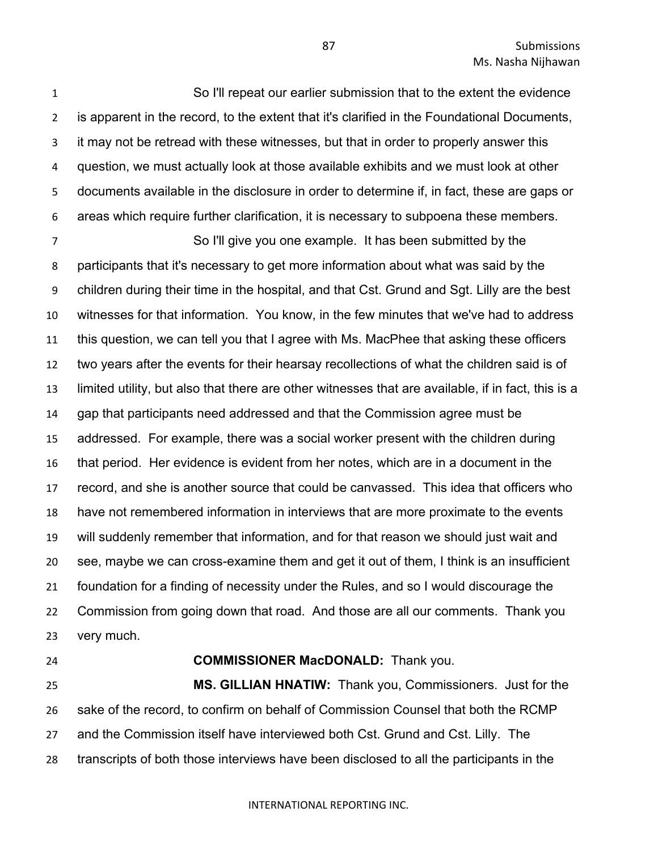So I'll repeat our earlier submission that to the extent the evidence is apparent in the record, to the extent that it's clarified in the Foundational Documents, it may not be retread with these witnesses, but that in order to properly answer this question, we must actually look at those available exhibits and we must look at other documents available in the disclosure in order to determine if, in fact, these are gaps or areas which require further clarification, it is necessary to subpoena these members.

 So I'll give you one example. It has been submitted by the participants that it's necessary to get more information about what was said by the children during their time in the hospital, and that Cst. Grund and Sgt. Lilly are the best witnesses for that information. You know, in the few minutes that we've had to address this question, we can tell you that I agree with Ms. MacPhee that asking these officers two years after the events for their hearsay recollections of what the children said is of limited utility, but also that there are other witnesses that are available, if in fact, this is a gap that participants need addressed and that the Commission agree must be addressed. For example, there was a social worker present with the children during that period. Her evidence is evident from her notes, which are in a document in the record, and she is another source that could be canvassed. This idea that officers who have not remembered information in interviews that are more proximate to the events will suddenly remember that information, and for that reason we should just wait and see, maybe we can cross-examine them and get it out of them, I think is an insufficient foundation for a finding of necessity under the Rules, and so I would discourage the Commission from going down that road. And those are all our comments. Thank you very much.

### **COMMISSIONER MacDONALD:** Thank you.

 **MS. GILLIAN HNATIW:** Thank you, Commissioners. Just for the sake of the record, to confirm on behalf of Commission Counsel that both the RCMP and the Commission itself have interviewed both Cst. Grund and Cst. Lilly. The transcripts of both those interviews have been disclosed to all the participants in the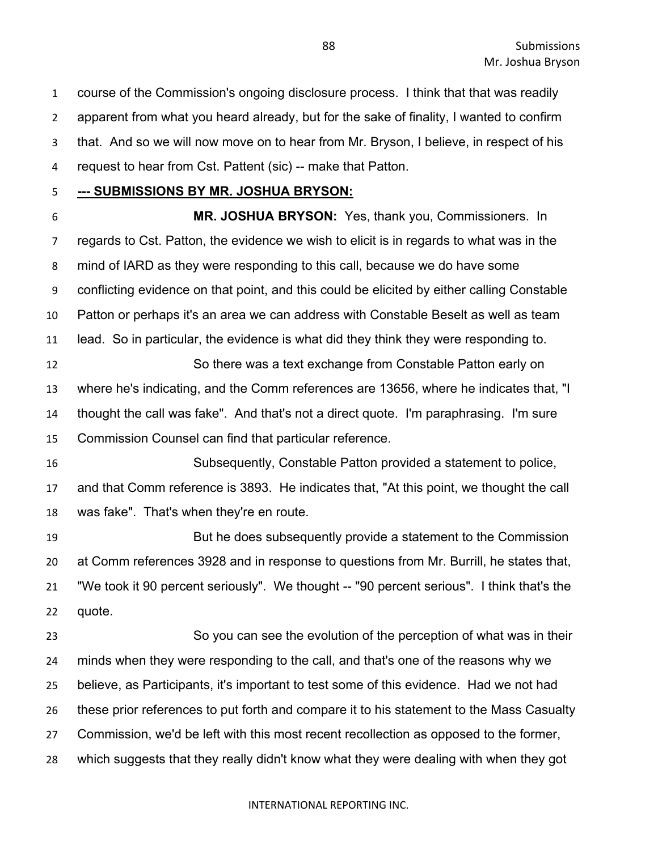course of the Commission's ongoing disclosure process. I think that that was readily apparent from what you heard already, but for the sake of finality, I wanted to confirm that. And so we will now move on to hear from Mr. Bryson, I believe, in respect of his request to hear from Cst. Pattent (sic) -- make that Patton.

## **--- SUBMISSIONS BY MR. JOSHUA BRYSON:**

 **MR. JOSHUA BRYSON:** Yes, thank you, Commissioners. In regards to Cst. Patton, the evidence we wish to elicit is in regards to what was in the mind of IARD as they were responding to this call, because we do have some conflicting evidence on that point, and this could be elicited by either calling Constable Patton or perhaps it's an area we can address with Constable Beselt as well as team lead. So in particular, the evidence is what did they think they were responding to. So there was a text exchange from Constable Patton early on where he's indicating, and the Comm references are 13656, where he indicates that, "I thought the call was fake". And that's not a direct quote. I'm paraphrasing. I'm sure Commission Counsel can find that particular reference.

 Subsequently, Constable Patton provided a statement to police, and that Comm reference is 3893. He indicates that, "At this point, we thought the call was fake". That's when they're en route.

 But he does subsequently provide a statement to the Commission at Comm references 3928 and in response to questions from Mr. Burrill, he states that, "We took it 90 percent seriously". We thought -- "90 percent serious". I think that's the quote.

 So you can see the evolution of the perception of what was in their minds when they were responding to the call, and that's one of the reasons why we believe, as Participants, it's important to test some of this evidence. Had we not had these prior references to put forth and compare it to his statement to the Mass Casualty Commission, we'd be left with this most recent recollection as opposed to the former, which suggests that they really didn't know what they were dealing with when they got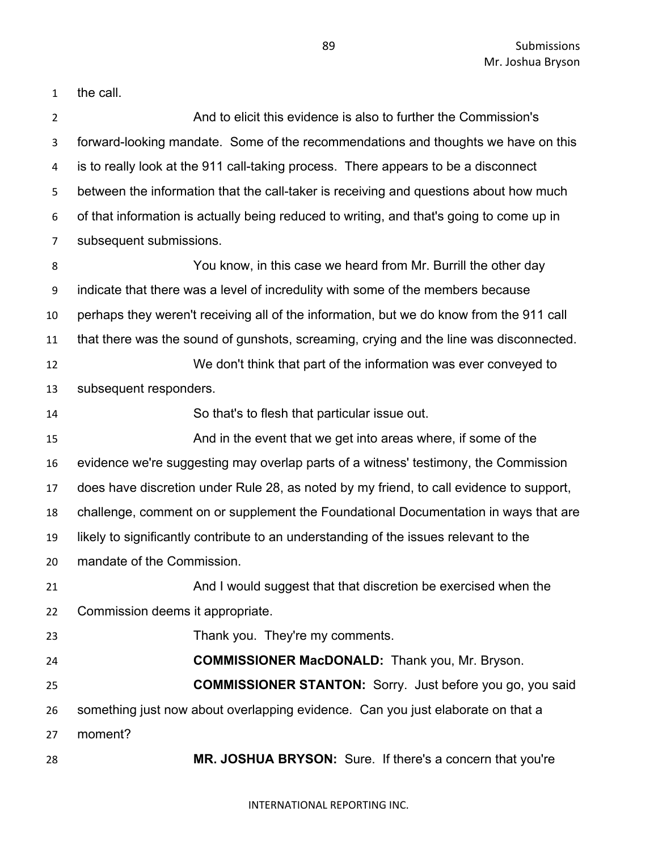89 Submissions Mr. Joshua Bryson

the call.

| $\overline{2}$ | And to elicit this evidence is also to further the Commission's                          |
|----------------|------------------------------------------------------------------------------------------|
| 3              | forward-looking mandate. Some of the recommendations and thoughts we have on this        |
| 4              | is to really look at the 911 call-taking process. There appears to be a disconnect       |
| 5              | between the information that the call-taker is receiving and questions about how much    |
| 6              | of that information is actually being reduced to writing, and that's going to come up in |
| $\overline{7}$ | subsequent submissions.                                                                  |
| 8              | You know, in this case we heard from Mr. Burrill the other day                           |
| 9              | indicate that there was a level of incredulity with some of the members because          |
| 10             | perhaps they weren't receiving all of the information, but we do know from the 911 call  |
| 11             | that there was the sound of gunshots, screaming, crying and the line was disconnected.   |
| 12             | We don't think that part of the information was ever conveyed to                         |
| 13             | subsequent responders.                                                                   |
| 14             | So that's to flesh that particular issue out.                                            |
| 15             | And in the event that we get into areas where, if some of the                            |
| 16             | evidence we're suggesting may overlap parts of a witness' testimony, the Commission      |
| 17             | does have discretion under Rule 28, as noted by my friend, to call evidence to support,  |
| 18             | challenge, comment on or supplement the Foundational Documentation in ways that are      |
| 19             | likely to significantly contribute to an understanding of the issues relevant to the     |
| 20             | mandate of the Commission.                                                               |
| 21             | And I would suggest that that discretion be exercised when the                           |
| 22             | Commission deems it appropriate.                                                         |
| 23             | Thank you. They're my comments.                                                          |
| 24             | <b>COMMISSIONER MacDONALD:</b> Thank you, Mr. Bryson.                                    |
| 25             | <b>COMMISSIONER STANTON:</b> Sorry. Just before you go, you said                         |
| 26             | something just now about overlapping evidence. Can you just elaborate on that a          |
| 27             | moment?                                                                                  |
| 28             | MR. JOSHUA BRYSON: Sure. If there's a concern that you're                                |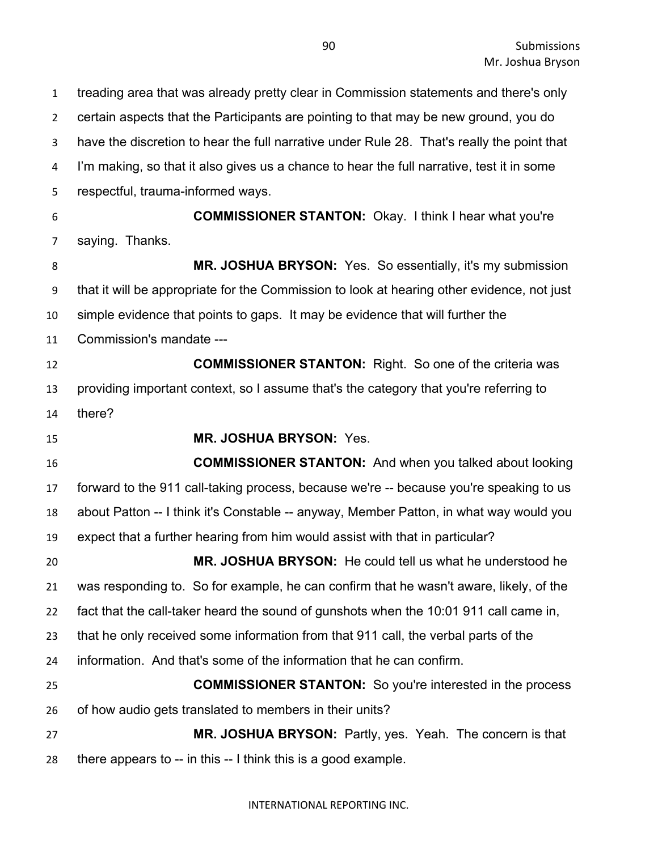treading area that was already pretty clear in Commission statements and there's only certain aspects that the Participants are pointing to that may be new ground, you do have the discretion to hear the full narrative under Rule 28. That's really the point that I'm making, so that it also gives us a chance to hear the full narrative, test it in some respectful, trauma-informed ways. **COMMISSIONER STANTON:** Okay. I think I hear what you're saying. Thanks.

 **MR. JOSHUA BRYSON:** Yes. So essentially, it's my submission that it will be appropriate for the Commission to look at hearing other evidence, not just simple evidence that points to gaps. It may be evidence that will further the Commission's mandate --- **COMMISSIONER STANTON:** Right. So one of the criteria was

 providing important context, so I assume that's the category that you're referring to there?

**MR. JOSHUA BRYSON:** Yes.

 **COMMISSIONER STANTON:** And when you talked about looking forward to the 911 call-taking process, because we're -- because you're speaking to us about Patton -- I think it's Constable -- anyway, Member Patton, in what way would you expect that a further hearing from him would assist with that in particular?

 **MR. JOSHUA BRYSON:** He could tell us what he understood he was responding to. So for example, he can confirm that he wasn't aware, likely, of the fact that the call-taker heard the sound of gunshots when the 10:01 911 call came in, that he only received some information from that 911 call, the verbal parts of the

information. And that's some of the information that he can confirm.

 **COMMISSIONER STANTON:** So you're interested in the process of how audio gets translated to members in their units?

 **MR. JOSHUA BRYSON:** Partly, yes. Yeah. The concern is that there appears to -- in this -- I think this is a good example.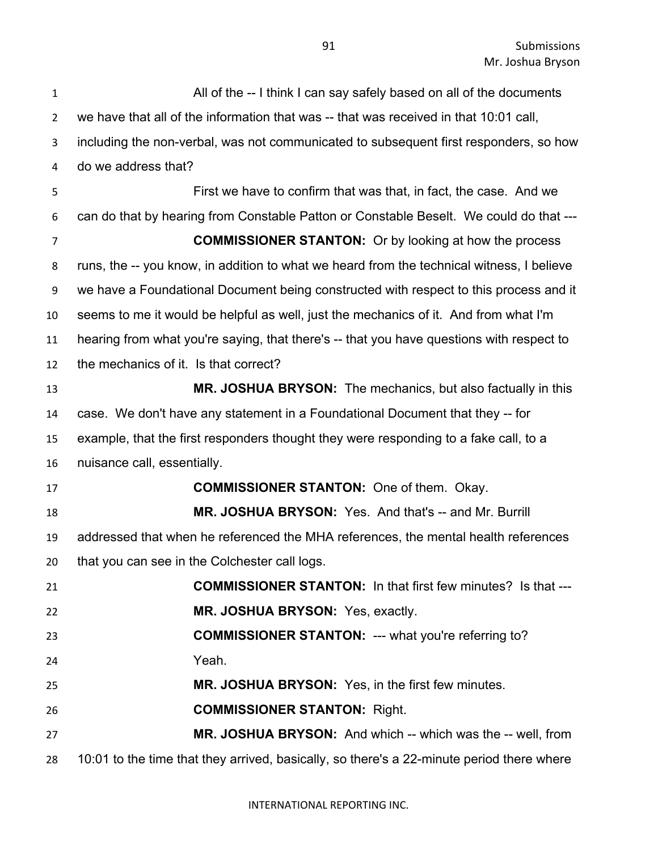All of the -- I think I can say safely based on all of the documents we have that all of the information that was -- that was received in that 10:01 call, including the non-verbal, was not communicated to subsequent first responders, so how do we address that? First we have to confirm that was that, in fact, the case. And we can do that by hearing from Constable Patton or Constable Beselt. We could do that --- **COMMISSIONER STANTON:** Or by looking at how the process runs, the -- you know, in addition to what we heard from the technical witness, I believe we have a Foundational Document being constructed with respect to this process and it seems to me it would be helpful as well, just the mechanics of it. And from what I'm hearing from what you're saying, that there's -- that you have questions with respect to the mechanics of it. Is that correct? **MR. JOSHUA BRYSON:** The mechanics, but also factually in this case. We don't have any statement in a Foundational Document that they -- for example, that the first responders thought they were responding to a fake call, to a nuisance call, essentially. **COMMISSIONER STANTON:** One of them. Okay. **MR. JOSHUA BRYSON:** Yes. And that's -- and Mr. Burrill addressed that when he referenced the MHA references, the mental health references that you can see in the Colchester call logs. **COMMISSIONER STANTON:** In that first few minutes? Is that --- **MR. JOSHUA BRYSON:** Yes, exactly. **COMMISSIONER STANTON:** --- what you're referring to? Yeah. **MR. JOSHUA BRYSON:** Yes, in the first few minutes. **COMMISSIONER STANTON:** Right. **MR. JOSHUA BRYSON:** And which -- which was the -- well, from 10:01 to the time that they arrived, basically, so there's a 22-minute period there where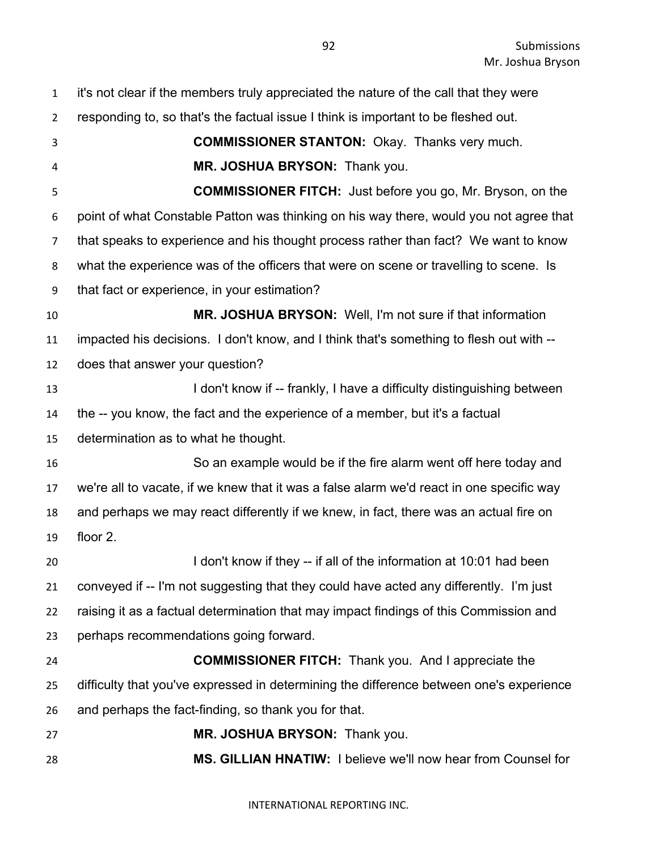it's not clear if the members truly appreciated the nature of the call that they were responding to, so that's the factual issue I think is important to be fleshed out. **COMMISSIONER STANTON:** Okay. Thanks very much. **MR. JOSHUA BRYSON:** Thank you. **COMMISSIONER FITCH:** Just before you go, Mr. Bryson, on the point of what Constable Patton was thinking on his way there, would you not agree that that speaks to experience and his thought process rather than fact? We want to know what the experience was of the officers that were on scene or travelling to scene. Is that fact or experience, in your estimation? **MR. JOSHUA BRYSON:** Well, I'm not sure if that information impacted his decisions. I don't know, and I think that's something to flesh out with -- does that answer your question? **I don't know if -- frankly, I have a difficulty distinguishing between**  the -- you know, the fact and the experience of a member, but it's a factual determination as to what he thought. So an example would be if the fire alarm went off here today and we're all to vacate, if we knew that it was a false alarm we'd react in one specific way and perhaps we may react differently if we knew, in fact, there was an actual fire on floor 2. **I don't know if they -- if all of the information at 10:01 had been**  conveyed if -- I'm not suggesting that they could have acted any differently. I'm just raising it as a factual determination that may impact findings of this Commission and perhaps recommendations going forward. **COMMISSIONER FITCH:** Thank you. And I appreciate the difficulty that you've expressed in determining the difference between one's experience and perhaps the fact-finding, so thank you for that. **MR. JOSHUA BRYSON:** Thank you. **MS. GILLIAN HNATIW:** I believe we'll now hear from Counsel for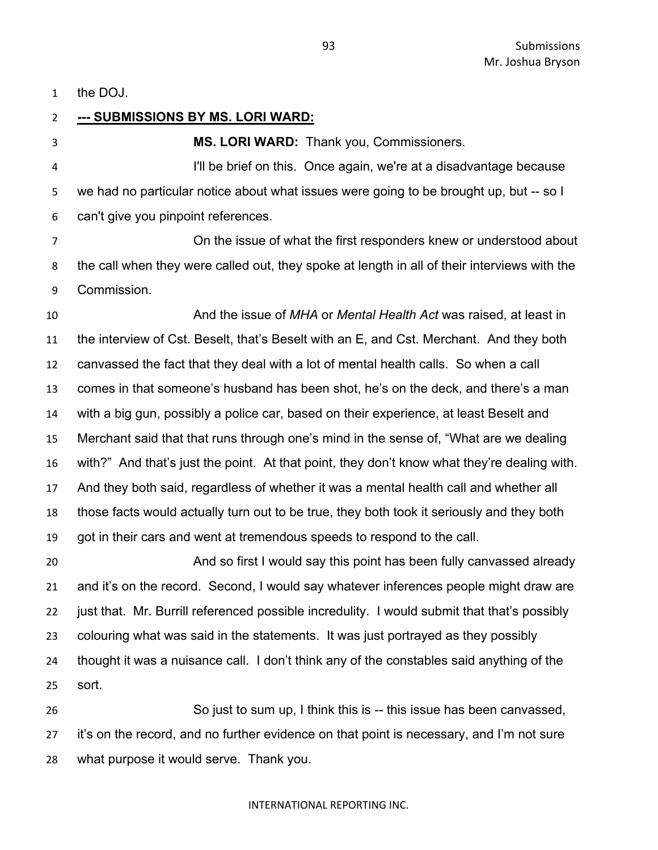the DOJ.

 **--- SUBMISSIONS BY MS. LORI WARD: MS. LORI WARD:** Thank you, Commissioners. I'll be brief on this. Once again, we're at a disadvantage because we had no particular notice about what issues were going to be brought up, but -- so I can't give you pinpoint references. On the issue of what the first responders knew or understood about the call when they were called out, they spoke at length in all of their interviews with the Commission. And the issue of *MHA* or *Mental Health Act* was raised, at least in the interview of Cst. Beselt, that's Beselt with an E, and Cst. Merchant. And they both canvassed the fact that they deal with a lot of mental health calls. So when a call comes in that someone's husband has been shot, he's on the deck, and there's a man with a big gun, possibly a police car, based on their experience, at least Beselt and Merchant said that that runs through one's mind in the sense of, "What are we dealing with?" And that's just the point. At that point, they don't know what they're dealing with. And they both said, regardless of whether it was a mental health call and whether all those facts would actually turn out to be true, they both took it seriously and they both got in their cars and went at tremendous speeds to respond to the call. And so first I would say this point has been fully canvassed already and it's on the record. Second, I would say whatever inferences people might draw are 22 just that. Mr. Burrill referenced possible incredulity. I would submit that that's possibly colouring what was said in the statements. It was just portrayed as they possibly thought it was a nuisance call. I don't think any of the constables said anything of the sort. So just to sum up, I think this is -- this issue has been canvassed, it's on the record, and no further evidence on that point is necessary, and I'm not sure

what purpose it would serve. Thank you.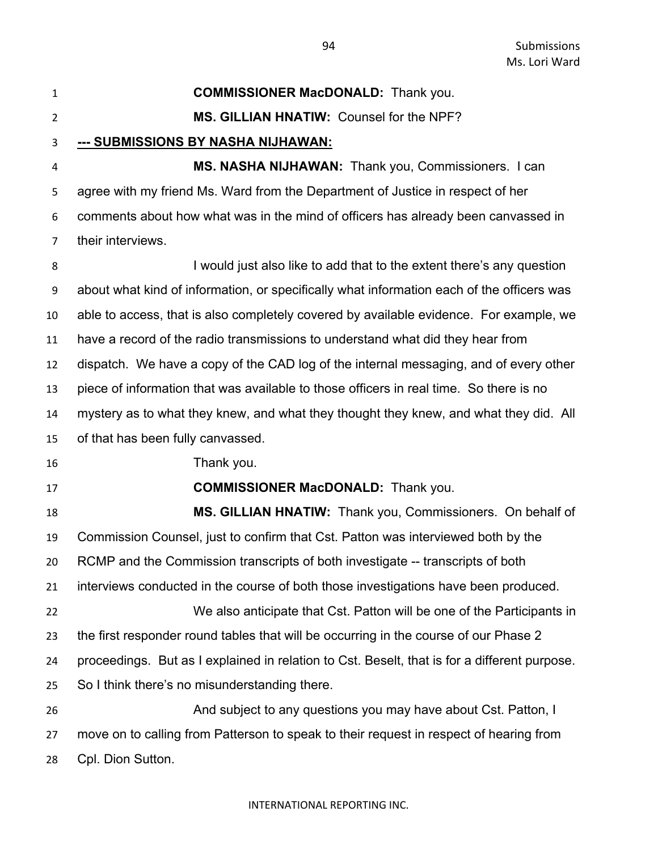| $\mathbf{1}$   | <b>COMMISSIONER MacDONALD:</b> Thank you.                                                    |
|----------------|----------------------------------------------------------------------------------------------|
| $\overline{2}$ | MS. GILLIAN HNATIW: Counsel for the NPF?                                                     |
| 3              | <u>--- SUBMISSIONS BY NASHA NIJHAWAN:</u>                                                    |
| 4              | MS. NASHA NIJHAWAN: Thank you, Commissioners. I can                                          |
| 5              | agree with my friend Ms. Ward from the Department of Justice in respect of her               |
| 6              | comments about how what was in the mind of officers has already been canvassed in            |
| 7              | their interviews.                                                                            |
| 8              | I would just also like to add that to the extent there's any question                        |
| 9              | about what kind of information, or specifically what information each of the officers was    |
| 10             | able to access, that is also completely covered by available evidence. For example, we       |
| 11             | have a record of the radio transmissions to understand what did they hear from               |
| 12             | dispatch. We have a copy of the CAD log of the internal messaging, and of every other        |
| 13             | piece of information that was available to those officers in real time. So there is no       |
| 14             | mystery as to what they knew, and what they thought they knew, and what they did. All        |
| 15             | of that has been fully canvassed.                                                            |
| 16             | Thank you.                                                                                   |
| 17             | <b>COMMISSIONER MacDONALD:</b> Thank you.                                                    |
| 18             | MS. GILLIAN HNATIW: Thank you, Commissioners. On behalf of                                   |
| 19             | Commission Counsel, just to confirm that Cst. Patton was interviewed both by the             |
| 20             | RCMP and the Commission transcripts of both investigate -- transcripts of both               |
| 21             | interviews conducted in the course of both those investigations have been produced.          |
| 22             | We also anticipate that Cst. Patton will be one of the Participants in                       |
| 23             | the first responder round tables that will be occurring in the course of our Phase 2         |
| 24             | proceedings. But as I explained in relation to Cst. Beselt, that is for a different purpose. |
| 25             | So I think there's no misunderstanding there.                                                |
| 26             | And subject to any questions you may have about Cst. Patton, I                               |
| 27             | move on to calling from Patterson to speak to their request in respect of hearing from       |
| 28             | Cpl. Dion Sutton.                                                                            |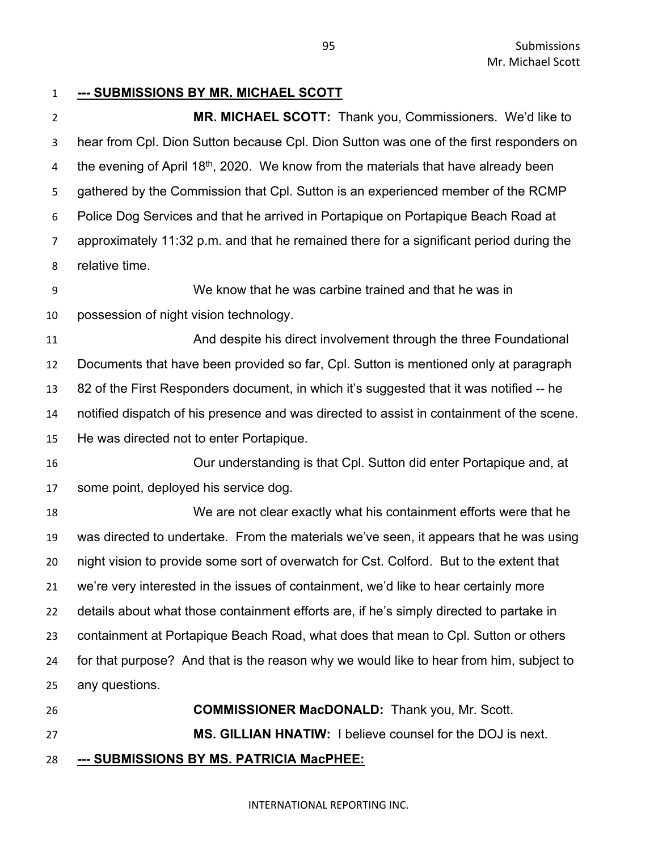# **--- SUBMISSIONS BY MR. MICHAEL SCOTT**

 **MR. MICHAEL SCOTT:** Thank you, Commissioners. We'd like to hear from Cpl. Dion Sutton because Cpl. Dion Sutton was one of the first responders on 4 the evening of April  $18<sup>th</sup>$ , 2020. We know from the materials that have already been gathered by the Commission that Cpl. Sutton is an experienced member of the RCMP Police Dog Services and that he arrived in Portapique on Portapique Beach Road at approximately 11:32 p.m. and that he remained there for a significant period during the relative time.

 We know that he was carbine trained and that he was in possession of night vision technology.

 And despite his direct involvement through the three Foundational Documents that have been provided so far, Cpl. Sutton is mentioned only at paragraph 82 of the First Responders document, in which it's suggested that it was notified -- he notified dispatch of his presence and was directed to assist in containment of the scene. He was directed not to enter Portapique.

 Our understanding is that Cpl. Sutton did enter Portapique and, at some point, deployed his service dog.

 We are not clear exactly what his containment efforts were that he was directed to undertake. From the materials we've seen, it appears that he was using night vision to provide some sort of overwatch for Cst. Colford. But to the extent that we're very interested in the issues of containment, we'd like to hear certainly more details about what those containment efforts are, if he's simply directed to partake in containment at Portapique Beach Road, what does that mean to Cpl. Sutton or others for that purpose? And that is the reason why we would like to hear from him, subject to any questions.

 **COMMISSIONER MacDONALD:** Thank you, Mr. Scott. **MS. GILLIAN HNATIW:** I believe counsel for the DOJ is next. **--- SUBMISSIONS BY MS. PATRICIA MacPHEE:**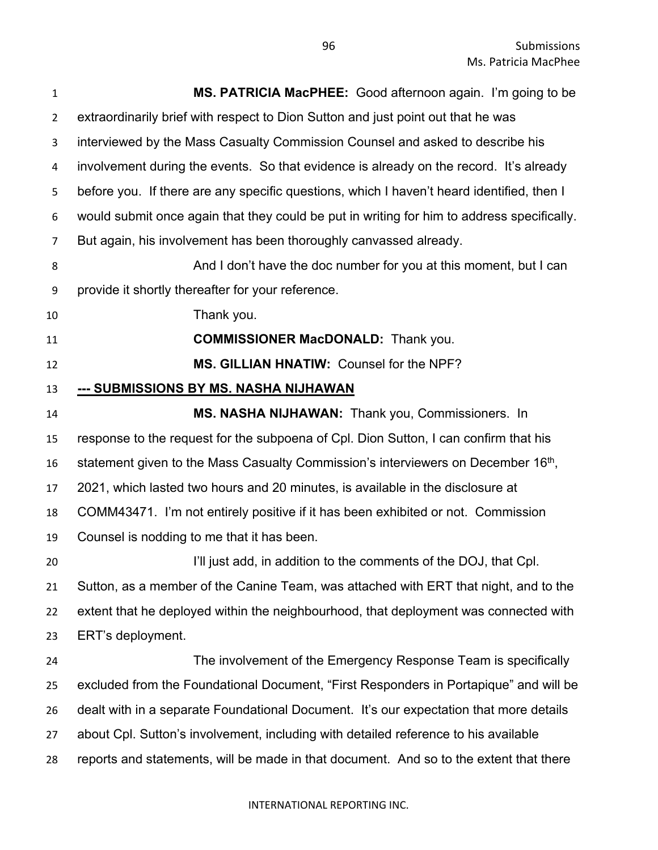| 1              | MS. PATRICIA MacPHEE: Good afternoon again. I'm going to be                                   |
|----------------|-----------------------------------------------------------------------------------------------|
| $\overline{2}$ | extraordinarily brief with respect to Dion Sutton and just point out that he was              |
| 3              | interviewed by the Mass Casualty Commission Counsel and asked to describe his                 |
| 4              | involvement during the events. So that evidence is already on the record. It's already        |
| 5              | before you. If there are any specific questions, which I haven't heard identified, then I     |
| 6              | would submit once again that they could be put in writing for him to address specifically.    |
| 7              | But again, his involvement has been thoroughly canvassed already.                             |
| 8              | And I don't have the doc number for you at this moment, but I can                             |
| 9              | provide it shortly thereafter for your reference.                                             |
| 10             | Thank you.                                                                                    |
| 11             | <b>COMMISSIONER MacDONALD:</b> Thank you.                                                     |
| 12             | MS. GILLIAN HNATIW: Counsel for the NPF?                                                      |
| 13             | --- SUBMISSIONS BY MS. NASHA NIJHAWAN                                                         |
| 14             | MS. NASHA NIJHAWAN: Thank you, Commissioners. In                                              |
| 15             | response to the request for the subpoena of Cpl. Dion Sutton, I can confirm that his          |
| 16             | statement given to the Mass Casualty Commission's interviewers on December 16 <sup>th</sup> , |
| 17             | 2021, which lasted two hours and 20 minutes, is available in the disclosure at                |
| 18             | COMM43471. I'm not entirely positive if it has been exhibited or not. Commission              |
| 19             | Counsel is nodding to me that it has been.                                                    |
| 20             | I'll just add, in addition to the comments of the DOJ, that Cpl.                              |
| 21             | Sutton, as a member of the Canine Team, was attached with ERT that night, and to the          |
| 22             | extent that he deployed within the neighbourhood, that deployment was connected with          |
| 23             | ERT's deployment.                                                                             |
| 24             | The involvement of the Emergency Response Team is specifically                                |
| 25             | excluded from the Foundational Document, "First Responders in Portapique" and will be         |
| 26             | dealt with in a separate Foundational Document. It's our expectation that more details        |
| 27             | about Cpl. Sutton's involvement, including with detailed reference to his available           |
| 28             | reports and statements, will be made in that document. And so to the extent that there        |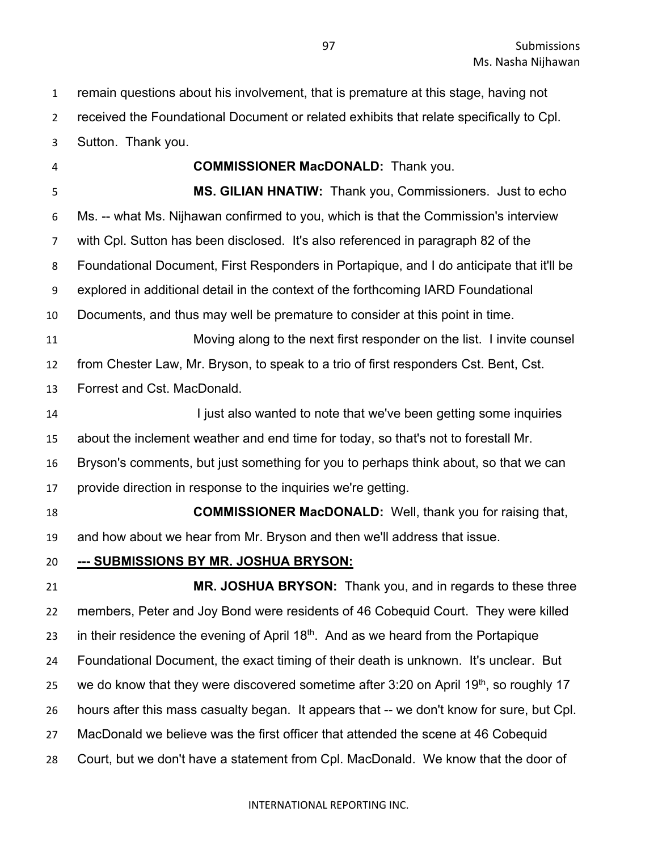remain questions about his involvement, that is premature at this stage, having not received the Foundational Document or related exhibits that relate specifically to Cpl. Sutton. Thank you.

 **COMMISSIONER MacDONALD:** Thank you. **MS. GILIAN HNATIW:** Thank you, Commissioners. Just to echo Ms. -- what Ms. Nijhawan confirmed to you, which is that the Commission's interview with Cpl. Sutton has been disclosed. It's also referenced in paragraph 82 of the Foundational Document, First Responders in Portapique, and I do anticipate that it'll be explored in additional detail in the context of the forthcoming IARD Foundational Documents, and thus may well be premature to consider at this point in time. Moving along to the next first responder on the list. I invite counsel from Chester Law, Mr. Bryson, to speak to a trio of first responders Cst. Bent, Cst. Forrest and Cst. MacDonald. **I iust also wanted to note that we've been getting some inquiries**  about the inclement weather and end time for today, so that's not to forestall Mr. Bryson's comments, but just something for you to perhaps think about, so that we can provide direction in response to the inquiries we're getting.

 **COMMISSIONER MacDONALD:** Well, thank you for raising that, and how about we hear from Mr. Bryson and then we'll address that issue.

**--- SUBMISSIONS BY MR. JOSHUA BRYSON:**

 **MR. JOSHUA BRYSON:** Thank you, and in regards to these three members, Peter and Joy Bond were residents of 46 Cobequid Court. They were killed 23 in their residence the evening of April  $18<sup>th</sup>$ . And as we heard from the Portapique Foundational Document, the exact timing of their death is unknown. It's unclear. But 25 we do know that they were discovered sometime after 3:20 on April 19<sup>th</sup>, so roughly 17 hours after this mass casualty began. It appears that -- we don't know for sure, but Cpl. MacDonald we believe was the first officer that attended the scene at 46 Cobequid Court, but we don't have a statement from Cpl. MacDonald. We know that the door of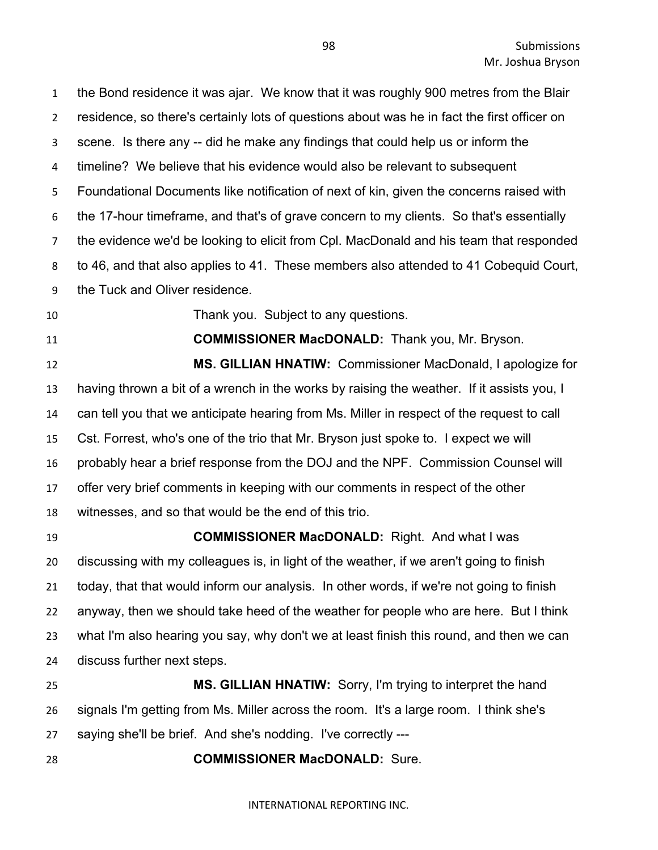the Bond residence it was ajar. We know that it was roughly 900 metres from the Blair residence, so there's certainly lots of questions about was he in fact the first officer on scene. Is there any -- did he make any findings that could help us or inform the timeline? We believe that his evidence would also be relevant to subsequent Foundational Documents like notification of next of kin, given the concerns raised with the 17-hour timeframe, and that's of grave concern to my clients. So that's essentially the evidence we'd be looking to elicit from Cpl. MacDonald and his team that responded to 46, and that also applies to 41. These members also attended to 41 Cobequid Court, the Tuck and Oliver residence.

Thank you. Subject to any questions.

**COMMISSIONER MacDONALD:** Thank you, Mr. Bryson.

 **MS. GILLIAN HNATIW:** Commissioner MacDonald, I apologize for having thrown a bit of a wrench in the works by raising the weather. If it assists you, I can tell you that we anticipate hearing from Ms. Miller in respect of the request to call Cst. Forrest, who's one of the trio that Mr. Bryson just spoke to. I expect we will probably hear a brief response from the DOJ and the NPF. Commission Counsel will offer very brief comments in keeping with our comments in respect of the other witnesses, and so that would be the end of this trio.

 **COMMISSIONER MacDONALD:** Right. And what I was discussing with my colleagues is, in light of the weather, if we aren't going to finish today, that that would inform our analysis. In other words, if we're not going to finish anyway, then we should take heed of the weather for people who are here. But I think what I'm also hearing you say, why don't we at least finish this round, and then we can discuss further next steps.

 **MS. GILLIAN HNATIW:** Sorry, I'm trying to interpret the hand signals I'm getting from Ms. Miller across the room. It's a large room. I think she's saying she'll be brief. And she's nodding. I've correctly ---

**COMMISSIONER MacDONALD:** Sure.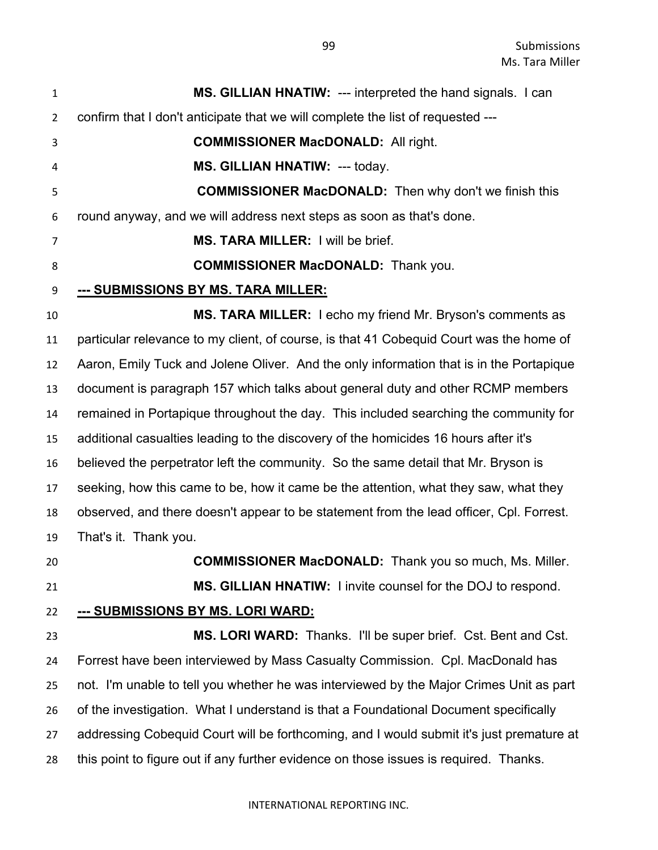| $\mathbf{1}$   | MS. GILLIAN HNATIW: --- interpreted the hand signals. I can                              |
|----------------|------------------------------------------------------------------------------------------|
| $\overline{2}$ | confirm that I don't anticipate that we will complete the list of requested ---          |
| 3              | <b>COMMISSIONER MacDONALD: All right.</b>                                                |
| 4              | <b>MS. GILLIAN HNATIW: --- today.</b>                                                    |
| 5              | <b>COMMISSIONER MacDONALD:</b> Then why don't we finish this                             |
| 6              | round anyway, and we will address next steps as soon as that's done.                     |
| 7              | MS. TARA MILLER: I will be brief.                                                        |
| 8              | <b>COMMISSIONER MacDONALD:</b> Thank you.                                                |
| 9              | <u>--- SUBMISSIONS BY MS. TARA MILLER:</u>                                               |
| 10             | MS. TARA MILLER: I echo my friend Mr. Bryson's comments as                               |
| 11             | particular relevance to my client, of course, is that 41 Cobequid Court was the home of  |
| 12             | Aaron, Emily Tuck and Jolene Oliver. And the only information that is in the Portapique  |
| 13             | document is paragraph 157 which talks about general duty and other RCMP members          |
| 14             | remained in Portapique throughout the day. This included searching the community for     |
| 15             | additional casualties leading to the discovery of the homicides 16 hours after it's      |
| 16             | believed the perpetrator left the community. So the same detail that Mr. Bryson is       |
| 17             | seeking, how this came to be, how it came be the attention, what they saw, what they     |
| 18             | observed, and there doesn't appear to be statement from the lead officer, Cpl. Forrest.  |
| 19             | That's it. Thank you.                                                                    |
| 20             | <b>COMMISSIONER MacDONALD:</b> Thank you so much, Ms. Miller.                            |
| 21             | MS. GILLIAN HNATIW: I invite counsel for the DOJ to respond.                             |
| 22             | <u>--- SUBMISSIONS BY MS. LORI WARD:</u>                                                 |
| 23             | MS. LORI WARD: Thanks. I'll be super brief. Cst. Bent and Cst.                           |
| 24             | Forrest have been interviewed by Mass Casualty Commission. Cpl. MacDonald has            |
| 25             | not. I'm unable to tell you whether he was interviewed by the Major Crimes Unit as part  |
| 26             | of the investigation. What I understand is that a Foundational Document specifically     |
| 27             | addressing Cobequid Court will be forthcoming, and I would submit it's just premature at |
| 28             | this point to figure out if any further evidence on those issues is required. Thanks.    |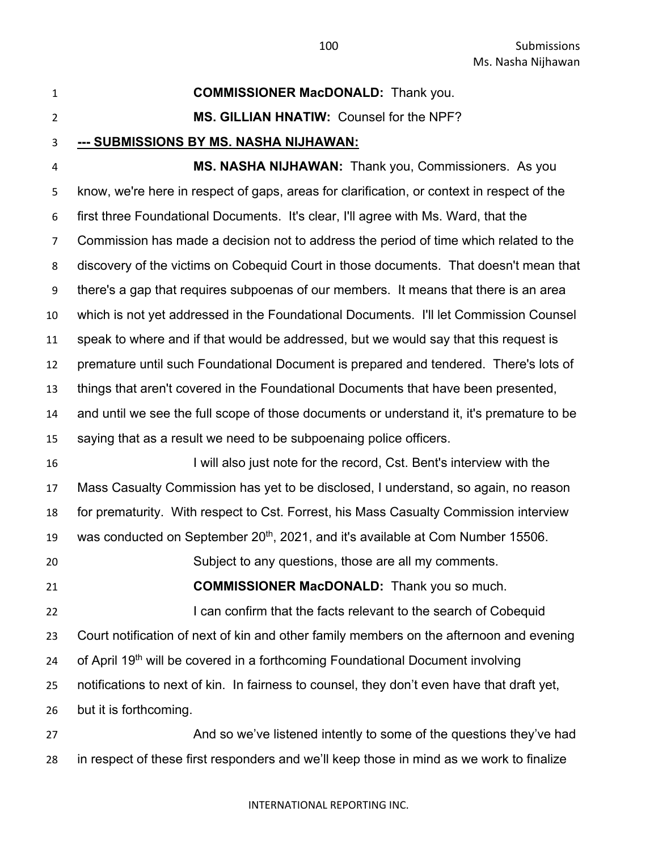**COMMISSIONER MacDONALD:** Thank you.

## **MS. GILLIAN HNATIW:** Counsel for the NPF?

**--- SUBMISSIONS BY MS. NASHA NIJHAWAN:**

 **MS. NASHA NIJHAWAN:** Thank you, Commissioners. As you know, we're here in respect of gaps, areas for clarification, or context in respect of the first three Foundational Documents. It's clear, I'll agree with Ms. Ward, that the Commission has made a decision not to address the period of time which related to the discovery of the victims on Cobequid Court in those documents. That doesn't mean that there's a gap that requires subpoenas of our members. It means that there is an area which is not yet addressed in the Foundational Documents. I'll let Commission Counsel speak to where and if that would be addressed, but we would say that this request is premature until such Foundational Document is prepared and tendered. There's lots of things that aren't covered in the Foundational Documents that have been presented, and until we see the full scope of those documents or understand it, it's premature to be saying that as a result we need to be subpoenaing police officers.

 I will also just note for the record, Cst. Bent's interview with the Mass Casualty Commission has yet to be disclosed, I understand, so again, no reason for prematurity. With respect to Cst. Forrest, his Mass Casualty Commission interview 19 was conducted on September  $20<sup>th</sup>$ , 2021, and it's available at Com Number 15506. Subject to any questions, those are all my comments.

 **COMMISSIONER MacDONALD:** Thank you so much. **I can confirm that the facts relevant to the search of Cobequid**  Court notification of next of kin and other family members on the afternoon and evening 24 of April 19<sup>th</sup> will be covered in a forthcoming Foundational Document involving notifications to next of kin. In fairness to counsel, they don't even have that draft yet, but it is forthcoming.

27 And so we've listened intently to some of the questions they've had in respect of these first responders and we'll keep those in mind as we work to finalize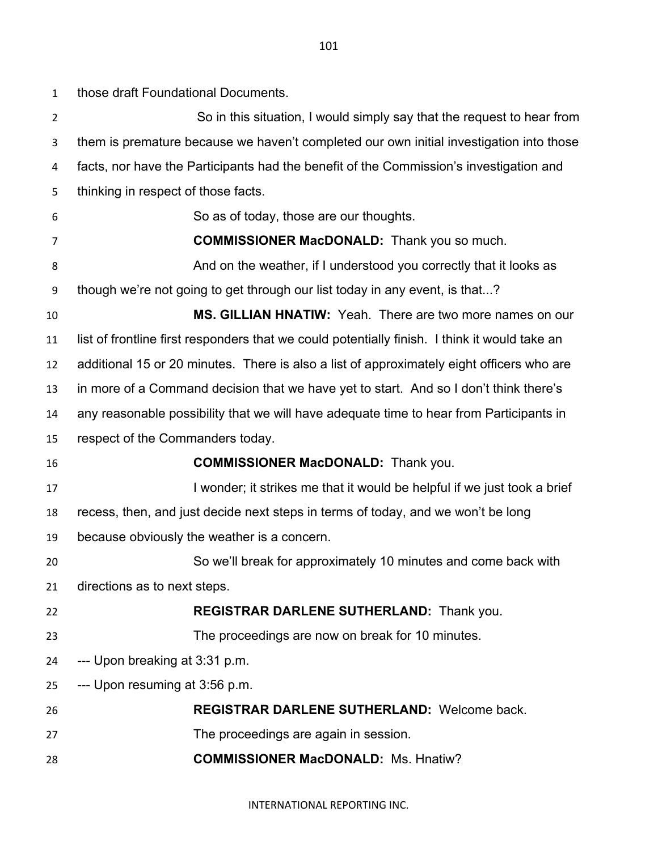those draft Foundational Documents.

| $\overline{2}$ | So in this situation, I would simply say that the request to hear from                        |
|----------------|-----------------------------------------------------------------------------------------------|
| 3              | them is premature because we haven't completed our own initial investigation into those       |
| 4              | facts, nor have the Participants had the benefit of the Commission's investigation and        |
| 5              | thinking in respect of those facts.                                                           |
| 6              | So as of today, those are our thoughts.                                                       |
| 7              | <b>COMMISSIONER MacDONALD:</b> Thank you so much.                                             |
| 8              | And on the weather, if I understood you correctly that it looks as                            |
| 9              | though we're not going to get through our list today in any event, is that?                   |
| 10             | MS. GILLIAN HNATIW: Yeah. There are two more names on our                                     |
| 11             | list of frontline first responders that we could potentially finish. I think it would take an |
| 12             | additional 15 or 20 minutes. There is also a list of approximately eight officers who are     |
| 13             | in more of a Command decision that we have yet to start. And so I don't think there's         |
| 14             | any reasonable possibility that we will have adequate time to hear from Participants in       |
| 15             | respect of the Commanders today.                                                              |
| 16             | <b>COMMISSIONER MacDONALD:</b> Thank you.                                                     |
| 17             | I wonder; it strikes me that it would be helpful if we just took a brief                      |
| 18             | recess, then, and just decide next steps in terms of today, and we won't be long              |
| 19             | because obviously the weather is a concern.                                                   |
| 20             | So we'll break for approximately 10 minutes and come back with                                |
| 21             | directions as to next steps.                                                                  |
| 22             | REGISTRAR DARLENE SUTHERLAND: Thank you.                                                      |
| 23             | The proceedings are now on break for 10 minutes.                                              |
| 24             | --- Upon breaking at 3:31 p.m.                                                                |
| 25             | --- Upon resuming at 3:56 p.m.                                                                |
| 26             | <b>REGISTRAR DARLENE SUTHERLAND: Welcome back.</b>                                            |
| 27             | The proceedings are again in session.                                                         |
| 28             | <b>COMMISSIONER MacDONALD: Ms. Hnatiw?</b>                                                    |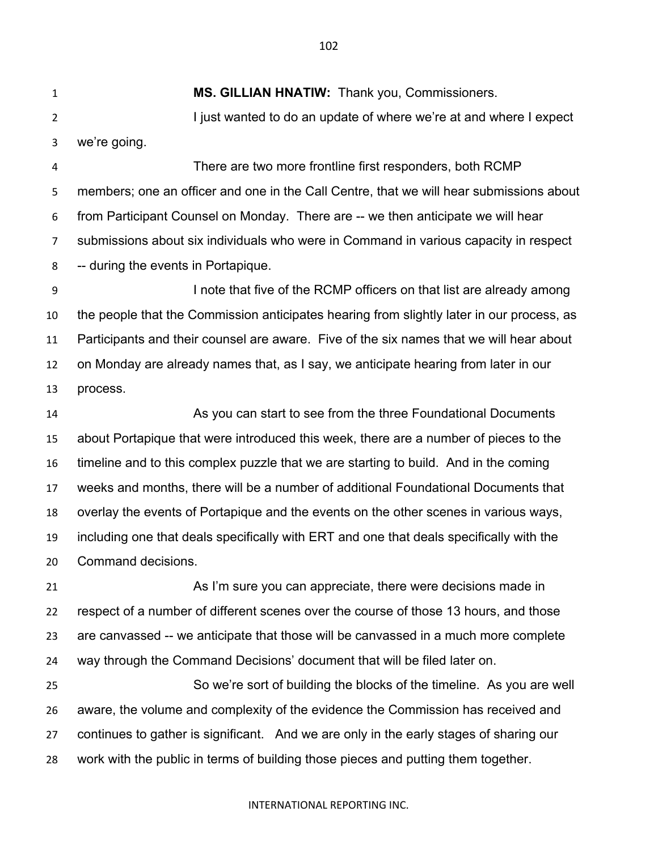**MS. GILLIAN HNATIW:** Thank you, Commissioners. 2 I just wanted to do an update of where we're at and where I expect we're going.

 There are two more frontline first responders, both RCMP members; one an officer and one in the Call Centre, that we will hear submissions about from Participant Counsel on Monday. There are -- we then anticipate we will hear submissions about six individuals who were in Command in various capacity in respect -- during the events in Portapique.

 I note that five of the RCMP officers on that list are already among the people that the Commission anticipates hearing from slightly later in our process, as Participants and their counsel are aware. Five of the six names that we will hear about on Monday are already names that, as I say, we anticipate hearing from later in our process.

 As you can start to see from the three Foundational Documents about Portapique that were introduced this week, there are a number of pieces to the timeline and to this complex puzzle that we are starting to build. And in the coming weeks and months, there will be a number of additional Foundational Documents that overlay the events of Portapique and the events on the other scenes in various ways, including one that deals specifically with ERT and one that deals specifically with the Command decisions.

 As I'm sure you can appreciate, there were decisions made in respect of a number of different scenes over the course of those 13 hours, and those are canvassed -- we anticipate that those will be canvassed in a much more complete way through the Command Decisions' document that will be filed later on.

 So we're sort of building the blocks of the timeline. As you are well aware, the volume and complexity of the evidence the Commission has received and continues to gather is significant. And we are only in the early stages of sharing our work with the public in terms of building those pieces and putting them together.

#### INTERNATIONAL REPORTING INC.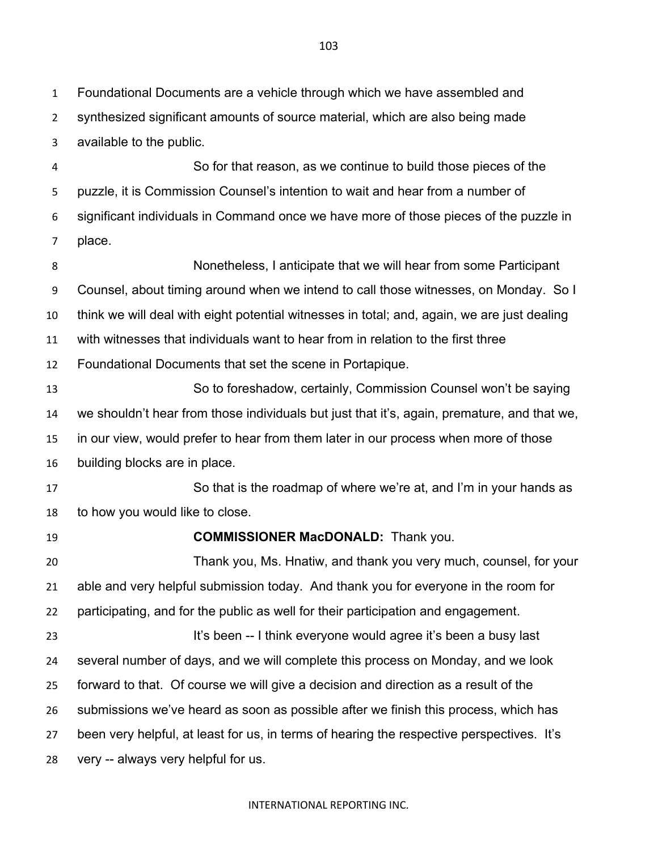Foundational Documents are a vehicle through which we have assembled and

synthesized significant amounts of source material, which are also being made

available to the public.

 So for that reason, as we continue to build those pieces of the puzzle, it is Commission Counsel's intention to wait and hear from a number of significant individuals in Command once we have more of those pieces of the puzzle in place.

 Nonetheless, I anticipate that we will hear from some Participant Counsel, about timing around when we intend to call those witnesses, on Monday. So I think we will deal with eight potential witnesses in total; and, again, we are just dealing with witnesses that individuals want to hear from in relation to the first three Foundational Documents that set the scene in Portapique. So to foreshadow, certainly, Commission Counsel won't be saying we shouldn't hear from those individuals but just that it's, again, premature, and that we, in our view, would prefer to hear from them later in our process when more of those building blocks are in place. So that is the roadmap of where we're at, and I'm in your hands as to how you would like to close. **COMMISSIONER MacDONALD:** Thank you. Thank you, Ms. Hnatiw, and thank you very much, counsel, for your able and very helpful submission today. And thank you for everyone in the room for participating, and for the public as well for their participation and engagement. 23 It's been -- I think everyone would agree it's been a busy last several number of days, and we will complete this process on Monday, and we look

forward to that. Of course we will give a decision and direction as a result of the

submissions we've heard as soon as possible after we finish this process, which has

been very helpful, at least for us, in terms of hearing the respective perspectives. It's

very -- always very helpful for us.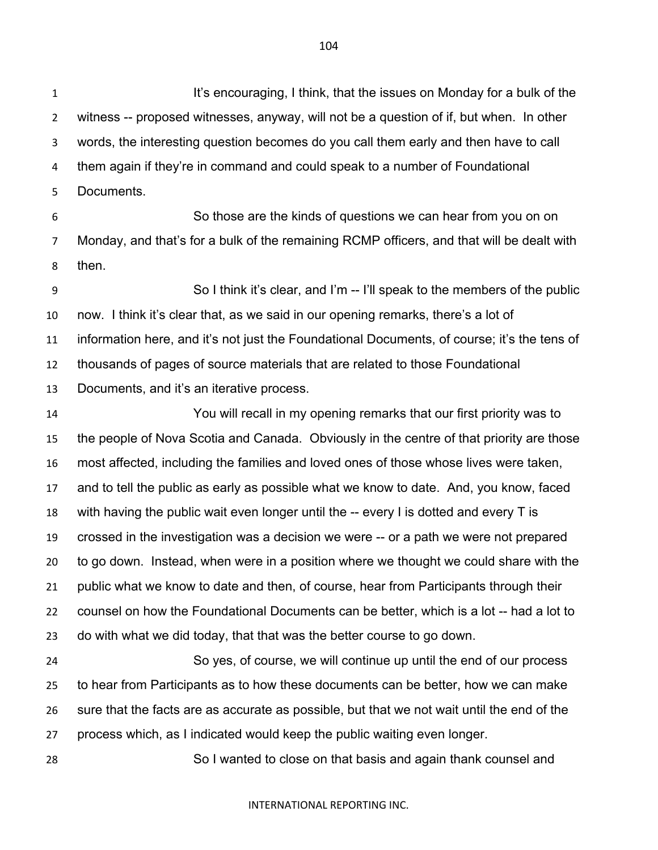**It's encouraging, I think, that the issues on Monday for a bulk of the**  witness -- proposed witnesses, anyway, will not be a question of if, but when. In other words, the interesting question becomes do you call them early and then have to call them again if they're in command and could speak to a number of Foundational Documents.

 So those are the kinds of questions we can hear from you on on Monday, and that's for a bulk of the remaining RCMP officers, and that will be dealt with then.

 So I think it's clear, and I'm -- I'll speak to the members of the public now. I think it's clear that, as we said in our opening remarks, there's a lot of information here, and it's not just the Foundational Documents, of course; it's the tens of thousands of pages of source materials that are related to those Foundational Documents, and it's an iterative process.

 You will recall in my opening remarks that our first priority was to the people of Nova Scotia and Canada. Obviously in the centre of that priority are those most affected, including the families and loved ones of those whose lives were taken, and to tell the public as early as possible what we know to date. And, you know, faced with having the public wait even longer until the -- every I is dotted and every T is crossed in the investigation was a decision we were -- or a path we were not prepared to go down. Instead, when were in a position where we thought we could share with the public what we know to date and then, of course, hear from Participants through their counsel on how the Foundational Documents can be better, which is a lot -- had a lot to do with what we did today, that that was the better course to go down.

 So yes, of course, we will continue up until the end of our process to hear from Participants as to how these documents can be better, how we can make sure that the facts are as accurate as possible, but that we not wait until the end of the process which, as I indicated would keep the public waiting even longer.

So I wanted to close on that basis and again thank counsel and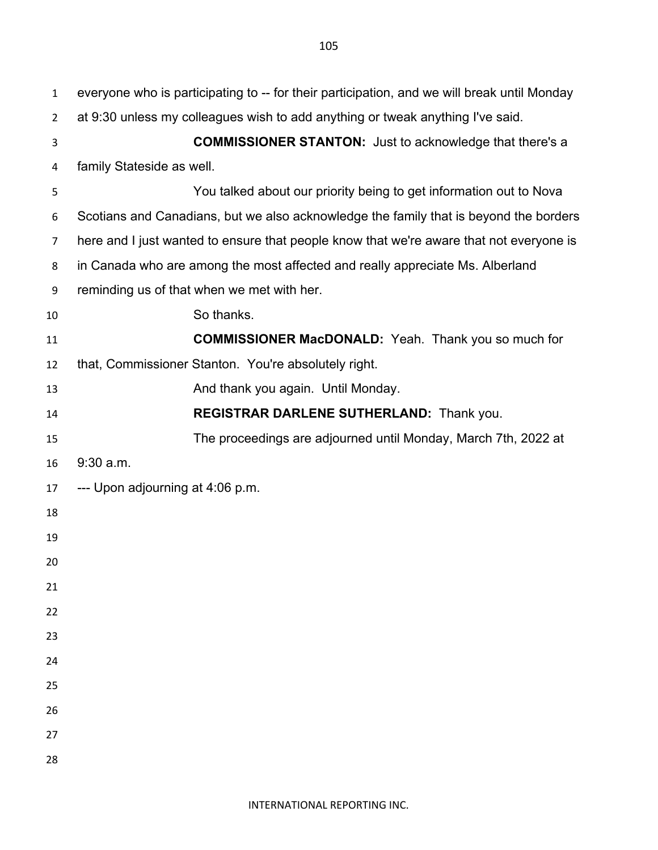| $\mathbf{1}$   | everyone who is participating to -- for their participation, and we will break until Monday |
|----------------|---------------------------------------------------------------------------------------------|
| $\overline{2}$ | at 9:30 unless my colleagues wish to add anything or tweak anything I've said.              |
| 3              | <b>COMMISSIONER STANTON:</b> Just to acknowledge that there's a                             |
| 4              | family Stateside as well.                                                                   |
| 5              | You talked about our priority being to get information out to Nova                          |
| 6              | Scotians and Canadians, but we also acknowledge the family that is beyond the borders       |
| $\overline{7}$ | here and I just wanted to ensure that people know that we're aware that not everyone is     |
| 8              | in Canada who are among the most affected and really appreciate Ms. Alberland               |
| 9              | reminding us of that when we met with her.                                                  |
| 10             | So thanks.                                                                                  |
| 11             | <b>COMMISSIONER MacDONALD:</b> Yeah. Thank you so much for                                  |
| 12             | that, Commissioner Stanton. You're absolutely right.                                        |
| 13             | And thank you again. Until Monday.                                                          |
| 14             | REGISTRAR DARLENE SUTHERLAND: Thank you.                                                    |
| 15             | The proceedings are adjourned until Monday, March 7th, 2022 at                              |
| 16             | $9:30$ a.m.                                                                                 |
| 17             | --- Upon adjourning at 4:06 p.m.                                                            |
| 18             |                                                                                             |
| 19             |                                                                                             |
| 20             |                                                                                             |
| 21             |                                                                                             |
| 22             |                                                                                             |
| 23             |                                                                                             |
| 24             |                                                                                             |
| 25             |                                                                                             |
| 26             |                                                                                             |
| 27             |                                                                                             |
| 28             |                                                                                             |